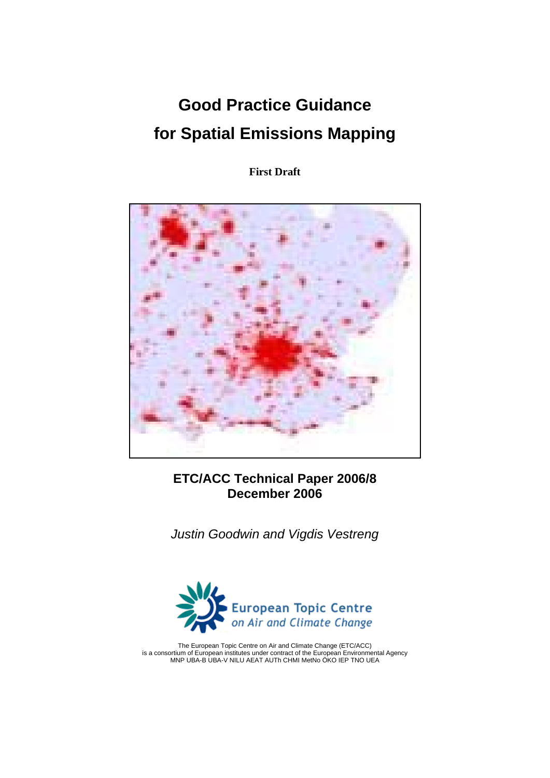# **Good Practice Guidance for Spatial Emissions Mapping**

**First Draft** 



# **ETC/ACC Technical Paper 2006/8 December 2006**

*Justin Goodwin and Vigdis Vestreng* 



The European Topic Centre on Air and Climate Change (ETC/ACC) is a consortium of European institutes under contract of the European Environmental Agency MNP UBA-B UBA-V NILU AEAT AUTh CHMI MetNo ÖKO IEP TNO UEA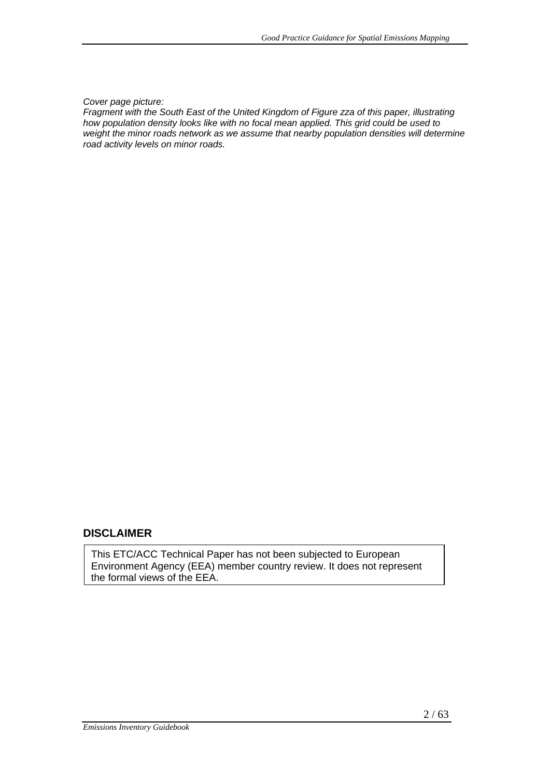#### *Cover page picture:*

*Fragment with the South East of the United Kingdom of Figure zza of this paper, illustrating how population density looks like with no focal mean applied. This grid could be used to weight the minor roads network as we assume that nearby population densities will determine road activity levels on minor roads.*

#### **DISCLAIMER**

This ETC/ACC Technical Paper has not been subjected to European Environment Agency (EEA) member country review. It does not represent the formal views of the EEA.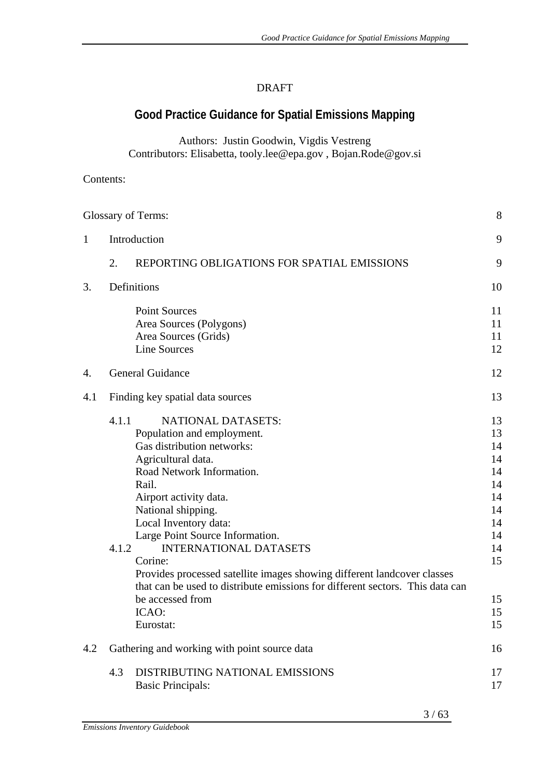## DRAFT

# **Good Practice Guidance for Spatial Emissions Mapping**

Authors: Justin Goodwin, Vigdis Vestreng Contributors: Elisabetta, tooly.lee@epa.gov , Bojan.Rode@gov.si

### Contents:

|              | 8<br>Glossary of Terms: |                                                                                                                                                                                                                                                                                                                                                                                                                                                                                                                 |                                                                                        |  |
|--------------|-------------------------|-----------------------------------------------------------------------------------------------------------------------------------------------------------------------------------------------------------------------------------------------------------------------------------------------------------------------------------------------------------------------------------------------------------------------------------------------------------------------------------------------------------------|----------------------------------------------------------------------------------------|--|
| $\mathbf{1}$ |                         | Introduction                                                                                                                                                                                                                                                                                                                                                                                                                                                                                                    | 9                                                                                      |  |
|              | 2.                      | REPORTING OBLIGATIONS FOR SPATIAL EMISSIONS                                                                                                                                                                                                                                                                                                                                                                                                                                                                     | 9                                                                                      |  |
| 3.           |                         | Definitions                                                                                                                                                                                                                                                                                                                                                                                                                                                                                                     | 10                                                                                     |  |
|              |                         | <b>Point Sources</b><br>Area Sources (Polygons)<br>Area Sources (Grids)<br><b>Line Sources</b>                                                                                                                                                                                                                                                                                                                                                                                                                  | 11<br>11<br>11<br>12                                                                   |  |
| 4.           |                         | <b>General Guidance</b>                                                                                                                                                                                                                                                                                                                                                                                                                                                                                         | 12                                                                                     |  |
| 4.1          |                         | Finding key spatial data sources                                                                                                                                                                                                                                                                                                                                                                                                                                                                                | 13                                                                                     |  |
|              | 4.1.1<br>4.1.2          | <b>NATIONAL DATASETS:</b><br>Population and employment.<br>Gas distribution networks:<br>Agricultural data.<br>Road Network Information.<br>Rail.<br>Airport activity data.<br>National shipping.<br>Local Inventory data:<br>Large Point Source Information.<br><b>INTERNATIONAL DATASETS</b><br>Corine:<br>Provides processed satellite images showing different landcover classes<br>that can be used to distribute emissions for different sectors. This data can<br>be accessed from<br>ICAO:<br>Eurostat: | 13<br>13<br>14<br>14<br>14<br>14<br>14<br>14<br>14<br>14<br>14<br>15<br>15<br>15<br>15 |  |
| 4.2          |                         | Gathering and working with point source data                                                                                                                                                                                                                                                                                                                                                                                                                                                                    | 16                                                                                     |  |
|              | 4.3                     | DISTRIBUTING NATIONAL EMISSIONS<br><b>Basic Principals:</b>                                                                                                                                                                                                                                                                                                                                                                                                                                                     | 17<br>17                                                                               |  |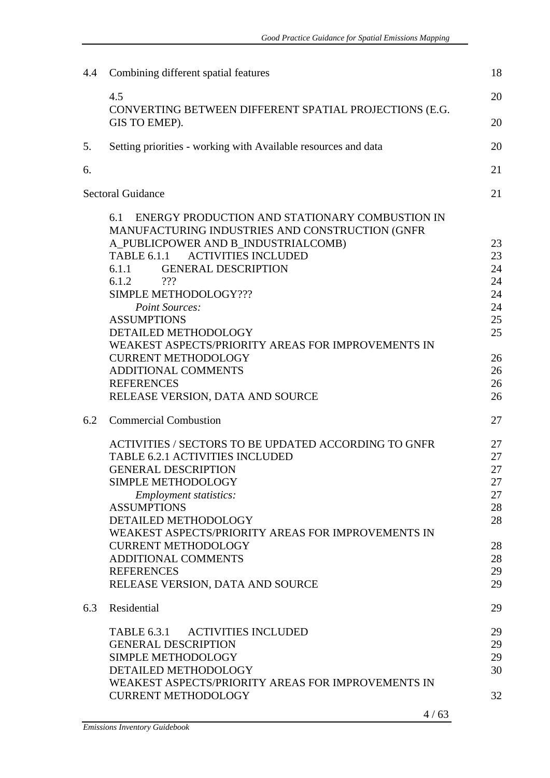| 4.4 | Combining different spatial features                                                                                                                                                                                                                                                                                                                                                                         | 18                                                             |
|-----|--------------------------------------------------------------------------------------------------------------------------------------------------------------------------------------------------------------------------------------------------------------------------------------------------------------------------------------------------------------------------------------------------------------|----------------------------------------------------------------|
|     | 4.5<br>CONVERTING BETWEEN DIFFERENT SPATIAL PROJECTIONS (E.G.                                                                                                                                                                                                                                                                                                                                                | 20                                                             |
|     | GIS TO EMEP).                                                                                                                                                                                                                                                                                                                                                                                                | 20                                                             |
| 5.  | Setting priorities - working with Available resources and data                                                                                                                                                                                                                                                                                                                                               | 20                                                             |
| 6.  |                                                                                                                                                                                                                                                                                                                                                                                                              | 21                                                             |
|     | <b>Sectoral Guidance</b>                                                                                                                                                                                                                                                                                                                                                                                     | 21                                                             |
|     | ENERGY PRODUCTION AND STATIONARY COMBUSTION IN<br>6.1<br>MANUFACTURING INDUSTRIES AND CONSTRUCTION (GNFR<br>A_PUBLICPOWER AND B_INDUSTRIALCOMB)<br><b>ACTIVITIES INCLUDED</b><br><b>TABLE 6.1.1</b><br><b>GENERAL DESCRIPTION</b><br>6.1.1<br>6.1.2<br>222<br>SIMPLE METHODOLOGY???<br>Point Sources:                                                                                                        | 23<br>23<br>24<br>24<br>24<br>24                               |
|     | <b>ASSUMPTIONS</b><br>DETAILED METHODOLOGY<br>WEAKEST ASPECTS/PRIORITY AREAS FOR IMPROVEMENTS IN<br><b>CURRENT METHODOLOGY</b>                                                                                                                                                                                                                                                                               | 25<br>25<br>26                                                 |
|     | ADDITIONAL COMMENTS<br><b>REFERENCES</b><br>RELEASE VERSION, DATA AND SOURCE                                                                                                                                                                                                                                                                                                                                 | 26<br>26<br>26                                                 |
| 6.2 | <b>Commercial Combustion</b>                                                                                                                                                                                                                                                                                                                                                                                 | 27                                                             |
|     | ACTIVITIES / SECTORS TO BE UPDATED ACCORDING TO GNFR<br><b>TABLE 6.2.1 ACTIVITIES INCLUDED</b><br><b>GENERAL DESCRIPTION</b><br>SIMPLE METHODOLOGY<br><b>Employment statistics:</b><br><b>ASSUMPTIONS</b><br>DETAILED METHODOLOGY<br>WEAKEST ASPECTS/PRIORITY AREAS FOR IMPROVEMENTS IN<br><b>CURRENT METHODOLOGY</b><br><b>ADDITIONAL COMMENTS</b><br><b>REFERENCES</b><br>RELEASE VERSION, DATA AND SOURCE | 27<br>27<br>27<br>27<br>27<br>28<br>28<br>28<br>28<br>29<br>29 |
| 6.3 | Residential                                                                                                                                                                                                                                                                                                                                                                                                  | 29                                                             |
|     | <b>ACTIVITIES INCLUDED</b><br>TABLE 6.3.1<br><b>GENERAL DESCRIPTION</b><br>SIMPLE METHODOLOGY<br>DETAILED METHODOLOGY<br>WEAKEST ASPECTS/PRIORITY AREAS FOR IMPROVEMENTS IN<br><b>CURRENT METHODOLOGY</b><br>4/63                                                                                                                                                                                            | 29<br>29<br>29<br>30<br>32                                     |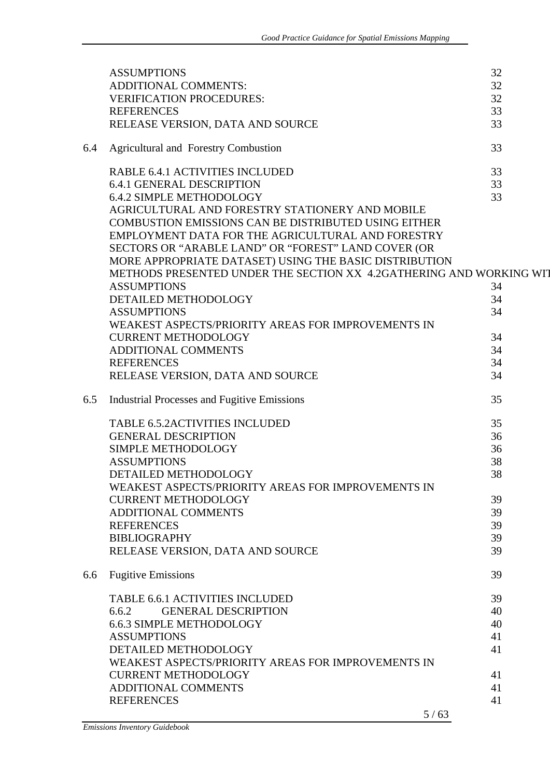|     | <b>ASSUMPTIONS</b>                                                  | 32 |
|-----|---------------------------------------------------------------------|----|
|     | ADDITIONAL COMMENTS:                                                | 32 |
|     | <b>VERIFICATION PROCEDURES:</b>                                     | 32 |
|     | <b>REFERENCES</b>                                                   | 33 |
|     | RELEASE VERSION, DATA AND SOURCE                                    | 33 |
|     |                                                                     |    |
| 6.4 | <b>Agricultural and Forestry Combustion</b>                         | 33 |
|     | RABLE 6.4.1 ACTIVITIES INCLUDED                                     | 33 |
|     | <b>6.4.1 GENERAL DESCRIPTION</b>                                    | 33 |
|     | <b>6.4.2 SIMPLE METHODOLOGY</b>                                     | 33 |
|     | AGRICULTURAL AND FORESTRY STATIONERY AND MOBILE                     |    |
|     | <b>COMBUSTION EMISSIONS CAN BE DISTRIBUTED USING EITHER</b>         |    |
|     | EMPLOYMENT DATA FOR THE AGRICULTURAL AND FORESTRY                   |    |
|     | SECTORS OR "ARABLE LAND" OR "FOREST" LAND COVER (OR                 |    |
|     | MORE APPROPRIATE DATASET) USING THE BASIC DISTRIBUTION              |    |
|     | METHODS PRESENTED UNDER THE SECTION XX 4.2GATHERING AND WORKING WIT |    |
|     | <b>ASSUMPTIONS</b>                                                  | 34 |
|     | DETAILED METHODOLOGY                                                | 34 |
|     | <b>ASSUMPTIONS</b>                                                  | 34 |
|     | WEAKEST ASPECTS/PRIORITY AREAS FOR IMPROVEMENTS IN                  |    |
|     | <b>CURRENT METHODOLOGY</b>                                          | 34 |
|     | <b>ADDITIONAL COMMENTS</b>                                          | 34 |
|     | <b>REFERENCES</b>                                                   | 34 |
|     | RELEASE VERSION, DATA AND SOURCE                                    | 34 |
|     |                                                                     |    |
| 6.5 | <b>Industrial Processes and Fugitive Emissions</b>                  | 35 |
|     | <b>TABLE 6.5.2ACTIVITIES INCLUDED</b>                               | 35 |
|     | <b>GENERAL DESCRIPTION</b>                                          | 36 |
|     | SIMPLE METHODOLOGY                                                  | 36 |
|     | <b>ASSUMPTIONS</b>                                                  | 38 |
|     | DETAILED METHODOLOGY                                                | 38 |
|     | WEAKEST ASPECTS/PRIORITY AREAS FOR IMPROVEMENTS IN                  |    |
|     | <b>CURRENT METHODOLOGY</b>                                          | 39 |
|     | <b>ADDITIONAL COMMENTS</b>                                          | 39 |
|     | <b>REFERENCES</b>                                                   | 39 |
|     | <b>BIBLIOGRAPHY</b>                                                 | 39 |
|     | RELEASE VERSION, DATA AND SOURCE                                    | 39 |
|     |                                                                     |    |
| 6.6 | <b>Fugitive Emissions</b>                                           | 39 |
|     | <b>TABLE 6.6.1 ACTIVITIES INCLUDED</b>                              | 39 |
|     | <b>GENERAL DESCRIPTION</b><br>6.6.2                                 | 40 |
|     | 6.6.3 SIMPLE METHODOLOGY                                            | 40 |
|     | <b>ASSUMPTIONS</b>                                                  | 41 |
|     | DETAILED METHODOLOGY                                                | 41 |
|     | WEAKEST ASPECTS/PRIORITY AREAS FOR IMPROVEMENTS IN                  |    |
|     | <b>CURRENT METHODOLOGY</b>                                          | 41 |
|     | <b>ADDITIONAL COMMENTS</b>                                          | 41 |
|     | <b>REFERENCES</b>                                                   | 41 |
|     | 5/63                                                                |    |
|     |                                                                     |    |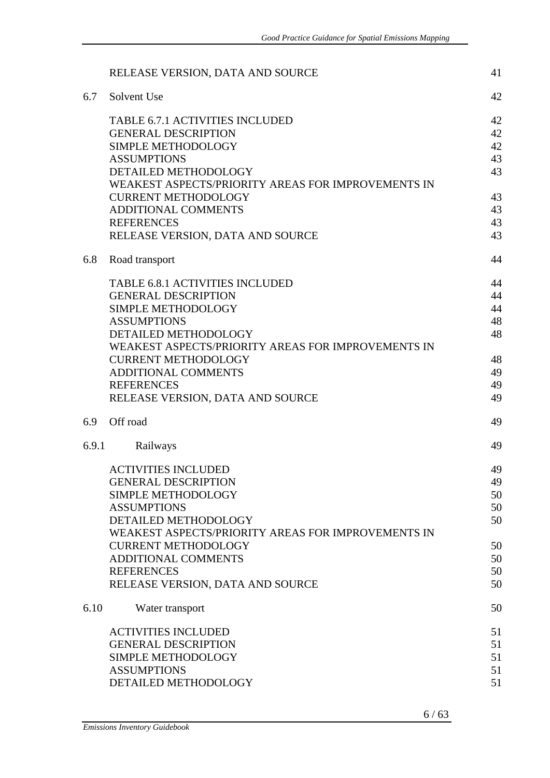|       | RELEASE VERSION, DATA AND SOURCE                                     | 41       |
|-------|----------------------------------------------------------------------|----------|
| 6.7   | Solvent Use                                                          | 42       |
|       | <b>TABLE 6.7.1 ACTIVITIES INCLUDED</b><br><b>GENERAL DESCRIPTION</b> | 42<br>42 |
|       | SIMPLE METHODOLOGY                                                   | 42       |
|       | <b>ASSUMPTIONS</b>                                                   | 43       |
|       | DETAILED METHODOLOGY                                                 | 43       |
|       | WEAKEST ASPECTS/PRIORITY AREAS FOR IMPROVEMENTS IN                   |          |
|       | <b>CURRENT METHODOLOGY</b>                                           | 43       |
|       | <b>ADDITIONAL COMMENTS</b>                                           | 43       |
|       | <b>REFERENCES</b>                                                    | 43       |
|       | RELEASE VERSION, DATA AND SOURCE                                     | 43       |
| 6.8   | Road transport                                                       | 44       |
|       | <b>TABLE 6.8.1 ACTIVITIES INCLUDED</b>                               | 44       |
|       | <b>GENERAL DESCRIPTION</b>                                           | 44       |
|       | <b>SIMPLE METHODOLOGY</b>                                            | 44       |
|       | <b>ASSUMPTIONS</b>                                                   | 48       |
|       | DETAILED METHODOLOGY                                                 | 48       |
|       | WEAKEST ASPECTS/PRIORITY AREAS FOR IMPROVEMENTS IN                   |          |
|       | <b>CURRENT METHODOLOGY</b>                                           | 48       |
|       | ADDITIONAL COMMENTS                                                  | 49       |
|       | <b>REFERENCES</b>                                                    | 49       |
|       | RELEASE VERSION, DATA AND SOURCE                                     | 49       |
| 6.9   | Off road                                                             | 49       |
| 6.9.1 | Railways                                                             | 49       |
|       | <b>ACTIVITIES INCLUDED</b>                                           | 49       |
|       | <b>GENERAL DESCRIPTION</b>                                           | 49       |
|       | SIMPLE METHODOLOGY                                                   | 50       |
|       | <b>ASSUMPTIONS</b>                                                   | 50       |
|       | DETAILED METHODOLOGY                                                 | 50       |
|       | WEAKEST ASPECTS/PRIORITY AREAS FOR IMPROVEMENTS IN                   |          |
|       | <b>CURRENT METHODOLOGY</b>                                           | 50       |
|       | ADDITIONAL COMMENTS                                                  | 50       |
|       | <b>REFERENCES</b>                                                    | 50       |
|       | RELEASE VERSION, DATA AND SOURCE                                     | 50       |
| 6.10  | Water transport                                                      | 50       |
|       | <b>ACTIVITIES INCLUDED</b>                                           | 51       |
|       | <b>GENERAL DESCRIPTION</b>                                           | 51       |
|       | SIMPLE METHODOLOGY                                                   | 51       |
|       | <b>ASSUMPTIONS</b>                                                   | 51       |
|       | DETAILED METHODOLOGY                                                 | 51       |

 $6/63$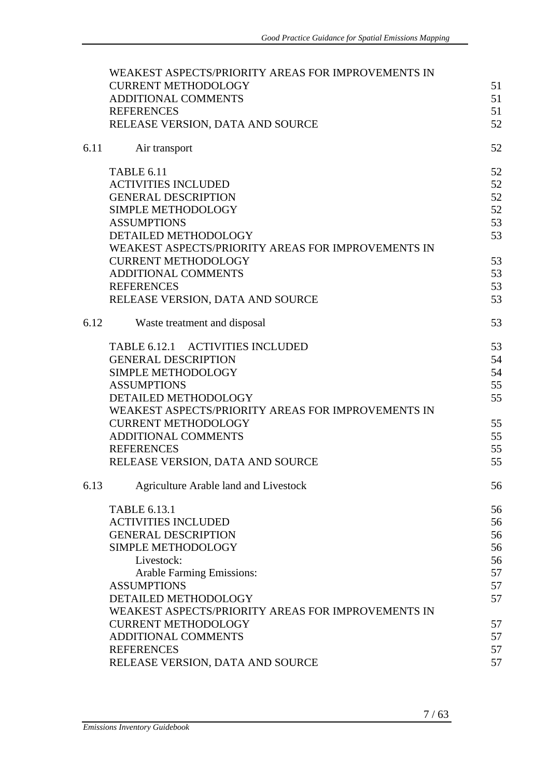|      | WEAKEST ASPECTS/PRIORITY AREAS FOR IMPROVEMENTS IN |    |
|------|----------------------------------------------------|----|
|      | <b>CURRENT METHODOLOGY</b>                         | 51 |
|      | ADDITIONAL COMMENTS                                | 51 |
|      | <b>REFERENCES</b>                                  | 51 |
|      | RELEASE VERSION, DATA AND SOURCE                   | 52 |
|      |                                                    |    |
| 6.11 | Air transport                                      | 52 |
|      | <b>TABLE 6.11</b>                                  | 52 |
|      | <b>ACTIVITIES INCLUDED</b>                         | 52 |
|      | <b>GENERAL DESCRIPTION</b>                         | 52 |
|      | SIMPLE METHODOLOGY                                 | 52 |
|      | <b>ASSUMPTIONS</b>                                 | 53 |
|      | DETAILED METHODOLOGY                               | 53 |
|      | WEAKEST ASPECTS/PRIORITY AREAS FOR IMPROVEMENTS IN |    |
|      | <b>CURRENT METHODOLOGY</b>                         | 53 |
|      | <b>ADDITIONAL COMMENTS</b>                         | 53 |
|      | <b>REFERENCES</b>                                  | 53 |
|      | RELEASE VERSION, DATA AND SOURCE                   | 53 |
|      |                                                    |    |
| 6.12 | Waste treatment and disposal                       | 53 |
|      | TABLE 6.12.1 ACTIVITIES INCLUDED                   | 53 |
|      | <b>GENERAL DESCRIPTION</b>                         | 54 |
|      | <b>SIMPLE METHODOLOGY</b>                          | 54 |
|      | <b>ASSUMPTIONS</b>                                 | 55 |
|      | DETAILED METHODOLOGY                               | 55 |
|      | WEAKEST ASPECTS/PRIORITY AREAS FOR IMPROVEMENTS IN |    |
|      | <b>CURRENT METHODOLOGY</b>                         | 55 |
|      | <b>ADDITIONAL COMMENTS</b>                         | 55 |
|      | <b>REFERENCES</b>                                  | 55 |
|      | RELEASE VERSION, DATA AND SOURCE                   | 55 |
|      |                                                    |    |
| 6.13 | Agriculture Arable land and Livestock              | 56 |
|      | <b>TABLE 6.13.1</b>                                | 56 |
|      | <b>ACTIVITIES INCLUDED</b>                         | 56 |
|      | <b>GENERAL DESCRIPTION</b>                         | 56 |
|      | <b>SIMPLE METHODOLOGY</b>                          | 56 |
|      | Livestock:                                         | 56 |
|      | <b>Arable Farming Emissions:</b>                   | 57 |
|      | <b>ASSUMPTIONS</b>                                 | 57 |
|      | DETAILED METHODOLOGY                               | 57 |
|      | WEAKEST ASPECTS/PRIORITY AREAS FOR IMPROVEMENTS IN |    |
|      | <b>CURRENT METHODOLOGY</b>                         | 57 |
|      | ADDITIONAL COMMENTS                                | 57 |
|      | <b>REFERENCES</b>                                  | 57 |
|      | RELEASE VERSION, DATA AND SOURCE                   | 57 |
|      |                                                    |    |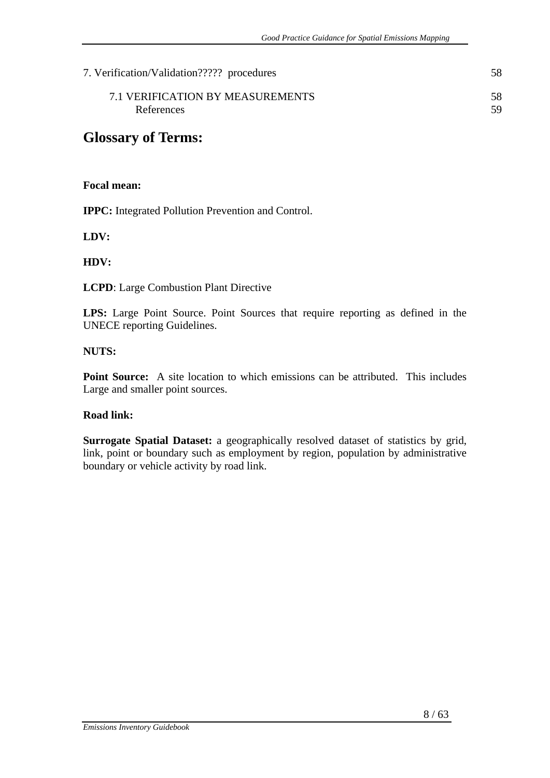| 7. Verification/Validation????? procedures | 58. |
|--------------------------------------------|-----|
| 7.1 VERIFICATION BY MEASUREMENTS           | 58. |
| References                                 | 59  |

# **Glossary of Terms:**

#### **Focal mean:**

**IPPC:** Integrated Pollution Prevention and Control.

**LDV:** 

#### **HDV:**

**LCPD**: Large Combustion Plant Directive

LPS: Large Point Source. Point Sources that require reporting as defined in the UNECE reporting Guidelines.

#### **NUTS:**

**Point Source:** A site location to which emissions can be attributed. This includes Large and smaller point sources.

#### **Road link:**

**Surrogate Spatial Dataset:** a geographically resolved dataset of statistics by grid, link, point or boundary such as employment by region, population by administrative boundary or vehicle activity by road link.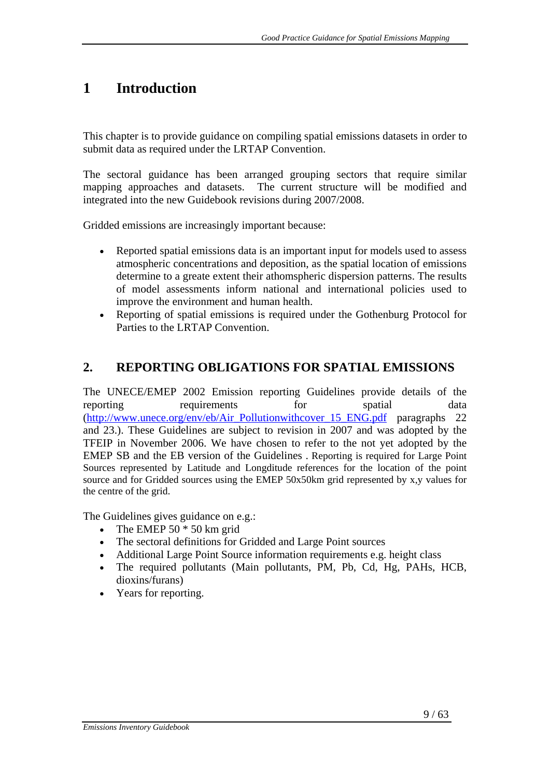# **1 Introduction**

This chapter is to provide guidance on compiling spatial emissions datasets in order to submit data as required under the LRTAP Convention.

The sectoral guidance has been arranged grouping sectors that require similar mapping approaches and datasets. The current structure will be modified and integrated into the new Guidebook revisions during 2007/2008.

Gridded emissions are increasingly important because:

- Reported spatial emissions data is an important input for models used to assess atmospheric concentrations and deposition, as the spatial location of emissions determine to a greate extent their athomspheric dispersion patterns. The results of model assessments inform national and international policies used to improve the environment and human health.
- Reporting of spatial emissions is required under the Gothenburg Protocol for Parties to the LRTAP Convention.

# **2. REPORTING OBLIGATIONS FOR SPATIAL EMISSIONS**

The UNECE/EMEP 2002 Emission reporting Guidelines provide details of the reporting requirements for spatial data (http://www.unece.org/env/eb/Air\_Pollutionwithcover\_15\_ENG.pdf paragraphs 22 and 23.). These Guidelines are subject to revision in 2007 and was adopted by the TFEIP in November 2006. We have chosen to refer to the not yet adopted by the EMEP SB and the EB version of the Guidelines . Reporting is required for Large Point Sources represented by Latitude and Longditude references for the location of the point source and for Gridded sources using the EMEP 50x50km grid represented by x,y values for the centre of the grid.

The Guidelines gives guidance on e.g.:

- The EMEP  $50 * 50$  km grid
- The sectoral definitions for Gridded and Large Point sources
- Additional Large Point Source information requirements e.g. height class
- The required pollutants (Main pollutants, PM, Pb, Cd, Hg, PAHs, HCB, dioxins/furans)
- Years for reporting.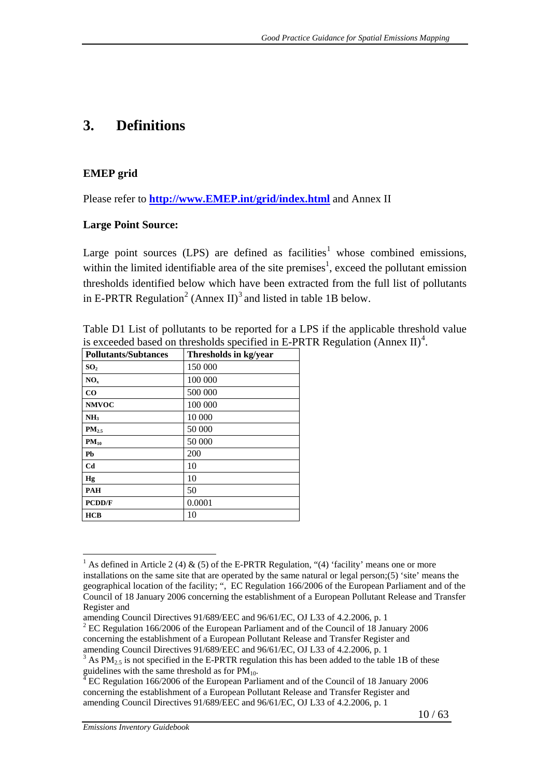# **3. Definitions**

#### **EMEP grid**

Please refer to **http://www.EMEP.int/grid/index.html** and Annex II

#### **Large Point Source:**

Large point sources (LPS) are defined as facilities<sup>1</sup> whose combined emissions, within the limited identifiable area of the site premises<sup>1</sup>, exceed the pollutant emission thresholds identified below which have been extracted from the full list of pollutants in E-PRTR Regulation<sup>2</sup> (Annex II)<sup>3</sup> and listed in table 1B below.

| <b>Pollutants/Subtances</b> | Thresholds in kg/year |
|-----------------------------|-----------------------|
| SO <sub>2</sub>             | 150 000               |
| $NO_{x}$                    | 100 000               |
| $_{\rm CO}$                 | 500 000               |
| <b>NMVOC</b>                | 100 000               |
| NH <sub>3</sub>             | 10 000                |
| $PM_{2.5}$                  | 50 000                |
| $PM_{10}$                   | 50 000                |
| Pb                          | 200                   |
| C <sub>d</sub>              | 10                    |
| Hg                          | 10                    |
| <b>PAH</b>                  | 50                    |
| <b>PCDD/F</b>               | 0.0001                |
| <b>HCB</b>                  | 10                    |

Table D1 List of pollutants to be reported for a LPS if the applicable threshold value is exceeded based on thresholds specified in E-PRTR Regulation (Annex II)<sup>4</sup>.

<sup>&</sup>lt;sup>1</sup> As defined in Article 2 (4) & (5) of the E-PRTR Regulation, "(4) 'facility' means one or more installations on the same site that are operated by the same natural or legal person;(5) 'site' means the geographical location of the facility; ", EC Regulation 166/2006 of the European Parliament and of the Council of 18 January 2006 concerning the establishment of a European Pollutant Release and Transfer Register and

amending Council Directives 91/689/EEC and 96/61/EC, OJ L33 of 4.2.2006, p. 1<br><sup>2</sup> EC Regulation 166/2006 of the European Parliament and of the Council of 18 January 2006 concerning the establishment of a European Pollutant Release and Transfer Register and amending Council Directives 91/689/EEC and 96/61/EC, OJ L33 of 4.2.2006, p. 1

 $3$  As PM<sub>2.5</sub> is not specified in the E-PRTR regulation this has been added to the table 1B of these guidelines with the same threshold as for  $PM_{10}$ .

EC Regulation 166/2006 of the European Parliament and of the Council of 18 January 2006 concerning the establishment of a European Pollutant Release and Transfer Register and amending Council Directives 91/689/EEC and 96/61/EC, OJ L33 of 4.2.2006, p. 1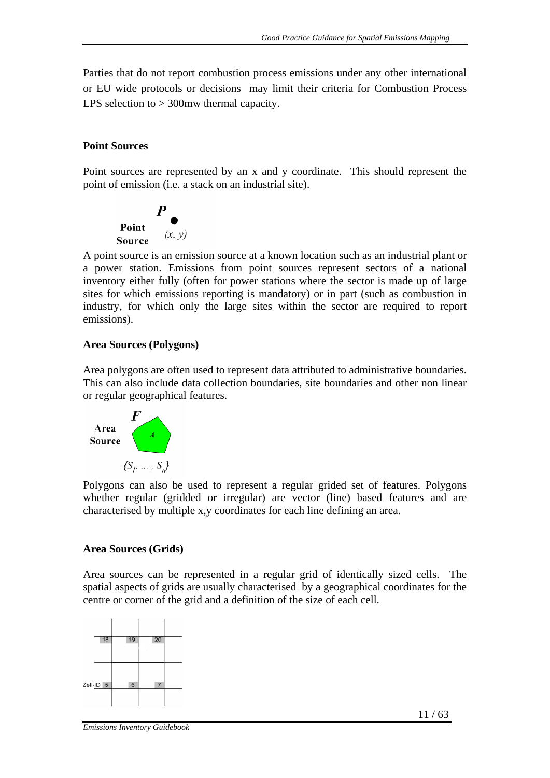Parties that do not report combustion process emissions under any other international or EU wide protocols or decisions may limit their criteria for Combustion Process LPS selection to > 300mw thermal capacity.

#### **Point Sources**

Point sources are represented by an x and y coordinate. This should represent the point of emission (i.e. a stack on an industrial site).



A point source is an emission source at a known location such as an industrial plant or a power station. Emissions from point sources represent sectors of a national inventory either fully (often for power stations where the sector is made up of large sites for which emissions reporting is mandatory) or in part (such as combustion in industry, for which only the large sites within the sector are required to report emissions).

#### **Area Sources (Polygons)**

Area polygons are often used to represent data attributed to administrative boundaries. This can also include data collection boundaries, site boundaries and other non linear or regular geographical features.



Polygons can also be used to represent a regular grided set of features. Polygons whether regular (gridded or irregular) are vector (line) based features and are characterised by multiple x,y coordinates for each line defining an area.

#### **Area Sources (Grids)**

Area sources can be represented in a regular grid of identically sized cells. The spatial aspects of grids are usually characterised by a geographical coordinates for the centre or corner of the grid and a definition of the size of each cell.

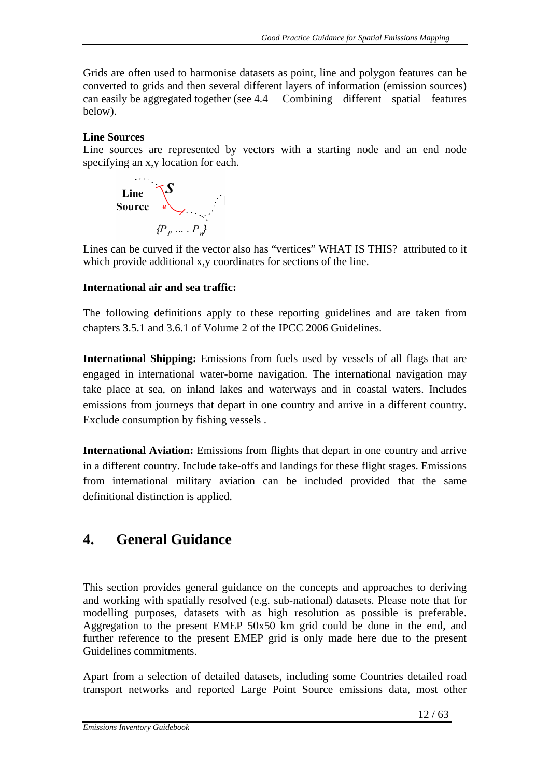Grids are often used to harmonise datasets as point, line and polygon features can be converted to grids and then several different layers of information (emission sources) can easily be aggregated together (see 4.4 Combining different spatial features below).

#### **Line Sources**

Line sources are represented by vectors with a starting node and an end node specifying an x,y location for each.



 Lines can be curved if the vector also has "vertices" WHAT IS THIS? attributed to it which provide additional x, y coordinates for sections of the line.

#### **International air and sea traffic:**

The following definitions apply to these reporting guidelines and are taken from chapters 3.5.1 and 3.6.1 of Volume 2 of the IPCC 2006 Guidelines.

**International Shipping:** Emissions from fuels used by vessels of all flags that are engaged in international water-borne navigation. The international navigation may take place at sea, on inland lakes and waterways and in coastal waters. Includes emissions from journeys that depart in one country and arrive in a different country. Exclude consumption by fishing vessels .

**International Aviation:** Emissions from flights that depart in one country and arrive in a different country. Include take-offs and landings for these flight stages. Emissions from international military aviation can be included provided that the same definitional distinction is applied.

# **4. General Guidance**

This section provides general guidance on the concepts and approaches to deriving and working with spatially resolved (e.g. sub-national) datasets. Please note that for modelling purposes, datasets with as high resolution as possible is preferable. Aggregation to the present EMEP 50x50 km grid could be done in the end, and further reference to the present EMEP grid is only made here due to the present Guidelines commitments.

Apart from a selection of detailed datasets, including some Countries detailed road transport networks and reported Large Point Source emissions data, most other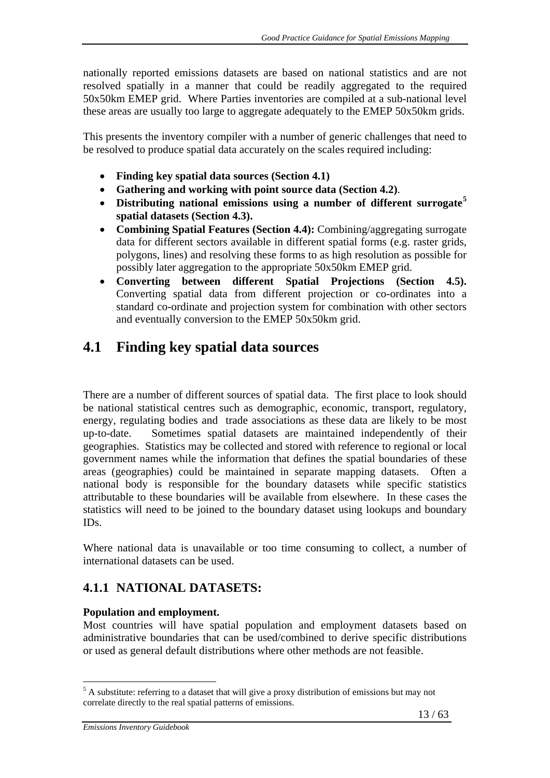nationally reported emissions datasets are based on national statistics and are not resolved spatially in a manner that could be readily aggregated to the required 50x50km EMEP grid. Where Parties inventories are compiled at a sub-national level these areas are usually too large to aggregate adequately to the EMEP 50x50km grids.

This presents the inventory compiler with a number of generic challenges that need to be resolved to produce spatial data accurately on the scales required including:

- **Finding key spatial data sources (Section 4.1)**
- **Gathering and working with point source data (Section 4.2)**.
- **Distributing national emissions using a number of different surrogate<sup>5</sup> spatial datasets (Section 4.3).**
- **Combining Spatial Features (Section 4.4):** Combining/aggregating surrogate data for different sectors available in different spatial forms (e.g. raster grids, polygons, lines) and resolving these forms to as high resolution as possible for possibly later aggregation to the appropriate 50x50km EMEP grid.
- **Converting between different Spatial Projections (Section 4.5).** Converting spatial data from different projection or co-ordinates into a standard co-ordinate and projection system for combination with other sectors and eventually conversion to the EMEP 50x50km grid.

# **4.1 Finding key spatial data sources**

There are a number of different sources of spatial data. The first place to look should be national statistical centres such as demographic, economic, transport, regulatory, energy, regulating bodies and trade associations as these data are likely to be most up-to-date. Sometimes spatial datasets are maintained independently of their geographies. Statistics may be collected and stored with reference to regional or local government names while the information that defines the spatial boundaries of these areas (geographies) could be maintained in separate mapping datasets. Often a national body is responsible for the boundary datasets while specific statistics attributable to these boundaries will be available from elsewhere. In these cases the statistics will need to be joined to the boundary dataset using lookups and boundary IDs.

Where national data is unavailable or too time consuming to collect, a number of international datasets can be used.

# **4.1.1 NATIONAL DATASETS:**

#### **Population and employment.**

Most countries will have spatial population and employment datasets based on administrative boundaries that can be used/combined to derive specific distributions or used as general default distributions where other methods are not feasible.

1

 $<sup>5</sup>$  A substitute: referring to a dataset that will give a proxy distribution of emissions but may not</sup> correlate directly to the real spatial patterns of emissions.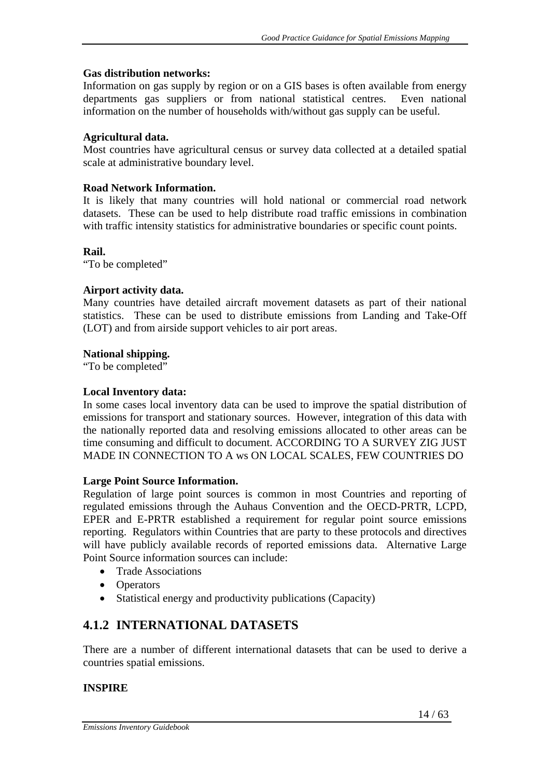#### **Gas distribution networks:**

Information on gas supply by region or on a GIS bases is often available from energy departments gas suppliers or from national statistical centres. Even national information on the number of households with/without gas supply can be useful.

#### **Agricultural data.**

Most countries have agricultural census or survey data collected at a detailed spatial scale at administrative boundary level.

#### **Road Network Information.**

It is likely that many countries will hold national or commercial road network datasets. These can be used to help distribute road traffic emissions in combination with traffic intensity statistics for administrative boundaries or specific count points.

#### **Rail.**

"To be completed"

#### **Airport activity data.**

Many countries have detailed aircraft movement datasets as part of their national statistics. These can be used to distribute emissions from Landing and Take-Off (LOT) and from airside support vehicles to air port areas.

#### **National shipping.**

"To be completed"

#### **Local Inventory data:**

In some cases local inventory data can be used to improve the spatial distribution of emissions for transport and stationary sources. However, integration of this data with the nationally reported data and resolving emissions allocated to other areas can be time consuming and difficult to document. ACCORDING TO A SURVEY ZIG JUST MADE IN CONNECTION TO A ws ON LOCAL SCALES, FEW COUNTRIES DO

#### **Large Point Source Information.**

Regulation of large point sources is common in most Countries and reporting of regulated emissions through the Auhaus Convention and the OECD-PRTR, LCPD, EPER and E-PRTR established a requirement for regular point source emissions reporting. Regulators within Countries that are party to these protocols and directives will have publicly available records of reported emissions data. Alternative Large Point Source information sources can include:

- Trade Associations
- Operators
- Statistical energy and productivity publications (Capacity)

## **4.1.2 INTERNATIONAL DATASETS**

There are a number of different international datasets that can be used to derive a countries spatial emissions.

#### **INSPIRE**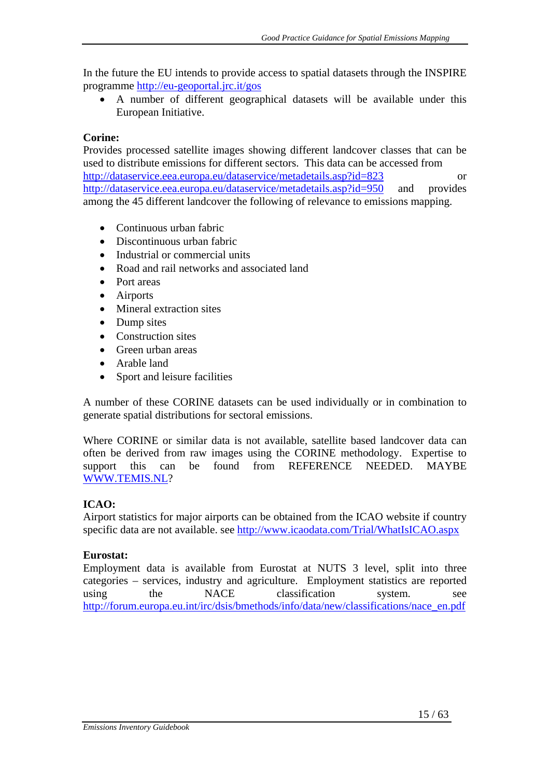In the future the EU intends to provide access to spatial datasets through the INSPIRE programme http://eu-geoportal.jrc.it/gos

• A number of different geographical datasets will be available under this European Initiative.

#### **Corine:**

Provides processed satellite images showing different landcover classes that can be used to distribute emissions for different sectors. This data can be accessed from http://dataservice.eea.europa.eu/dataservice/metadetails.asp?id=823 or http://dataservice.eea.europa.eu/dataservice/metadetails.asp?id=950 and provides among the 45 different landcover the following of relevance to emissions mapping.

- Continuous urban fabric
- Discontinuous urban fabric
- Industrial or commercial units
- Road and rail networks and associated land
- Port areas
- Airports
- Mineral extraction sites
- Dump sites
- Construction sites
- Green urban areas
- Arable land
- Sport and leisure facilities

A number of these CORINE datasets can be used individually or in combination to generate spatial distributions for sectoral emissions.

Where CORINE or similar data is not available, satellite based landcover data can often be derived from raw images using the CORINE methodology. Expertise to support this can be found from REFERENCE NEEDED. MAYBE WWW.TEMIS.NL?

#### **ICAO:**

Airport statistics for major airports can be obtained from the ICAO website if country specific data are not available. see http://www.icaodata.com/Trial/WhatIsICAO.aspx

#### **Eurostat:**

Employment data is available from Eurostat at NUTS 3 level, split into three categories – services, industry and agriculture. Employment statistics are reported using the NACE classification system. http://forum.europa.eu.int/irc/dsis/bmethods/info/data/new/classifications/nace\_en.pdf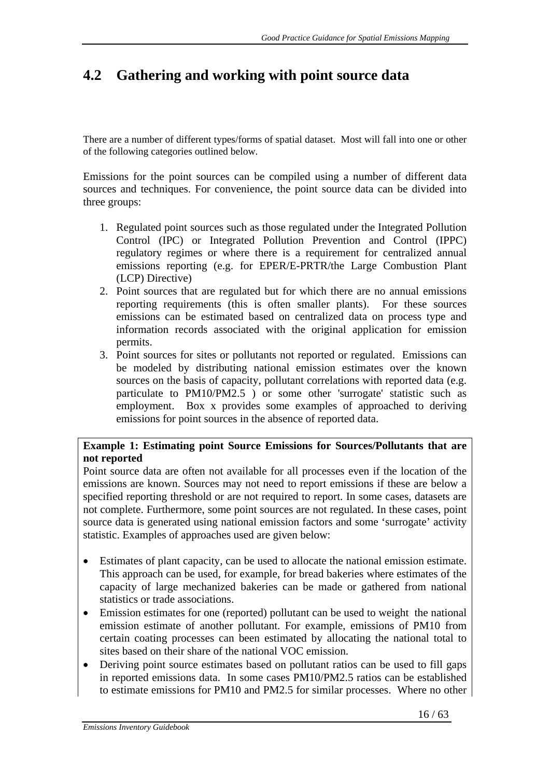# **4.2 Gathering and working with point source data**

There are a number of different types/forms of spatial dataset. Most will fall into one or other of the following categories outlined below.

Emissions for the point sources can be compiled using a number of different data sources and techniques. For convenience, the point source data can be divided into three groups:

- 1. Regulated point sources such as those regulated under the Integrated Pollution Control (IPC) or Integrated Pollution Prevention and Control (IPPC) regulatory regimes or where there is a requirement for centralized annual emissions reporting (e.g. for EPER/E-PRTR/the Large Combustion Plant (LCP) Directive)
- 2. Point sources that are regulated but for which there are no annual emissions reporting requirements (this is often smaller plants). For these sources emissions can be estimated based on centralized data on process type and information records associated with the original application for emission permits.
- 3. Point sources for sites or pollutants not reported or regulated. Emissions can be modeled by distributing national emission estimates over the known sources on the basis of capacity, pollutant correlations with reported data (e.g. particulate to PM10/PM2.5 ) or some other 'surrogate' statistic such as employment. Box x provides some examples of approached to deriving emissions for point sources in the absence of reported data.

#### **Example 1: Estimating point Source Emissions for Sources/Pollutants that are not reported**

Point source data are often not available for all processes even if the location of the emissions are known. Sources may not need to report emissions if these are below a specified reporting threshold or are not required to report. In some cases, datasets are not complete. Furthermore, some point sources are not regulated. In these cases, point source data is generated using national emission factors and some 'surrogate' activity statistic. Examples of approaches used are given below:

- Estimates of plant capacity, can be used to allocate the national emission estimate. This approach can be used, for example, for bread bakeries where estimates of the capacity of large mechanized bakeries can be made or gathered from national statistics or trade associations.
- Emission estimates for one (reported) pollutant can be used to weight the national emission estimate of another pollutant. For example, emissions of PM10 from certain coating processes can been estimated by allocating the national total to sites based on their share of the national VOC emission.
- Deriving point source estimates based on pollutant ratios can be used to fill gaps in reported emissions data. In some cases PM10/PM2.5 ratios can be established to estimate emissions for PM10 and PM2.5 for similar processes. Where no other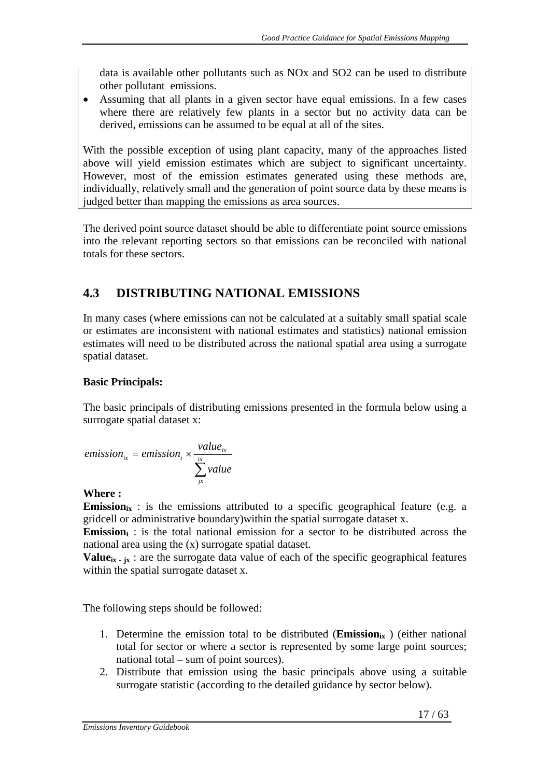data is available other pollutants such as NOx and SO2 can be used to distribute other pollutant emissions.

• Assuming that all plants in a given sector have equal emissions. In a few cases where there are relatively few plants in a sector but no activity data can be derived, emissions can be assumed to be equal at all of the sites.

With the possible exception of using plant capacity, many of the approaches listed above will yield emission estimates which are subject to significant uncertainty. However, most of the emission estimates generated using these methods are, individually, relatively small and the generation of point source data by these means is judged better than mapping the emissions as area sources.

The derived point source dataset should be able to differentiate point source emissions into the relevant reporting sectors so that emissions can be reconciled with national totals for these sectors.

# **4.3 DISTRIBUTING NATIONAL EMISSIONS**

In many cases (where emissions can not be calculated at a suitably small spatial scale or estimates are inconsistent with national estimates and statistics) national emission estimates will need to be distributed across the national spatial area using a surrogate spatial dataset.

#### **Basic Principals:**

The basic principals of distributing emissions presented in the formula below using a surrogate spatial dataset x:

$$
emission_{ix} = emission_{i} \times \frac{value_{ix}}{\sum_{jx}^{ix} value}
$$

#### **Where :**

**Emission**<sub>ix</sub>: is the emissions attributed to a specific geographical feature (e.g. a gridcell or administrative boundary)within the spatial surrogate dataset x.

**Emission** $_{t}$ : is the total national emission for a sector to be distributed across the national area using the (x) surrogate spatial dataset.

**Value**<sub>ix  $\cdot$  jx : are the surrogate data value of each of the specific geographical features</sub> within the spatial surrogate dataset x.

The following steps should be followed:

- 1. Determine the emission total to be distributed ( $Emission_{ix}$ ) (either national total for sector or where a sector is represented by some large point sources; national total – sum of point sources).
- 2. Distribute that emission using the basic principals above using a suitable surrogate statistic (according to the detailed guidance by sector below).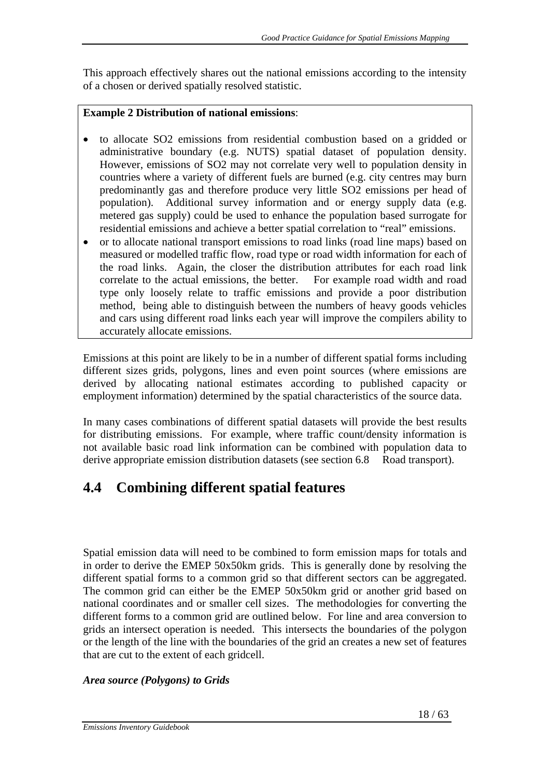This approach effectively shares out the national emissions according to the intensity of a chosen or derived spatially resolved statistic.

#### **Example 2 Distribution of national emissions**:

- to allocate SO2 emissions from residential combustion based on a gridded or administrative boundary (e.g. NUTS) spatial dataset of population density. However, emissions of SO2 may not correlate very well to population density in countries where a variety of different fuels are burned (e.g. city centres may burn predominantly gas and therefore produce very little SO2 emissions per head of population). Additional survey information and or energy supply data (e.g. metered gas supply) could be used to enhance the population based surrogate for residential emissions and achieve a better spatial correlation to "real" emissions.
- or to allocate national transport emissions to road links (road line maps) based on measured or modelled traffic flow, road type or road width information for each of the road links. Again, the closer the distribution attributes for each road link correlate to the actual emissions, the better. For example road width and road type only loosely relate to traffic emissions and provide a poor distribution method, being able to distinguish between the numbers of heavy goods vehicles and cars using different road links each year will improve the compilers ability to accurately allocate emissions.

Emissions at this point are likely to be in a number of different spatial forms including different sizes grids, polygons, lines and even point sources (where emissions are derived by allocating national estimates according to published capacity or employment information) determined by the spatial characteristics of the source data.

In many cases combinations of different spatial datasets will provide the best results for distributing emissions. For example, where traffic count/density information is not available basic road link information can be combined with population data to derive appropriate emission distribution datasets (see section 6.8 Road transport).

# **4.4 Combining different spatial features**

Spatial emission data will need to be combined to form emission maps for totals and in order to derive the EMEP 50x50km grids. This is generally done by resolving the different spatial forms to a common grid so that different sectors can be aggregated. The common grid can either be the EMEP 50x50km grid or another grid based on national coordinates and or smaller cell sizes. The methodologies for converting the different forms to a common grid are outlined below. For line and area conversion to grids an intersect operation is needed. This intersects the boundaries of the polygon or the length of the line with the boundaries of the grid an creates a new set of features that are cut to the extent of each gridcell.

#### *Area source (Polygons) to Grids*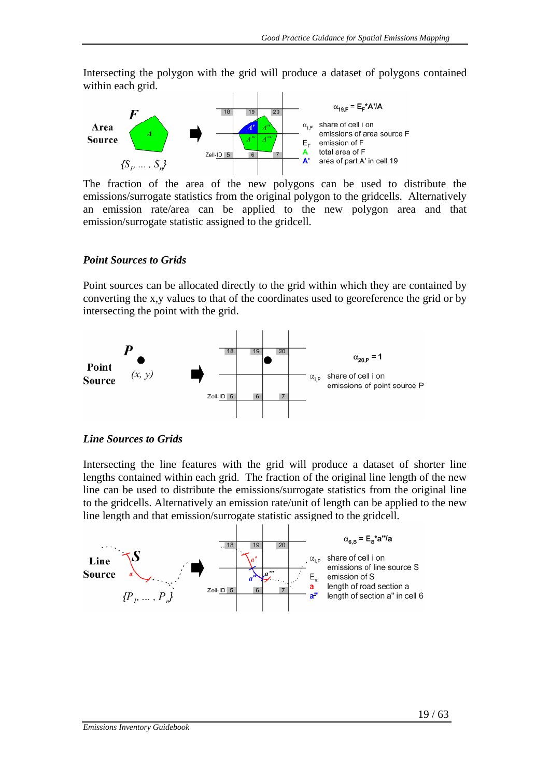Intersecting the polygon with the grid will produce a dataset of polygons contained within each grid.



emissions/surrogate statistics from the original polygon to the gridcells. Alternatively an emission rate/area can be applied to the new polygon area and that emission/surrogate statistic assigned to the gridcell.

#### *Point Sources to Grids*

Point sources can be allocated directly to the grid within which they are contained by converting the x,y values to that of the coordinates used to georeference the grid or by intersecting the point with the grid.



#### *Line Sources to Grids*

Intersecting the line features with the grid will produce a dataset of shorter line lengths contained within each grid. The fraction of the original line length of the new line can be used to distribute the emissions/surrogate statistics from the original line to the gridcells. Alternatively an emission rate/unit of length can be applied to the new line length and that emission/surrogate statistic assigned to the gridcell.

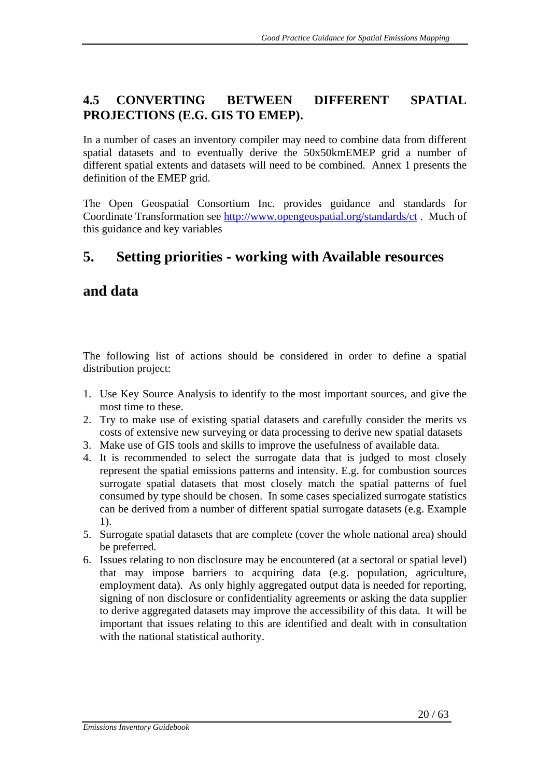# **4.5 CONVERTING BETWEEN DIFFERENT SPATIAL PROJECTIONS (E.G. GIS TO EMEP).**

In a number of cases an inventory compiler may need to combine data from different spatial datasets and to eventually derive the 50x50kmEMEP grid a number of different spatial extents and datasets will need to be combined. Annex 1 presents the definition of the EMEP grid.

The Open Geospatial Consortium Inc. provides guidance and standards for Coordinate Transformation see http://www.opengeospatial.org/standards/ct . Much of this guidance and key variables

# **5. Setting priorities - working with Available resources**

# **and data**

The following list of actions should be considered in order to define a spatial distribution project:

- 1. Use Key Source Analysis to identify to the most important sources, and give the most time to these.
- 2. Try to make use of existing spatial datasets and carefully consider the merits vs costs of extensive new surveying or data processing to derive new spatial datasets
- 3. Make use of GIS tools and skills to improve the usefulness of available data.
- 4. It is recommended to select the surrogate data that is judged to most closely represent the spatial emissions patterns and intensity. E.g. for combustion sources surrogate spatial datasets that most closely match the spatial patterns of fuel consumed by type should be chosen. In some cases specialized surrogate statistics can be derived from a number of different spatial surrogate datasets (e.g. Example 1).
- 5. Surrogate spatial datasets that are complete (cover the whole national area) should be preferred.
- 6. Issues relating to non disclosure may be encountered (at a sectoral or spatial level) that may impose barriers to acquiring data (e.g. population, agriculture, employment data). As only highly aggregated output data is needed for reporting, signing of non disclosure or confidentiality agreements or asking the data supplier to derive aggregated datasets may improve the accessibility of this data. It will be important that issues relating to this are identified and dealt with in consultation with the national statistical authority.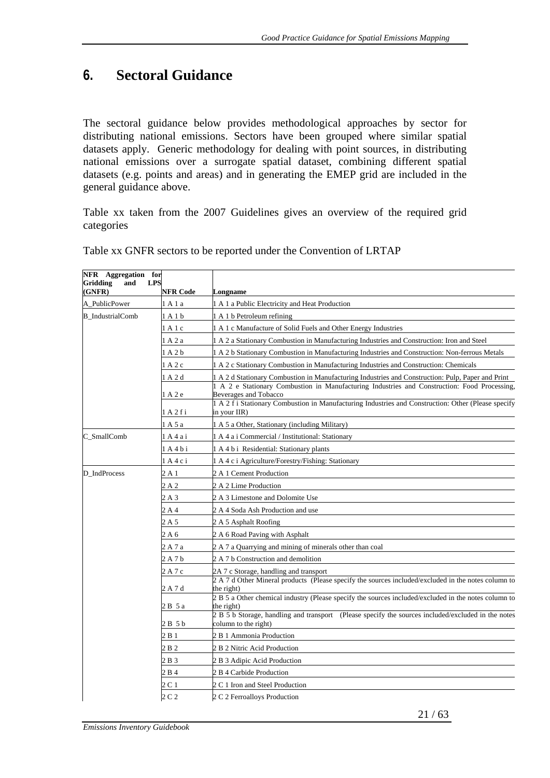# **6. Sectoral Guidance**

The sectoral guidance below provides methodological approaches by sector for distributing national emissions. Sectors have been grouped where similar spatial datasets apply. Generic methodology for dealing with point sources, in distributing national emissions over a surrogate spatial dataset, combining different spatial datasets (e.g. points and areas) and in generating the EMEP grid are included in the general guidance above.

Table xx taken from the 2007 Guidelines gives an overview of the required grid categories

| <b>NFR Code</b><br>Longname<br>1 A 1 a Public Electricity and Heat Production<br>1 A 1 a<br>1 A 1 b<br>A 1 b Petroleum refining<br>1 A 1 c Manufacture of Solid Fuels and Other Energy Industries<br>1 A 1 c<br>1 A 2 a<br>1 A 2 a Stationary Combustion in Manufacturing Industries and Construction: Iron and Steel<br>1 A 2 b<br>A 2 b Stationary Combustion in Manufacturing Industries and Construction: Non-ferrous Metals<br>1 A 2 c<br>1 A 2 c Stationary Combustion in Manufacturing Industries and Construction: Chemicals<br>1 A 2 d<br>A 2 d Stationary Combustion in Manufacturing Industries and Construction: Pulp, Paper and Print<br>A 2 e Stationary Combustion in Manufacturing Industries and Construction: Food Processing,<br>1 A 2 e<br>Beverages and Tobacco<br>1 A 2 f i Stationary Combustion in Manufacturing Industries and Construction: Other (Please specify<br>1 A 2 f i<br>in your IIR)<br>1 A 5 a<br>1 A 5 a Other, Stationary (including Military)<br>1 A 4 a i<br>1 A 4 a i Commercial / Institutional: Stationary<br>1 A 4 b i<br>1 A 4 b i Residential: Stationary plants<br>$1A4c$ i<br>A 4 c i Agriculture/Forestry/Fishing: Stationary<br>2 A 1<br>2 A 1 Cement Production<br>2 A 2<br>2 A 2 Lime Production<br>2 A 3<br>2 A 3 Limestone and Dolomite Use<br>2A4<br>2 A 4 Soda Ash Production and use<br>2A5<br>2 A 5 Asphalt Roofing<br>2 A 6<br>2 A 6 Road Paving with Asphalt<br>2 A 7 a<br>2 A 7 a Quarrying and mining of minerals other than coal<br>2 A 7 b<br>2 A 7 b Construction and demolition<br>2 A 7 c<br>2A 7 c Storage, handling and transport<br>2 A 7 d Other Mineral products (Please specify the sources included/excluded in the notes column to<br>2 A 7 d<br>the right)<br>2 B 5 a Other chemical industry (Please specify the sources included/excluded in the notes column to<br>2 B 5 a<br>the right)<br>2 B 5 b Storage, handling and transport (Please specify the sources included/excluded in the notes<br>column to the right)<br>2 B 5 b<br>2 B 1<br>2 B 1 Ammonia Production<br>2 B 2<br>2 B 2 Nitric Acid Production<br>2 B 3<br>2 B 3 Adipic Acid Production<br>2 B 4<br>2 B 4 Carbide Production<br>2 C 1<br>2 C 1 Iron and Steel Production | NFR Aggregation<br><b>Gridding</b><br><b>LPS</b><br>and | for              |                              |
|---------------------------------------------------------------------------------------------------------------------------------------------------------------------------------------------------------------------------------------------------------------------------------------------------------------------------------------------------------------------------------------------------------------------------------------------------------------------------------------------------------------------------------------------------------------------------------------------------------------------------------------------------------------------------------------------------------------------------------------------------------------------------------------------------------------------------------------------------------------------------------------------------------------------------------------------------------------------------------------------------------------------------------------------------------------------------------------------------------------------------------------------------------------------------------------------------------------------------------------------------------------------------------------------------------------------------------------------------------------------------------------------------------------------------------------------------------------------------------------------------------------------------------------------------------------------------------------------------------------------------------------------------------------------------------------------------------------------------------------------------------------------------------------------------------------------------------------------------------------------------------------------------------------------------------------------------------------------------------------------------------------------------------------------------------------------------------------------------------------------------------------------------------------------------------------------------------------------------|---------------------------------------------------------|------------------|------------------------------|
|                                                                                                                                                                                                                                                                                                                                                                                                                                                                                                                                                                                                                                                                                                                                                                                                                                                                                                                                                                                                                                                                                                                                                                                                                                                                                                                                                                                                                                                                                                                                                                                                                                                                                                                                                                                                                                                                                                                                                                                                                                                                                                                                                                                                                           | (GNFR)                                                  |                  |                              |
|                                                                                                                                                                                                                                                                                                                                                                                                                                                                                                                                                                                                                                                                                                                                                                                                                                                                                                                                                                                                                                                                                                                                                                                                                                                                                                                                                                                                                                                                                                                                                                                                                                                                                                                                                                                                                                                                                                                                                                                                                                                                                                                                                                                                                           | A_PublicPower                                           |                  |                              |
|                                                                                                                                                                                                                                                                                                                                                                                                                                                                                                                                                                                                                                                                                                                                                                                                                                                                                                                                                                                                                                                                                                                                                                                                                                                                                                                                                                                                                                                                                                                                                                                                                                                                                                                                                                                                                                                                                                                                                                                                                                                                                                                                                                                                                           | <b>B_IndustrialComb</b>                                 |                  |                              |
|                                                                                                                                                                                                                                                                                                                                                                                                                                                                                                                                                                                                                                                                                                                                                                                                                                                                                                                                                                                                                                                                                                                                                                                                                                                                                                                                                                                                                                                                                                                                                                                                                                                                                                                                                                                                                                                                                                                                                                                                                                                                                                                                                                                                                           |                                                         |                  |                              |
|                                                                                                                                                                                                                                                                                                                                                                                                                                                                                                                                                                                                                                                                                                                                                                                                                                                                                                                                                                                                                                                                                                                                                                                                                                                                                                                                                                                                                                                                                                                                                                                                                                                                                                                                                                                                                                                                                                                                                                                                                                                                                                                                                                                                                           |                                                         |                  |                              |
|                                                                                                                                                                                                                                                                                                                                                                                                                                                                                                                                                                                                                                                                                                                                                                                                                                                                                                                                                                                                                                                                                                                                                                                                                                                                                                                                                                                                                                                                                                                                                                                                                                                                                                                                                                                                                                                                                                                                                                                                                                                                                                                                                                                                                           |                                                         |                  |                              |
|                                                                                                                                                                                                                                                                                                                                                                                                                                                                                                                                                                                                                                                                                                                                                                                                                                                                                                                                                                                                                                                                                                                                                                                                                                                                                                                                                                                                                                                                                                                                                                                                                                                                                                                                                                                                                                                                                                                                                                                                                                                                                                                                                                                                                           |                                                         |                  |                              |
|                                                                                                                                                                                                                                                                                                                                                                                                                                                                                                                                                                                                                                                                                                                                                                                                                                                                                                                                                                                                                                                                                                                                                                                                                                                                                                                                                                                                                                                                                                                                                                                                                                                                                                                                                                                                                                                                                                                                                                                                                                                                                                                                                                                                                           |                                                         |                  |                              |
|                                                                                                                                                                                                                                                                                                                                                                                                                                                                                                                                                                                                                                                                                                                                                                                                                                                                                                                                                                                                                                                                                                                                                                                                                                                                                                                                                                                                                                                                                                                                                                                                                                                                                                                                                                                                                                                                                                                                                                                                                                                                                                                                                                                                                           |                                                         |                  |                              |
|                                                                                                                                                                                                                                                                                                                                                                                                                                                                                                                                                                                                                                                                                                                                                                                                                                                                                                                                                                                                                                                                                                                                                                                                                                                                                                                                                                                                                                                                                                                                                                                                                                                                                                                                                                                                                                                                                                                                                                                                                                                                                                                                                                                                                           |                                                         |                  |                              |
|                                                                                                                                                                                                                                                                                                                                                                                                                                                                                                                                                                                                                                                                                                                                                                                                                                                                                                                                                                                                                                                                                                                                                                                                                                                                                                                                                                                                                                                                                                                                                                                                                                                                                                                                                                                                                                                                                                                                                                                                                                                                                                                                                                                                                           |                                                         |                  |                              |
|                                                                                                                                                                                                                                                                                                                                                                                                                                                                                                                                                                                                                                                                                                                                                                                                                                                                                                                                                                                                                                                                                                                                                                                                                                                                                                                                                                                                                                                                                                                                                                                                                                                                                                                                                                                                                                                                                                                                                                                                                                                                                                                                                                                                                           | C_SmallComb                                             |                  |                              |
|                                                                                                                                                                                                                                                                                                                                                                                                                                                                                                                                                                                                                                                                                                                                                                                                                                                                                                                                                                                                                                                                                                                                                                                                                                                                                                                                                                                                                                                                                                                                                                                                                                                                                                                                                                                                                                                                                                                                                                                                                                                                                                                                                                                                                           |                                                         |                  |                              |
|                                                                                                                                                                                                                                                                                                                                                                                                                                                                                                                                                                                                                                                                                                                                                                                                                                                                                                                                                                                                                                                                                                                                                                                                                                                                                                                                                                                                                                                                                                                                                                                                                                                                                                                                                                                                                                                                                                                                                                                                                                                                                                                                                                                                                           |                                                         |                  |                              |
|                                                                                                                                                                                                                                                                                                                                                                                                                                                                                                                                                                                                                                                                                                                                                                                                                                                                                                                                                                                                                                                                                                                                                                                                                                                                                                                                                                                                                                                                                                                                                                                                                                                                                                                                                                                                                                                                                                                                                                                                                                                                                                                                                                                                                           | D IndProcess                                            |                  |                              |
|                                                                                                                                                                                                                                                                                                                                                                                                                                                                                                                                                                                                                                                                                                                                                                                                                                                                                                                                                                                                                                                                                                                                                                                                                                                                                                                                                                                                                                                                                                                                                                                                                                                                                                                                                                                                                                                                                                                                                                                                                                                                                                                                                                                                                           |                                                         |                  |                              |
|                                                                                                                                                                                                                                                                                                                                                                                                                                                                                                                                                                                                                                                                                                                                                                                                                                                                                                                                                                                                                                                                                                                                                                                                                                                                                                                                                                                                                                                                                                                                                                                                                                                                                                                                                                                                                                                                                                                                                                                                                                                                                                                                                                                                                           |                                                         |                  |                              |
|                                                                                                                                                                                                                                                                                                                                                                                                                                                                                                                                                                                                                                                                                                                                                                                                                                                                                                                                                                                                                                                                                                                                                                                                                                                                                                                                                                                                                                                                                                                                                                                                                                                                                                                                                                                                                                                                                                                                                                                                                                                                                                                                                                                                                           |                                                         |                  |                              |
|                                                                                                                                                                                                                                                                                                                                                                                                                                                                                                                                                                                                                                                                                                                                                                                                                                                                                                                                                                                                                                                                                                                                                                                                                                                                                                                                                                                                                                                                                                                                                                                                                                                                                                                                                                                                                                                                                                                                                                                                                                                                                                                                                                                                                           |                                                         |                  |                              |
|                                                                                                                                                                                                                                                                                                                                                                                                                                                                                                                                                                                                                                                                                                                                                                                                                                                                                                                                                                                                                                                                                                                                                                                                                                                                                                                                                                                                                                                                                                                                                                                                                                                                                                                                                                                                                                                                                                                                                                                                                                                                                                                                                                                                                           |                                                         |                  |                              |
|                                                                                                                                                                                                                                                                                                                                                                                                                                                                                                                                                                                                                                                                                                                                                                                                                                                                                                                                                                                                                                                                                                                                                                                                                                                                                                                                                                                                                                                                                                                                                                                                                                                                                                                                                                                                                                                                                                                                                                                                                                                                                                                                                                                                                           |                                                         |                  |                              |
|                                                                                                                                                                                                                                                                                                                                                                                                                                                                                                                                                                                                                                                                                                                                                                                                                                                                                                                                                                                                                                                                                                                                                                                                                                                                                                                                                                                                                                                                                                                                                                                                                                                                                                                                                                                                                                                                                                                                                                                                                                                                                                                                                                                                                           |                                                         |                  |                              |
|                                                                                                                                                                                                                                                                                                                                                                                                                                                                                                                                                                                                                                                                                                                                                                                                                                                                                                                                                                                                                                                                                                                                                                                                                                                                                                                                                                                                                                                                                                                                                                                                                                                                                                                                                                                                                                                                                                                                                                                                                                                                                                                                                                                                                           |                                                         |                  |                              |
|                                                                                                                                                                                                                                                                                                                                                                                                                                                                                                                                                                                                                                                                                                                                                                                                                                                                                                                                                                                                                                                                                                                                                                                                                                                                                                                                                                                                                                                                                                                                                                                                                                                                                                                                                                                                                                                                                                                                                                                                                                                                                                                                                                                                                           |                                                         |                  |                              |
|                                                                                                                                                                                                                                                                                                                                                                                                                                                                                                                                                                                                                                                                                                                                                                                                                                                                                                                                                                                                                                                                                                                                                                                                                                                                                                                                                                                                                                                                                                                                                                                                                                                                                                                                                                                                                                                                                                                                                                                                                                                                                                                                                                                                                           |                                                         |                  |                              |
|                                                                                                                                                                                                                                                                                                                                                                                                                                                                                                                                                                                                                                                                                                                                                                                                                                                                                                                                                                                                                                                                                                                                                                                                                                                                                                                                                                                                                                                                                                                                                                                                                                                                                                                                                                                                                                                                                                                                                                                                                                                                                                                                                                                                                           |                                                         |                  |                              |
|                                                                                                                                                                                                                                                                                                                                                                                                                                                                                                                                                                                                                                                                                                                                                                                                                                                                                                                                                                                                                                                                                                                                                                                                                                                                                                                                                                                                                                                                                                                                                                                                                                                                                                                                                                                                                                                                                                                                                                                                                                                                                                                                                                                                                           |                                                         |                  |                              |
|                                                                                                                                                                                                                                                                                                                                                                                                                                                                                                                                                                                                                                                                                                                                                                                                                                                                                                                                                                                                                                                                                                                                                                                                                                                                                                                                                                                                                                                                                                                                                                                                                                                                                                                                                                                                                                                                                                                                                                                                                                                                                                                                                                                                                           |                                                         |                  |                              |
|                                                                                                                                                                                                                                                                                                                                                                                                                                                                                                                                                                                                                                                                                                                                                                                                                                                                                                                                                                                                                                                                                                                                                                                                                                                                                                                                                                                                                                                                                                                                                                                                                                                                                                                                                                                                                                                                                                                                                                                                                                                                                                                                                                                                                           |                                                         |                  |                              |
|                                                                                                                                                                                                                                                                                                                                                                                                                                                                                                                                                                                                                                                                                                                                                                                                                                                                                                                                                                                                                                                                                                                                                                                                                                                                                                                                                                                                                                                                                                                                                                                                                                                                                                                                                                                                                                                                                                                                                                                                                                                                                                                                                                                                                           |                                                         |                  |                              |
|                                                                                                                                                                                                                                                                                                                                                                                                                                                                                                                                                                                                                                                                                                                                                                                                                                                                                                                                                                                                                                                                                                                                                                                                                                                                                                                                                                                                                                                                                                                                                                                                                                                                                                                                                                                                                                                                                                                                                                                                                                                                                                                                                                                                                           |                                                         |                  |                              |
|                                                                                                                                                                                                                                                                                                                                                                                                                                                                                                                                                                                                                                                                                                                                                                                                                                                                                                                                                                                                                                                                                                                                                                                                                                                                                                                                                                                                                                                                                                                                                                                                                                                                                                                                                                                                                                                                                                                                                                                                                                                                                                                                                                                                                           |                                                         | $2 \mathsf{C} 2$ | 2 C 2 Ferroalloys Production |

Table xx GNFR sectors to be reported under the Convention of LRTAP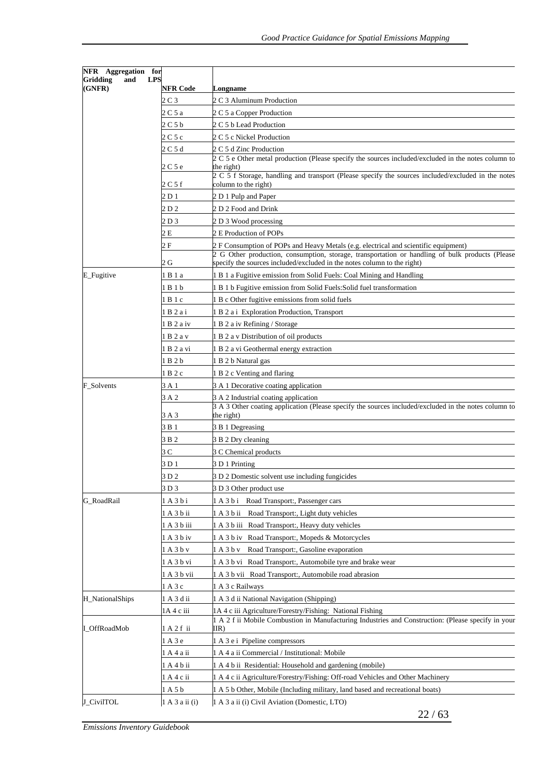| NFR Aggregation for       |                          |                                                                                                                                                                                        |
|---------------------------|--------------------------|----------------------------------------------------------------------------------------------------------------------------------------------------------------------------------------|
| Gridding<br>and<br>(GNFR) | <b>LPS</b><br>NFR Code   | Longname                                                                                                                                                                               |
|                           | 2 C 3                    | 2 C 3 Aluminum Production                                                                                                                                                              |
|                           | 2 C 5 a                  | 2 C 5 a Copper Production                                                                                                                                                              |
|                           | 2 C 5 b                  | 2 C 5 b Lead Production                                                                                                                                                                |
|                           | 2 C 5 c                  | 2 C 5 c Nickel Production                                                                                                                                                              |
|                           | 2 C 5 d                  | 2 C 5 d Zinc Production                                                                                                                                                                |
|                           |                          | 2 C 5 e Other metal production (Please specify the sources included/excluded in the notes column to                                                                                    |
|                           | 2 C 5 e                  | the right)<br>2 C 5 f Storage, handling and transport (Please specify the sources included/excluded in the notes                                                                       |
|                           | 2 C 5 f                  | column to the right)                                                                                                                                                                   |
|                           | 2 D 1                    | 2 D 1 Pulp and Paper                                                                                                                                                                   |
|                           | 2 D 2                    | 2 D 2 Food and Drink                                                                                                                                                                   |
|                           | 2 D 3                    | 2 D 3 Wood processing                                                                                                                                                                  |
|                           | 2 E                      | 2 E Production of POPs                                                                                                                                                                 |
|                           | 2 F                      | 2 F Consumption of POPs and Heavy Metals (e.g. electrical and scientific equipment)<br>2 G Other production, consumption, storage, transportation or handling of bulk products (Please |
|                           | 2 G                      | specify the sources included/excluded in the notes column to the right)                                                                                                                |
| E_Fugitive                | 1 B 1 a                  | 1 B 1 a Fugitive emission from Solid Fuels: Coal Mining and Handling                                                                                                                   |
|                           | 1 B 1 b                  | 1 B 1 b Fugitive emission from Solid Fuels: Solid fuel transformation                                                                                                                  |
|                           | 1 B 1 c                  | 1 B c Other fugitive emissions from solid fuels                                                                                                                                        |
|                           | 1 B 2 a i                | 1 B 2 a i Exploration Production, Transport                                                                                                                                            |
|                           | 1 B 2 a iv               | 1 B 2 a iv Refining / Storage                                                                                                                                                          |
|                           | 1 B 2 a v                | B 2 a v Distribution of oil products                                                                                                                                                   |
|                           | 1 B 2 a vi               | 1 B 2 a vi Geothermal energy extraction                                                                                                                                                |
|                           | 1 B 2 b                  | 1 B 2 b Natural gas                                                                                                                                                                    |
|                           | 1 B 2 c                  | 1 B 2 c Venting and flaring                                                                                                                                                            |
| F_Solvents                | 3 A 1                    | 3 A 1 Decorative coating application                                                                                                                                                   |
|                           | 3 A 2                    | 3 A 2 Industrial coating application                                                                                                                                                   |
|                           | 3 A 3                    | 3 A 3 Other coating application (Please specify the sources included/excluded in the notes column to<br>the right)                                                                     |
|                           | 3 B 1                    | 3 B 1 Degreasing                                                                                                                                                                       |
|                           | 3 B 2                    | 3 B 2 Dry cleaning                                                                                                                                                                     |
|                           | 3 C                      | 3 C Chemical products                                                                                                                                                                  |
|                           | 3 D 1                    | 3 D 1 Printing                                                                                                                                                                         |
|                           | 3 D 2                    | 3 D 2 Domestic solvent use including fungicides                                                                                                                                        |
|                           | 3 D 3                    | 3 D 3 Other product use                                                                                                                                                                |
| G_RoadRail                | 1 A 3 b i                | Road Transport:, Passenger cars<br>1 A 3 b i                                                                                                                                           |
|                           | 1 A 3 b ii               | Road Transport:, Light duty vehicles<br>1 A 3 b ii                                                                                                                                     |
|                           | 1 A 3 b iii              | 1 A 3 b iii Road Transport:, Heavy duty vehicles                                                                                                                                       |
|                           | 1 A 3 b iv               | Road Transport:, Mopeds & Motorcycles<br>1 A 3 b iv                                                                                                                                    |
|                           | 1 A 3 b v                | Road Transport:, Gasoline evaporation<br>1 A 3 b v                                                                                                                                     |
|                           | 1 A 3 b vi               | 1 A 3 b vi Road Transport:, Automobile tyre and brake wear                                                                                                                             |
|                           |                          |                                                                                                                                                                                        |
|                           | l A 3 b vii              | 1 A 3 b vii Road Transport:, Automobile road abrasion                                                                                                                                  |
|                           | A3c                      | 1 A 3 c Railways                                                                                                                                                                       |
| H_NationalShips           | 1 A 3 d ii               | 1 A 3 d ii National Navigation (Shipping)                                                                                                                                              |
| I_OffRoadMob              | 1A 4 c iii<br>1 A 2 f ii | 1A 4 c iii Agriculture/Forestry/Fishing: National Fishing<br>1 A 2 f ii Mobile Combustion in Manufacturing Industries and Construction: (Please specify in your<br>IIR)                |
|                           |                          |                                                                                                                                                                                        |
|                           | A 3 e<br>A 4 a ii        | 1 A 3 e i Pipeline compressors<br>1 A 4 a ii Commercial / Institutional: Mobile                                                                                                        |
|                           |                          |                                                                                                                                                                                        |
|                           | 1 A 4 b ii               | 1 A 4 b ii Residential: Household and gardening (mobile)                                                                                                                               |
|                           | 1 A 4 c ii               | 1 A 4 c ii Agriculture/Forestry/Fishing: Off-road Vehicles and Other Machinery                                                                                                         |
|                           | 1 A 5 b                  | 1 A 5 b Other, Mobile (Including military, land based and recreational boats)                                                                                                          |
| J_CivilTOL                | 1 A 3 a ii (i)           | 1 A 3 a ii (i) Civil Aviation (Domestic, LTO)                                                                                                                                          |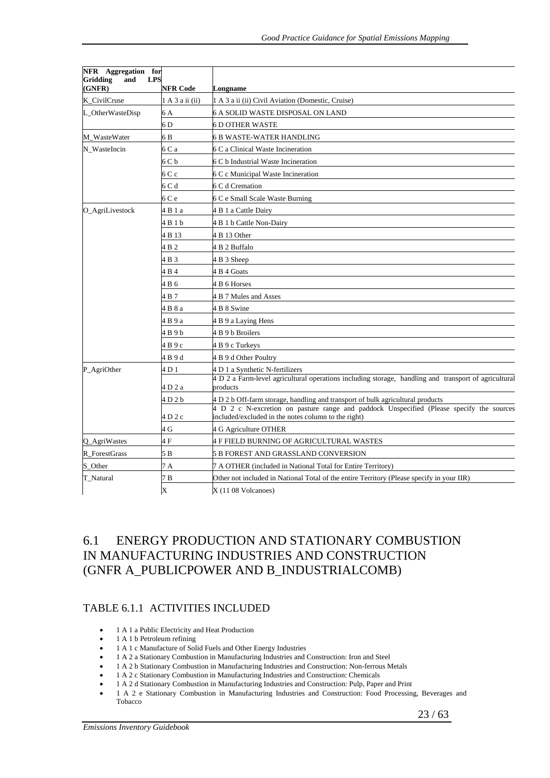| NFR Aggregation for       |                               |                                                                                                                                                 |
|---------------------------|-------------------------------|-------------------------------------------------------------------------------------------------------------------------------------------------|
| Gridding<br>and<br>(GNFR) | <b>LPS</b><br><b>NFR Code</b> | Longname                                                                                                                                        |
| K_CivilCruse              | 1 A 3 a ii (ii)               | 1 A 3 a ii (ii) Civil Aviation (Domestic, Cruise)                                                                                               |
| L_OtherWasteDisp<br>6 A   |                               | 6 A SOLID WASTE DISPOSAL ON LAND                                                                                                                |
|                           | 6 <sub>D</sub>                | 6 D OTHER WASTE                                                                                                                                 |
| M_WasteWater              | 6 B                           | 6 B WASTE-WATER HANDLING                                                                                                                        |
| N WasteIncin<br>6 C a     |                               | 6 C a Clinical Waste Incineration                                                                                                               |
|                           | 6 C b                         | 6 C b Industrial Waste Incineration                                                                                                             |
|                           | 6 C c                         | 6 C c Municipal Waste Incineration                                                                                                              |
|                           | 6 C d                         | 6 C d Cremation                                                                                                                                 |
|                           | 6 C e                         | 6 C e Small Scale Waste Burning                                                                                                                 |
| O_AgriLivestock           | 4 B 1 a                       | 4 B 1 a Cattle Dairy                                                                                                                            |
|                           | 4 B 1 b                       | 4 B 1 b Cattle Non-Dairy                                                                                                                        |
|                           | 4 B 13                        | 4 B 13 Other                                                                                                                                    |
|                           | 4 B 2                         | 4 B 2 Buffalo                                                                                                                                   |
|                           | 4 B 3                         | 4 B 3 Sheep                                                                                                                                     |
|                           | 4 B 4                         | 4 B 4 Goats                                                                                                                                     |
|                           | 4 B 6                         | 4 B 6 Horses                                                                                                                                    |
|                           | 4 B 7                         | 4 B 7 Mules and Asses                                                                                                                           |
|                           | 4 B 8 a                       | 4 B 8 Swine                                                                                                                                     |
|                           | 4 B 9 a                       | 4 B 9 a Laying Hens                                                                                                                             |
|                           | 4 B 9 b                       | 4 B 9 b Broilers                                                                                                                                |
|                           | 4 В 9 с                       | 4 B 9 c Turkeys                                                                                                                                 |
|                           | 4 B 9 d                       | 4 B 9 d Other Poultry                                                                                                                           |
| P_AgriOther               | 4 D 1                         | 4 D 1 a Synthetic N-fertilizers                                                                                                                 |
|                           | 4 D 2 a                       | 4 D 2 a Farm-level agricultural operations including storage, handling and transport of agricultural<br>products                                |
|                           | 4 D 2 b                       | 4 D 2 b Off-farm storage, handling and transport of bulk agricultural products                                                                  |
|                           | 4 D 2 c                       | 4 D 2 c N-excretion on pasture range and paddock Unspecified (Please specify the sources<br>included/excluded in the notes column to the right) |
|                           | 4 G                           | 4 G Agriculture OTHER                                                                                                                           |
| O AgriWastes              | 4 F                           | 4 F FIELD BURNING OF AGRICULTURAL WASTES                                                                                                        |
| R ForestGrass             | 5 B                           | 5 B FOREST AND GRASSLAND CONVERSION                                                                                                             |
| S_Other                   | 7 A                           | 7 A OTHER (included in National Total for Entire Territory)                                                                                     |
| T_Natural                 | 7 B                           | Other not included in National Total of the entire Territory (Please specify in your IIR)                                                       |
|                           | $\mathbf x$                   | $X(1108$ Volcanoes)                                                                                                                             |

# 6.1 ENERGY PRODUCTION AND STATIONARY COMBUSTION IN MANUFACTURING INDUSTRIES AND CONSTRUCTION (GNFR A\_PUBLICPOWER AND B\_INDUSTRIALCOMB)

#### TABLE 6.1.1 ACTIVITIES INCLUDED

- 1 A 1 a Public Electricity and Heat Production
- 1 A 1 b Petroleum refining
- 1 A 1 c Manufacture of Solid Fuels and Other Energy Industries
- 1 A 2 a Stationary Combustion in Manufacturing Industries and Construction: Iron and Steel
- 1 A 2 b Stationary Combustion in Manufacturing Industries and Construction: Non-ferrous Metals
- 1 A 2 c Stationary Combustion in Manufacturing Industries and Construction: Chemicals
- 1 A 2 d Stationary Combustion in Manufacturing Industries and Construction: Pulp, Paper and Print
- 1 A 2 e Stationary Combustion in Manufacturing Industries and Construction: Food Processing, Beverages and Tobacco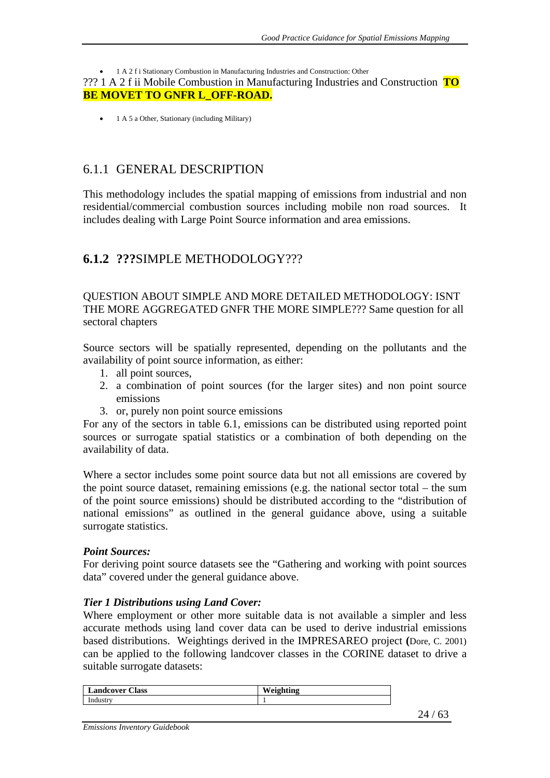#### • 1 A 2 f i Stationary Combustion in Manufacturing Industries and Construction: Other

??? 1 A 2 f ii Mobile Combustion in Manufacturing Industries and Construction **TO BE MOVET TO GNFR L OFF-ROAD.** 

• 1 A 5 a Other, Stationary (including Military)

## 6.1.1 GENERAL DESCRIPTION

This methodology includes the spatial mapping of emissions from industrial and non residential/commercial combustion sources including mobile non road sources. It includes dealing with Large Point Source information and area emissions.

## **6.1.2 ???**SIMPLE METHODOLOGY???

QUESTION ABOUT SIMPLE AND MORE DETAILED METHODOLOGY: ISNT THE MORE AGGREGATED GNFR THE MORE SIMPLE??? Same question for all sectoral chapters

Source sectors will be spatially represented, depending on the pollutants and the availability of point source information, as either:

- 1. all point sources,
- 2. a combination of point sources (for the larger sites) and non point source emissions
- 3. or, purely non point source emissions

For any of the sectors in table 6.1, emissions can be distributed using reported point sources or surrogate spatial statistics or a combination of both depending on the availability of data.

Where a sector includes some point source data but not all emissions are covered by the point source dataset, remaining emissions (e.g. the national sector total – the sum of the point source emissions) should be distributed according to the "distribution of national emissions" as outlined in the general guidance above, using a suitable surrogate statistics.

#### *Point Sources:*

For deriving point source datasets see the "Gathering and working with point sources data" covered under the general guidance above.

#### *Tier 1 Distributions using Land Cover:*

Where employment or other more suitable data is not available a simpler and less accurate methods using land cover data can be used to derive industrial emissions based distributions. Weightings derived in the IMPRESAREO project **(**Dore, C. 2001) can be applied to the following landcover classes in the CORINE dataset to drive a suitable surrogate datasets:

| Landcover<br><b>Class</b>      | W.<br>. .<br>hno<br><u>тисине</u><br>$\sim$ |
|--------------------------------|---------------------------------------------|
| ind <sup>.</sup><br>an cathere |                                             |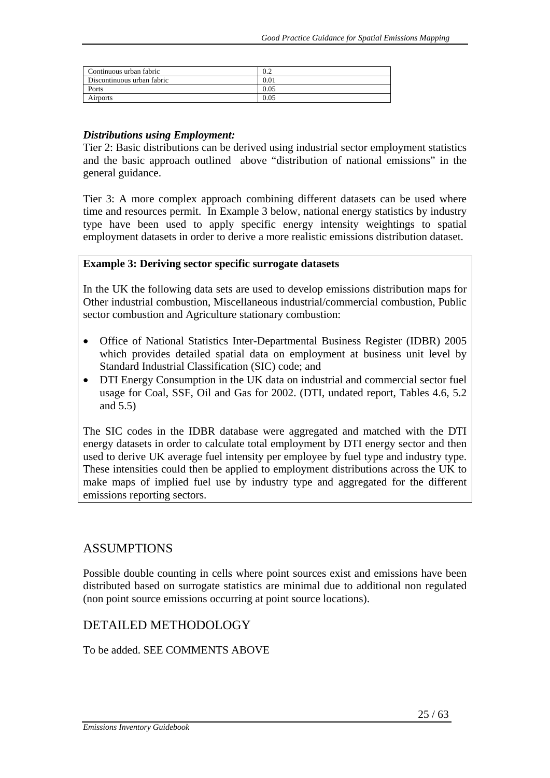| Continuous urban fabric    | v.∠  |
|----------------------------|------|
| Discontinuous urban fabric | 0.01 |
| Ports                      | 0.05 |
| Airports                   | 0.05 |

#### *Distributions using Employment:*

Tier 2: Basic distributions can be derived using industrial sector employment statistics and the basic approach outlined above "distribution of national emissions" in the general guidance.

Tier 3: A more complex approach combining different datasets can be used where time and resources permit. In Example 3 below, national energy statistics by industry type have been used to apply specific energy intensity weightings to spatial employment datasets in order to derive a more realistic emissions distribution dataset.

#### **Example 3: Deriving sector specific surrogate datasets**

In the UK the following data sets are used to develop emissions distribution maps for Other industrial combustion, Miscellaneous industrial/commercial combustion, Public sector combustion and Agriculture stationary combustion:

- Office of National Statistics Inter-Departmental Business Register (IDBR) 2005 which provides detailed spatial data on employment at business unit level by Standard Industrial Classification (SIC) code; and
- DTI Energy Consumption in the UK data on industrial and commercial sector fuel usage for Coal, SSF, Oil and Gas for 2002. (DTI, undated report, Tables 4.6, 5.2 and 5.5)

The SIC codes in the IDBR database were aggregated and matched with the DTI energy datasets in order to calculate total employment by DTI energy sector and then used to derive UK average fuel intensity per employee by fuel type and industry type. These intensities could then be applied to employment distributions across the UK to make maps of implied fuel use by industry type and aggregated for the different emissions reporting sectors.

#### ASSUMPTIONS

Possible double counting in cells where point sources exist and emissions have been distributed based on surrogate statistics are minimal due to additional non regulated (non point source emissions occurring at point source locations).

#### DETAILED METHODOLOGY

#### To be added. SEE COMMENTS ABOVE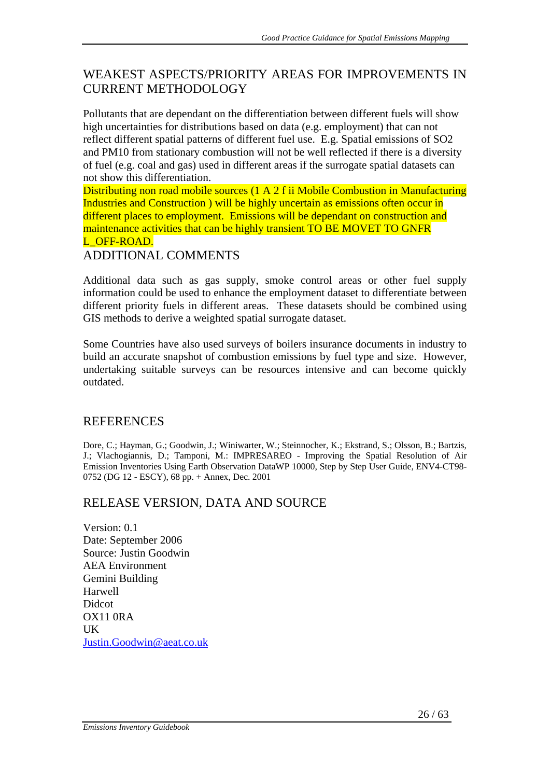# WEAKEST ASPECTS/PRIORITY AREAS FOR IMPROVEMENTS IN CURRENT METHODOLOGY

Pollutants that are dependant on the differentiation between different fuels will show high uncertainties for distributions based on data (e.g. employment) that can not reflect different spatial patterns of different fuel use. E.g. Spatial emissions of SO2 and PM10 from stationary combustion will not be well reflected if there is a diversity of fuel (e.g. coal and gas) used in different areas if the surrogate spatial datasets can not show this differentiation.

Distributing non road mobile sources (1 A 2 f ii Mobile Combustion in Manufacturing Industries and Construction ) will be highly uncertain as emissions often occur in different places to employment. Emissions will be dependant on construction and maintenance activities that can be highly transient TO BE MOVET TO GNFR L. OFF-ROAD.

ADDITIONAL COMMENTS

Additional data such as gas supply, smoke control areas or other fuel supply information could be used to enhance the employment dataset to differentiate between different priority fuels in different areas. These datasets should be combined using GIS methods to derive a weighted spatial surrogate dataset.

Some Countries have also used surveys of boilers insurance documents in industry to build an accurate snapshot of combustion emissions by fuel type and size. However, undertaking suitable surveys can be resources intensive and can become quickly outdated.

# REFERENCES

Dore, C.; Hayman, G.; Goodwin, J.; Winiwarter, W.; Steinnocher, K.; Ekstrand, S.; Olsson, B.; Bartzis, J.; Vlachogiannis, D.; Tamponi, M.: IMPRESAREO - Improving the Spatial Resolution of Air Emission Inventories Using Earth Observation DataWP 10000, Step by Step User Guide, ENV4-CT98- 0752 (DG 12 - ESCY), 68 pp. + Annex, Dec. 2001

# RELEASE VERSION, DATA AND SOURCE

Version: 0.1 Date: September 2006 Source: Justin Goodwin AEA Environment Gemini Building Harwell Didcot OX11 0RA UK Justin.Goodwin@aeat.co.uk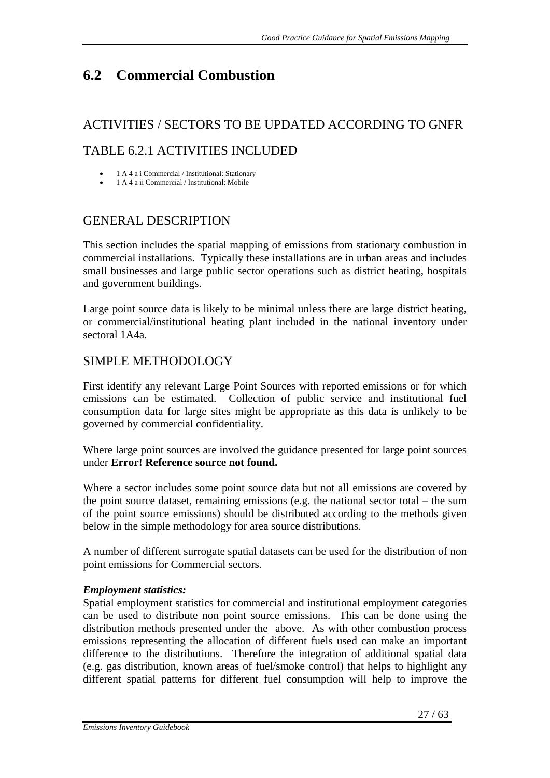# **6.2 Commercial Combustion**

# ACTIVITIES / SECTORS TO BE UPDATED ACCORDING TO GNFR TABLE 6.2.1 ACTIVITIES INCLUDED

- 1 A 4 a i Commercial / Institutional: Stationary
- 1 A 4 a ii Commercial / Institutional: Mobile

# GENERAL DESCRIPTION

This section includes the spatial mapping of emissions from stationary combustion in commercial installations. Typically these installations are in urban areas and includes small businesses and large public sector operations such as district heating, hospitals and government buildings.

Large point source data is likely to be minimal unless there are large district heating, or commercial/institutional heating plant included in the national inventory under sectoral 1A4a.

# SIMPLE METHODOLOGY

First identify any relevant Large Point Sources with reported emissions or for which emissions can be estimated. Collection of public service and institutional fuel consumption data for large sites might be appropriate as this data is unlikely to be governed by commercial confidentiality.

Where large point sources are involved the guidance presented for large point sources under **Error! Reference source not found.**

Where a sector includes some point source data but not all emissions are covered by the point source dataset, remaining emissions (e.g. the national sector total – the sum of the point source emissions) should be distributed according to the methods given below in the simple methodology for area source distributions.

A number of different surrogate spatial datasets can be used for the distribution of non point emissions for Commercial sectors.

## *Employment statistics:*

Spatial employment statistics for commercial and institutional employment categories can be used to distribute non point source emissions. This can be done using the distribution methods presented under the above. As with other combustion process emissions representing the allocation of different fuels used can make an important difference to the distributions. Therefore the integration of additional spatial data (e.g. gas distribution, known areas of fuel/smoke control) that helps to highlight any different spatial patterns for different fuel consumption will help to improve the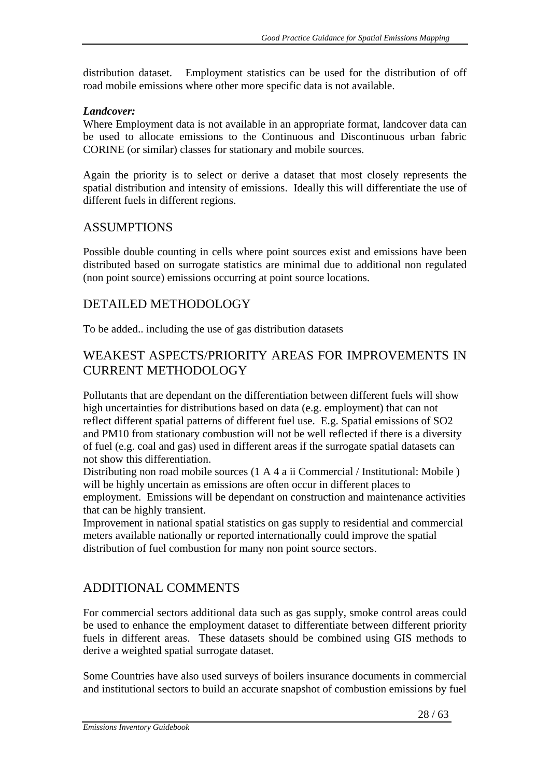distribution dataset. Employment statistics can be used for the distribution of off road mobile emissions where other more specific data is not available.

#### *Landcover:*

Where Employment data is not available in an appropriate format, landcover data can be used to allocate emissions to the Continuous and Discontinuous urban fabric CORINE (or similar) classes for stationary and mobile sources.

Again the priority is to select or derive a dataset that most closely represents the spatial distribution and intensity of emissions. Ideally this will differentiate the use of different fuels in different regions.

### ASSUMPTIONS

Possible double counting in cells where point sources exist and emissions have been distributed based on surrogate statistics are minimal due to additional non regulated (non point source) emissions occurring at point source locations.

## DETAILED METHODOLOGY

To be added.. including the use of gas distribution datasets

# WEAKEST ASPECTS/PRIORITY AREAS FOR IMPROVEMENTS IN CURRENT METHODOLOGY

Pollutants that are dependant on the differentiation between different fuels will show high uncertainties for distributions based on data (e.g. employment) that can not reflect different spatial patterns of different fuel use. E.g. Spatial emissions of SO2 and PM10 from stationary combustion will not be well reflected if there is a diversity of fuel (e.g. coal and gas) used in different areas if the surrogate spatial datasets can not show this differentiation.

Distributing non road mobile sources (1 A 4 a ii Commercial / Institutional: Mobile ) will be highly uncertain as emissions are often occur in different places to employment. Emissions will be dependant on construction and maintenance activities that can be highly transient.

Improvement in national spatial statistics on gas supply to residential and commercial meters available nationally or reported internationally could improve the spatial distribution of fuel combustion for many non point source sectors.

## ADDITIONAL COMMENTS

For commercial sectors additional data such as gas supply, smoke control areas could be used to enhance the employment dataset to differentiate between different priority fuels in different areas. These datasets should be combined using GIS methods to derive a weighted spatial surrogate dataset.

Some Countries have also used surveys of boilers insurance documents in commercial and institutional sectors to build an accurate snapshot of combustion emissions by fuel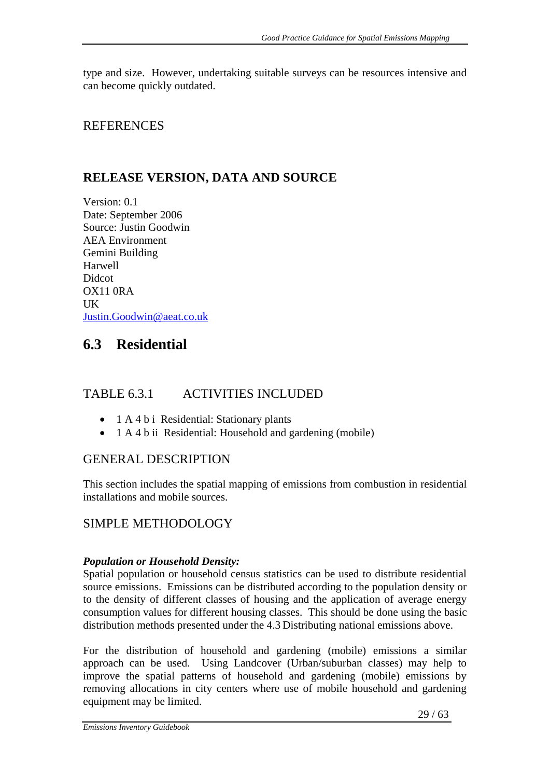type and size. However, undertaking suitable surveys can be resources intensive and can become quickly outdated.

## REFERENCES

# **RELEASE VERSION, DATA AND SOURCE**

Version: 0.1 Date: September 2006 Source: Justin Goodwin AEA Environment Gemini Building Harwell **Didcot** OX11 0RA UK Justin.Goodwin@aeat.co.uk

# **6.3 Residential**

# TABLE 6.3.1 ACTIVITIES INCLUDED

- 1 A 4 b i Residential: Stationary plants
- 1 A 4 b ii Residential: Household and gardening (mobile)

# GENERAL DESCRIPTION

This section includes the spatial mapping of emissions from combustion in residential installations and mobile sources.

# SIMPLE METHODOLOGY

#### *Population or Household Density:*

Spatial population or household census statistics can be used to distribute residential source emissions. Emissions can be distributed according to the population density or to the density of different classes of housing and the application of average energy consumption values for different housing classes. This should be done using the basic distribution methods presented under the 4.3 Distributing national emissions above.

For the distribution of household and gardening (mobile) emissions a similar approach can be used. Using Landcover (Urban/suburban classes) may help to improve the spatial patterns of household and gardening (mobile) emissions by removing allocations in city centers where use of mobile household and gardening equipment may be limited.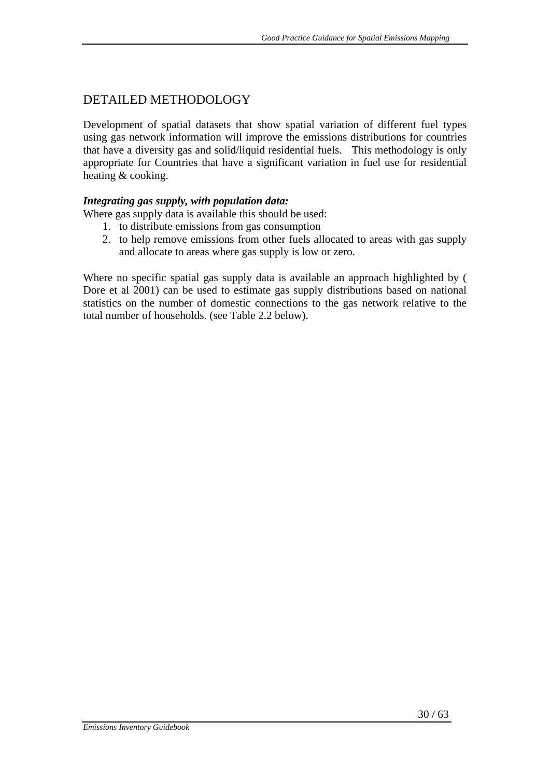# DETAILED METHODOLOGY

Development of spatial datasets that show spatial variation of different fuel types using gas network information will improve the emissions distributions for countries that have a diversity gas and solid/liquid residential fuels. This methodology is only appropriate for Countries that have a significant variation in fuel use for residential heating & cooking.

#### *Integrating gas supply, with population data:*

Where gas supply data is available this should be used:

- 1. to distribute emissions from gas consumption
- 2. to help remove emissions from other fuels allocated to areas with gas supply and allocate to areas where gas supply is low or zero.

Where no specific spatial gas supply data is available an approach highlighted by ( Dore et al 2001) can be used to estimate gas supply distributions based on national statistics on the number of domestic connections to the gas network relative to the total number of households. (see Table 2.2 below).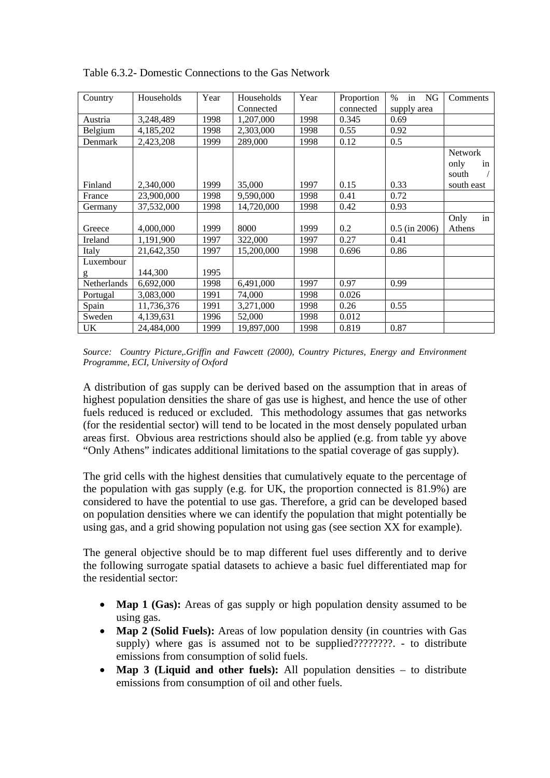| Country     | Households | Year | Households | Year | Proportion | in<br>$\%$<br>NG | Comments   |
|-------------|------------|------|------------|------|------------|------------------|------------|
|             |            |      | Connected  |      | connected  | supply area      |            |
| Austria     | 3,248,489  | 1998 | 1,207,000  | 1998 | 0.345      | 0.69             |            |
| Belgium     | 4,185,202  | 1998 | 2,303,000  | 1998 | 0.55       | 0.92             |            |
| Denmark     | 2,423,208  | 1999 | 289,000    | 1998 | 0.12       | 0.5              |            |
|             |            |      |            |      |            |                  | Network    |
|             |            |      |            |      |            |                  | only<br>in |
|             |            |      |            |      |            |                  | south      |
| Finland     | 2,340,000  | 1999 | 35,000     | 1997 | 0.15       | 0.33             | south east |
| France      | 23,900,000 | 1998 | 9,590,000  | 1998 | 0.41       | 0.72             |            |
| Germany     | 37,532,000 | 1998 | 14,720,000 | 1998 | 0.42       | 0.93             |            |
|             |            |      |            |      |            |                  | in<br>Only |
| Greece      | 4,000,000  | 1999 | 8000       | 1999 | 0.2        | $0.5$ (in 2006)  | Athens     |
| Ireland     | 1,191,900  | 1997 | 322,000    | 1997 | 0.27       | 0.41             |            |
| Italy       | 21,642,350 | 1997 | 15,200,000 | 1998 | 0.696      | 0.86             |            |
| Luxembour   |            |      |            |      |            |                  |            |
| g           | 144,300    | 1995 |            |      |            |                  |            |
| Netherlands | 6,692,000  | 1998 | 6,491,000  | 1997 | 0.97       | 0.99             |            |
| Portugal    | 3,083,000  | 1991 | 74,000     | 1998 | 0.026      |                  |            |
| Spain       | 11,736,376 | 1991 | 3,271,000  | 1998 | 0.26       | 0.55             |            |
| Sweden      | 4,139,631  | 1996 | 52,000     | 1998 | 0.012      |                  |            |
| UK          | 24,484,000 | 1999 | 19,897,000 | 1998 | 0.819      | 0.87             |            |

Table 6.3.2- Domestic Connections to the Gas Network

*Source: Country Picture,.Griffin and Fawcett (2000), Country Pictures, Energy and Environment Programme, ECI, University of Oxford* 

A distribution of gas supply can be derived based on the assumption that in areas of highest population densities the share of gas use is highest, and hence the use of other fuels reduced is reduced or excluded. This methodology assumes that gas networks (for the residential sector) will tend to be located in the most densely populated urban areas first. Obvious area restrictions should also be applied (e.g. from table yy above "Only Athens" indicates additional limitations to the spatial coverage of gas supply).

The grid cells with the highest densities that cumulatively equate to the percentage of the population with gas supply (e.g. for UK, the proportion connected is 81.9%) are considered to have the potential to use gas. Therefore, a grid can be developed based on population densities where we can identify the population that might potentially be using gas, and a grid showing population not using gas (see section XX for example).

The general objective should be to map different fuel uses differently and to derive the following surrogate spatial datasets to achieve a basic fuel differentiated map for the residential sector:

- **Map 1 (Gas):** Areas of gas supply or high population density assumed to be using gas.
- **Map 2 (Solid Fuels):** Areas of low population density (in countries with Gas supply) where gas is assumed not to be supplied????????. - to distribute emissions from consumption of solid fuels.
- Map 3 (Liquid and other fuels): All population densities to distribute emissions from consumption of oil and other fuels.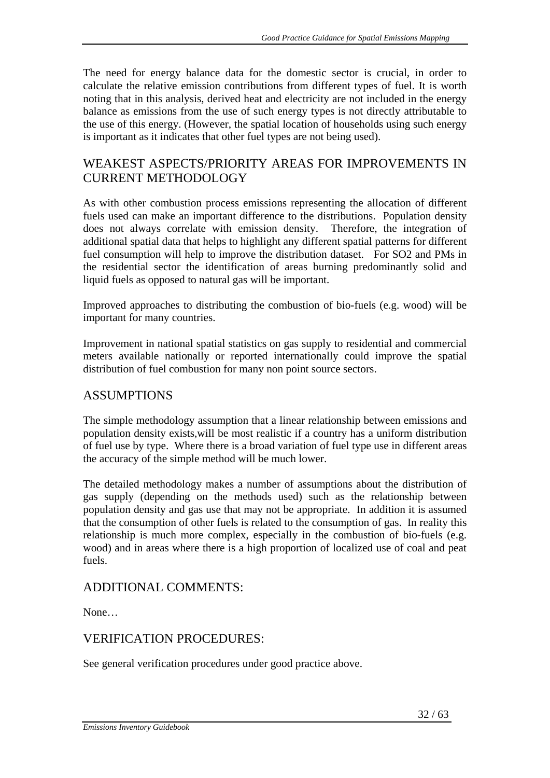The need for energy balance data for the domestic sector is crucial, in order to calculate the relative emission contributions from different types of fuel. It is worth noting that in this analysis, derived heat and electricity are not included in the energy balance as emissions from the use of such energy types is not directly attributable to the use of this energy. (However, the spatial location of households using such energy is important as it indicates that other fuel types are not being used).

# WEAKEST ASPECTS/PRIORITY AREAS FOR IMPROVEMENTS IN CURRENT METHODOLOGY

As with other combustion process emissions representing the allocation of different fuels used can make an important difference to the distributions. Population density does not always correlate with emission density. Therefore, the integration of additional spatial data that helps to highlight any different spatial patterns for different fuel consumption will help to improve the distribution dataset. For SO2 and PMs in the residential sector the identification of areas burning predominantly solid and liquid fuels as opposed to natural gas will be important.

Improved approaches to distributing the combustion of bio-fuels (e.g. wood) will be important for many countries.

Improvement in national spatial statistics on gas supply to residential and commercial meters available nationally or reported internationally could improve the spatial distribution of fuel combustion for many non point source sectors.

## ASSUMPTIONS

The simple methodology assumption that a linear relationship between emissions and population density exists,will be most realistic if a country has a uniform distribution of fuel use by type. Where there is a broad variation of fuel type use in different areas the accuracy of the simple method will be much lower.

The detailed methodology makes a number of assumptions about the distribution of gas supply (depending on the methods used) such as the relationship between population density and gas use that may not be appropriate. In addition it is assumed that the consumption of other fuels is related to the consumption of gas. In reality this relationship is much more complex, especially in the combustion of bio-fuels (e.g. wood) and in areas where there is a high proportion of localized use of coal and peat fuels.

# ADDITIONAL COMMENTS:

None…

# VERIFICATION PROCEDURES:

See general verification procedures under good practice above.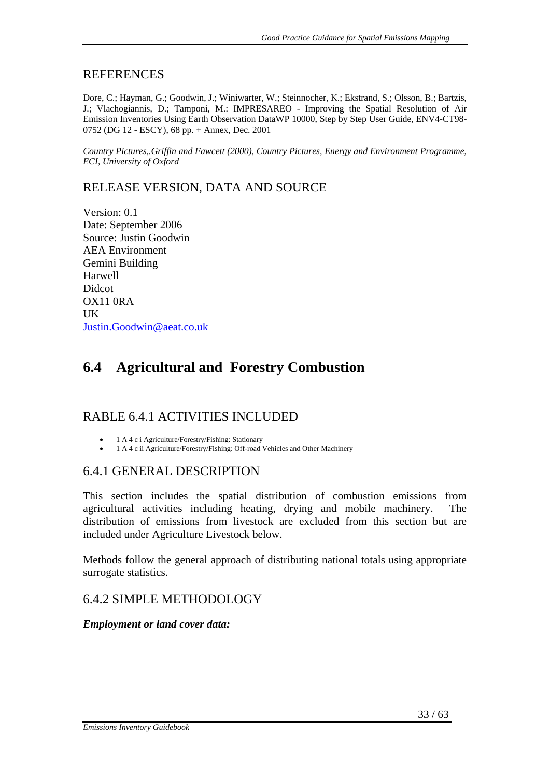#### REFERENCES

Dore, C.; Hayman, G.; Goodwin, J.; Winiwarter, W.; Steinnocher, K.; Ekstrand, S.; Olsson, B.; Bartzis, J.; Vlachogiannis, D.; Tamponi, M.: IMPRESAREO - Improving the Spatial Resolution of Air Emission Inventories Using Earth Observation DataWP 10000, Step by Step User Guide, ENV4-CT98- 0752 (DG 12 - ESCY), 68 pp. + Annex, Dec. 2001

*Country Pictures,.Griffin and Fawcett (2000), Country Pictures, Energy and Environment Programme, ECI, University of Oxford*

## RELEASE VERSION, DATA AND SOURCE

Version: 0.1 Date: September 2006 Source: Justin Goodwin AEA Environment Gemini Building Harwell **Didcot** OX11 0RA UK Justin.Goodwin@aeat.co.uk

# **6.4 Agricultural and Forestry Combustion**

# RABLE 6.4.1 ACTIVITIES INCLUDED

- 1 A 4 c i Agriculture/Forestry/Fishing: Stationary
- 1 A 4 c ii Agriculture/Forestry/Fishing: Off-road Vehicles and Other Machinery

#### 6.4.1 GENERAL DESCRIPTION

This section includes the spatial distribution of combustion emissions from agricultural activities including heating, drying and mobile machinery. The distribution of emissions from livestock are excluded from this section but are included under Agriculture Livestock below.

Methods follow the general approach of distributing national totals using appropriate surrogate statistics.

## 6.4.2 SIMPLE METHODOLOGY

#### *Employment or land cover data:*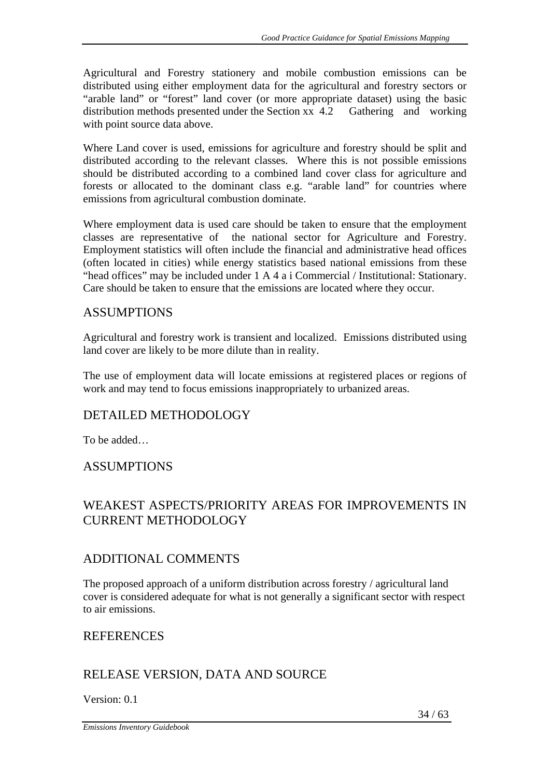Agricultural and Forestry stationery and mobile combustion emissions can be distributed using either employment data for the agricultural and forestry sectors or "arable land" or "forest" land cover (or more appropriate dataset) using the basic distribution methods presented under the Section xx 4.2 Gathering and working with point source data above.

Where Land cover is used, emissions for agriculture and forestry should be split and distributed according to the relevant classes. Where this is not possible emissions should be distributed according to a combined land cover class for agriculture and forests or allocated to the dominant class e.g. "arable land" for countries where emissions from agricultural combustion dominate.

Where employment data is used care should be taken to ensure that the employment classes are representative of the national sector for Agriculture and Forestry. Employment statistics will often include the financial and administrative head offices (often located in cities) while energy statistics based national emissions from these "head offices" may be included under 1 A 4 a i Commercial / Institutional: Stationary. Care should be taken to ensure that the emissions are located where they occur.

## ASSUMPTIONS

Agricultural and forestry work is transient and localized. Emissions distributed using land cover are likely to be more dilute than in reality.

The use of employment data will locate emissions at registered places or regions of work and may tend to focus emissions inappropriately to urbanized areas.

# DETAILED METHODOLOGY

To be added…

## ASSUMPTIONS

# WEAKEST ASPECTS/PRIORITY AREAS FOR IMPROVEMENTS IN CURRENT METHODOLOGY

## ADDITIONAL COMMENTS

The proposed approach of a uniform distribution across forestry / agricultural land cover is considered adequate for what is not generally a significant sector with respect to air emissions.

## **REFERENCES**

# RELEASE VERSION, DATA AND SOURCE

Version: 0.1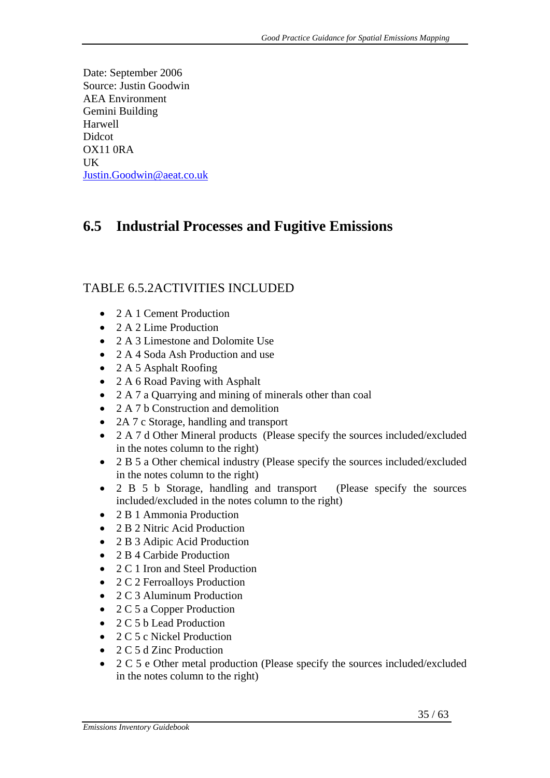Date: September 2006 Source: Justin Goodwin AEA Environment Gemini Building Harwell Didcot OX11 0RA UK Justin.Goodwin@aeat.co.uk

# **6.5 Industrial Processes and Fugitive Emissions**

# TABLE 6.5.2ACTIVITIES INCLUDED

- 2 A 1 Cement Production
- 2 A 2 Lime Production
- 2. A 3 Limestone and Dolomite Use
- 2 A 4 Soda Ash Production and use
- 2 A 5 Asphalt Roofing
- 2 A 6 Road Paving with Asphalt
- 2 A 7 a Quarrying and mining of minerals other than coal
- 2 A 7 b Construction and demolition
- 2A 7 c Storage, handling and transport
- 2 A 7 d Other Mineral products (Please specify the sources included/excluded in the notes column to the right)
- 2 B 5 a Other chemical industry (Please specify the sources included/excluded in the notes column to the right)
- 2 B 5 b Storage, handling and transport (Please specify the sources included/excluded in the notes column to the right)
- 2 B 1 Ammonia Production
- 2 B 2 Nitric Acid Production
- 2 B 3 Adipic Acid Production
- 2 B 4 Carbide Production
- 2 C 1 Iron and Steel Production
- 2 C 2 Ferroalloys Production
- 2 C 3 Aluminum Production
- 2 C 5 a Copper Production
- 2 C 5 b Lead Production
- 2 C 5 c Nickel Production
- 2 C 5 d Zinc Production
- 2 C 5 e Other metal production (Please specify the sources included/excluded in the notes column to the right)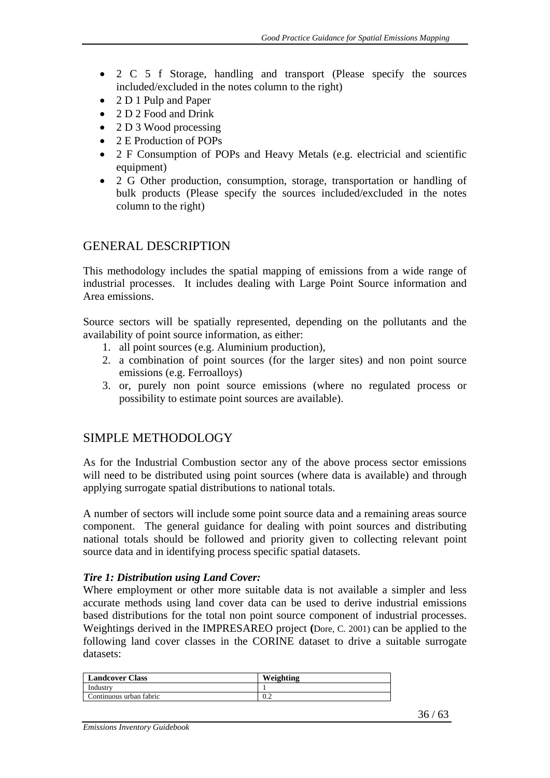- 2 C 5 f Storage, handling and transport (Please specify the sources included/excluded in the notes column to the right)
- 2 D 1 Pulp and Paper
- 2 D 2 Food and Drink
- 2 D 3 Wood processing
- 2 E Production of POPs
- 2 F Consumption of POPs and Heavy Metals (e.g. electricial and scientific equipment)
- 2 G Other production, consumption, storage, transportation or handling of bulk products (Please specify the sources included/excluded in the notes column to the right)

### GENERAL DESCRIPTION

This methodology includes the spatial mapping of emissions from a wide range of industrial processes. It includes dealing with Large Point Source information and Area emissions.

Source sectors will be spatially represented, depending on the pollutants and the availability of point source information, as either:

- 1. all point sources (e.g. Aluminium production),
- 2. a combination of point sources (for the larger sites) and non point source emissions (e.g. Ferroalloys)
- 3. or, purely non point source emissions (where no regulated process or possibility to estimate point sources are available).

## SIMPLE METHODOLOGY

As for the Industrial Combustion sector any of the above process sector emissions will need to be distributed using point sources (where data is available) and through applying surrogate spatial distributions to national totals.

A number of sectors will include some point source data and a remaining areas source component. The general guidance for dealing with point sources and distributing national totals should be followed and priority given to collecting relevant point source data and in identifying process specific spatial datasets.

#### *Tire 1: Distribution using Land Cover:*

Where employment or other more suitable data is not available a simpler and less accurate methods using land cover data can be used to derive industrial emissions based distributions for the total non point source component of industrial processes. Weightings derived in the IMPRESAREO project **(**Dore, C. 2001) can be applied to the following land cover classes in the CORINE dataset to drive a suitable surrogate datasets:

| <b>Landcover Class</b>  | Weighting |
|-------------------------|-----------|
| Industry                |           |
| Continuous urban fabric | 0.2       |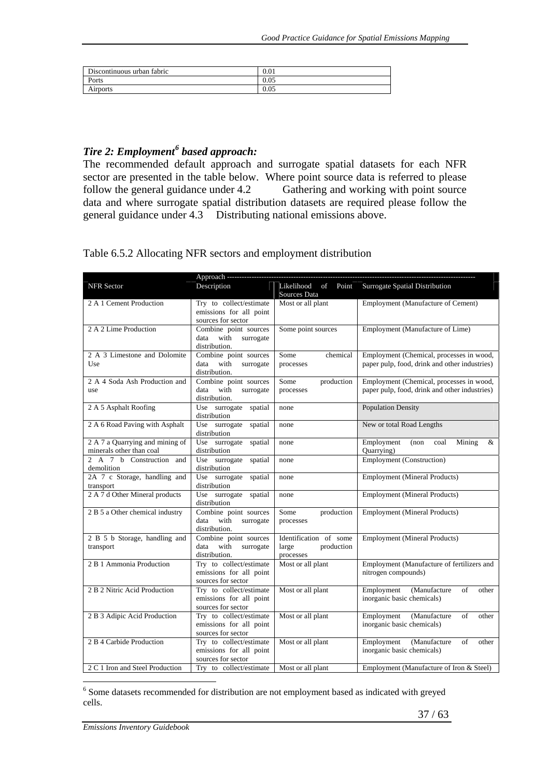| Discontinuous urban fabric | 0.01 |
|----------------------------|------|
| Ports                      | 0.05 |
| Airports                   | 0.05 |

## *Tire 2: Employment<sup>6</sup> based approach:*

The recommended default approach and surrogate spatial datasets for each NFR sector are presented in the table below. Where point source data is referred to please follow the general guidance under 4.2 Gathering and working with point source data and where surrogate spatial distribution datasets are required please follow the general guidance under 4.3 Distributing national emissions above.

Table 6.5.2 Allocating NFR sectors and employment distribution

| NFR Sector                                           | Description                                        | Likelihood<br>of<br>Point<br>Sources Data | Surrogate Spatial Distribution                                    |
|------------------------------------------------------|----------------------------------------------------|-------------------------------------------|-------------------------------------------------------------------|
| Try to collect/estimate<br>2 A 1 Cement Production   |                                                    | Most or all plant                         | Employment (Manufacture of Cement)                                |
|                                                      | emissions for all point<br>sources for sector      |                                           |                                                                   |
| 2 A 2 Lime Production                                | Combine point sources                              | Some point sources                        | Employment (Manufacture of Lime)                                  |
|                                                      | data with<br>surrogate                             |                                           |                                                                   |
|                                                      | distribution.                                      |                                           |                                                                   |
| 2 A 3 Limestone and Dolomite                         | Combine point sources                              | chemical<br>Some                          | Employment (Chemical, processes in wood,                          |
| Use                                                  | data with<br>surrogate<br>distribution.            | processes                                 | paper pulp, food, drink and other industries)                     |
| 2 A 4 Soda Ash Production and                        | Combine point sources                              | Some<br>production                        | Employment (Chemical, processes in wood,                          |
| use                                                  | data with<br>surrogate<br>distribution.            | processes                                 | paper pulp, food, drink and other industries)                     |
| 2 A 5 Asphalt Roofing                                | Use surrogate spatial<br>distribution              | none                                      | <b>Population Density</b>                                         |
| 2 A 6 Road Paving with Asphalt                       | Use surrogate spatial                              | none                                      | New or total Road Lengths                                         |
|                                                      | distribution                                       |                                           |                                                                   |
| 2 A 7 a Quarrying and mining of                      | Use surrogate<br>spatial                           | none                                      | Employment<br>Mining<br>&<br>$($ non<br>coal                      |
| minerals other than coal<br>2 A 7 b Construction and | distribution                                       |                                           | Quarrying)                                                        |
| demolition                                           | Use surrogate<br>spatial<br>distribution           | none                                      | <b>Employment</b> (Construction)                                  |
| 2A 7 c Storage, handling and                         | Use surrogate spatial                              | none                                      | <b>Employment</b> (Mineral Products)                              |
| transport<br>2 A 7 d Other Mineral products          | distribution<br>Use surrogate spatial              |                                           | <b>Employment (Mineral Products)</b>                              |
|                                                      | distribution                                       | none                                      |                                                                   |
| 2 B 5 a Other chemical industry                      | Combine point sources<br>data<br>with<br>surrogate | Some<br>production                        | <b>Employment</b> (Mineral Products)                              |
|                                                      | distribution.                                      | processes                                 |                                                                   |
| 2 B 5 b Storage, handling and                        | Combine point sources                              | Identification of some                    | <b>Employment</b> (Mineral Products)                              |
| transport                                            | data with<br>surrogate                             | large<br>production                       |                                                                   |
|                                                      | distribution.                                      | processes                                 |                                                                   |
| 2 B 1 Ammonia Production                             | Try to collect/estimate<br>emissions for all point | Most or all plant                         | Employment (Manufacture of fertilizers and<br>nitrogen compounds) |
|                                                      | sources for sector                                 |                                           |                                                                   |
| 2 B 2 Nitric Acid Production                         | Try to collect/estimate                            | Most or all plant                         | Employment<br>(Manufacture<br>of<br>other                         |
|                                                      | emissions for all point                            |                                           | inorganic basic chemicals)                                        |
|                                                      | sources for sector                                 |                                           |                                                                   |
| 2 B 3 Adipic Acid Production                         | Try to collect/estimate                            | Most or all plant                         | Employment<br>(Manufacture<br>of<br>other                         |
|                                                      | emissions for all point<br>sources for sector      |                                           | inorganic basic chemicals)                                        |
| 2 B 4 Carbide Production                             | Try to collect/estimate                            | Most or all plant                         | of<br>Employment<br>(Manufacture<br>other                         |
|                                                      | emissions for all point                            |                                           | inorganic basic chemicals)                                        |
|                                                      | sources for sector                                 |                                           |                                                                   |
| 2 C 1 Iron and Steel Production                      | Try to collect/estimate                            | Most or all plant                         | Employment (Manufacture of Iron & Steel)                          |

<sup>6</sup> Some datasets recommended for distribution are not employment based as indicated with greyed cells.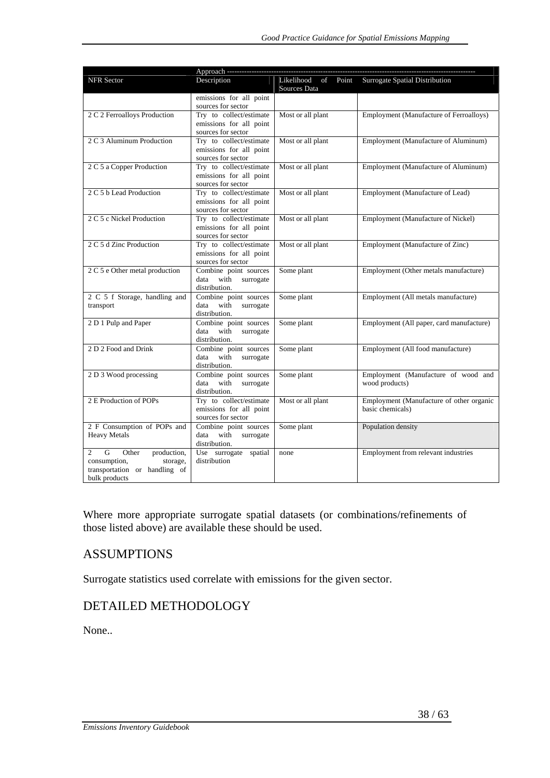|                                                                                                                                        | Approach ----                                                            |                                           |                                                              |
|----------------------------------------------------------------------------------------------------------------------------------------|--------------------------------------------------------------------------|-------------------------------------------|--------------------------------------------------------------|
| NFR Sector                                                                                                                             | Description                                                              | Likelihood<br>of<br>Point<br>Sources Data | Surrogate Spatial Distribution                               |
|                                                                                                                                        | emissions for all point<br>sources for sector                            |                                           |                                                              |
| 2 C 2 Ferroalloys Production                                                                                                           | Try to collect/estimate<br>emissions for all point<br>sources for sector | Most or all plant                         | <b>Employment (Manufacture of Ferroalloys)</b>               |
| 2 C 3 Aluminum Production                                                                                                              | Try to collect/estimate<br>emissions for all point<br>sources for sector | Most or all plant                         | Employment (Manufacture of Aluminum)                         |
| 2 C 5 a Copper Production                                                                                                              | Try to collect/estimate<br>emissions for all point<br>sources for sector | Most or all plant                         | Employment (Manufacture of Aluminum)                         |
| 2 C 5 b Lead Production                                                                                                                | Try to collect/estimate<br>emissions for all point<br>sources for sector | Most or all plant                         | Employment (Manufacture of Lead)                             |
| 2 C 5 c Nickel Production                                                                                                              | Try to collect/estimate<br>emissions for all point<br>sources for sector | Most or all plant                         | Employment (Manufacture of Nickel)                           |
| 2 C 5 d Zinc Production                                                                                                                | Try to collect/estimate<br>emissions for all point<br>sources for sector | Most or all plant                         | Employment (Manufacture of Zinc)                             |
| 2 C 5 e Other metal production                                                                                                         | Combine point sources<br>with surrogate<br>data<br>distribution.         | Some plant                                | Employment (Other metals manufacture)                        |
| 2 C 5 f Storage, handling and<br>transport                                                                                             | Combine point sources<br>data<br>with<br>surrogate<br>distribution.      | Some plant                                | Employment (All metals manufacture)                          |
| 2 D 1 Pulp and Paper                                                                                                                   | Combine point sources<br>with<br>surrogate<br>data<br>distribution.      | Some plant                                | Employment (All paper, card manufacture)                     |
| 2 D 2 Food and Drink                                                                                                                   | Combine point sources<br>data<br>with<br>surrogate<br>distribution.      | Some plant                                | Employment (All food manufacture)                            |
| 2 D 3 Wood processing                                                                                                                  | Combine point sources<br>with<br>surrogate<br>data<br>distribution.      | Some plant                                | Employment (Manufacture of wood and<br>wood products)        |
| 2 E Production of POPs                                                                                                                 | Try to collect/estimate<br>emissions for all point<br>sources for sector | Most or all plant                         | Employment (Manufacture of other organic<br>basic chemicals) |
| 2 F Consumption of POPs and<br><b>Heavy Metals</b>                                                                                     | Combine point sources<br>data with<br>surrogate<br>distribution.         | Some plant                                | Population density                                           |
| $\overline{G}$<br>$\overline{2}$<br>Other<br>production,<br>consumption,<br>storage,<br>transportation or handling of<br>bulk products | Use surrogate spatial<br>distribution                                    | none                                      | Employment from relevant industries                          |

Where more appropriate surrogate spatial datasets (or combinations/refinements of those listed above) are available these should be used.

## ASSUMPTIONS

Surrogate statistics used correlate with emissions for the given sector.

# DETAILED METHODOLOGY

None..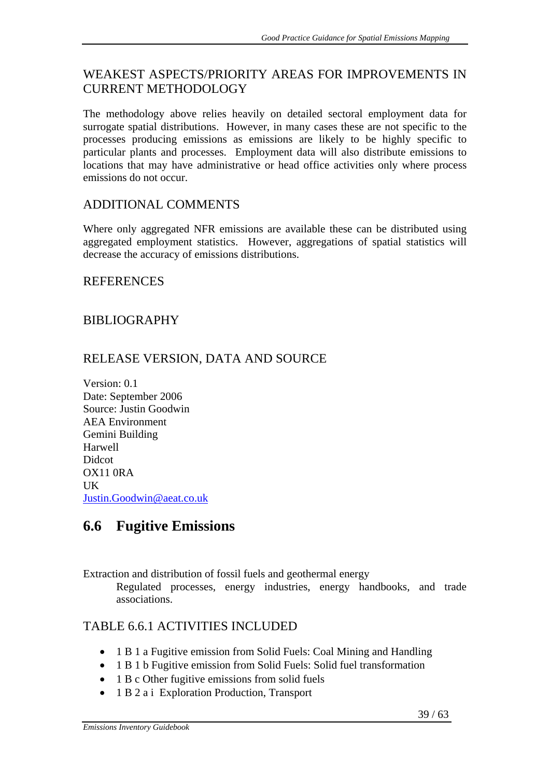# WEAKEST ASPECTS/PRIORITY AREAS FOR IMPROVEMENTS IN CURRENT METHODOLOGY

The methodology above relies heavily on detailed sectoral employment data for surrogate spatial distributions. However, in many cases these are not specific to the processes producing emissions as emissions are likely to be highly specific to particular plants and processes. Employment data will also distribute emissions to locations that may have administrative or head office activities only where process emissions do not occur.

## ADDITIONAL COMMENTS

Where only aggregated NFR emissions are available these can be distributed using aggregated employment statistics. However, aggregations of spatial statistics will decrease the accuracy of emissions distributions.

## **REFERENCES**

## BIBLIOGRAPHY

# RELEASE VERSION, DATA AND SOURCE

Version: 0.1 Date: September 2006 Source: Justin Goodwin AEA Environment Gemini Building Harwell Didcot OX11 0RA UK Justin.Goodwin@aeat.co.uk

# **6.6 Fugitive Emissions**

Extraction and distribution of fossil fuels and geothermal energy

Regulated processes, energy industries, energy handbooks, and trade associations.

# TABLE 6.6.1 ACTIVITIES INCLUDED

- 1 B 1 a Fugitive emission from Solid Fuels: Coal Mining and Handling
- 1 B 1 b Fugitive emission from Solid Fuels: Solid fuel transformation
- 1 B c Other fugitive emissions from solid fuels
- 1 B 2 a i Exploration Production, Transport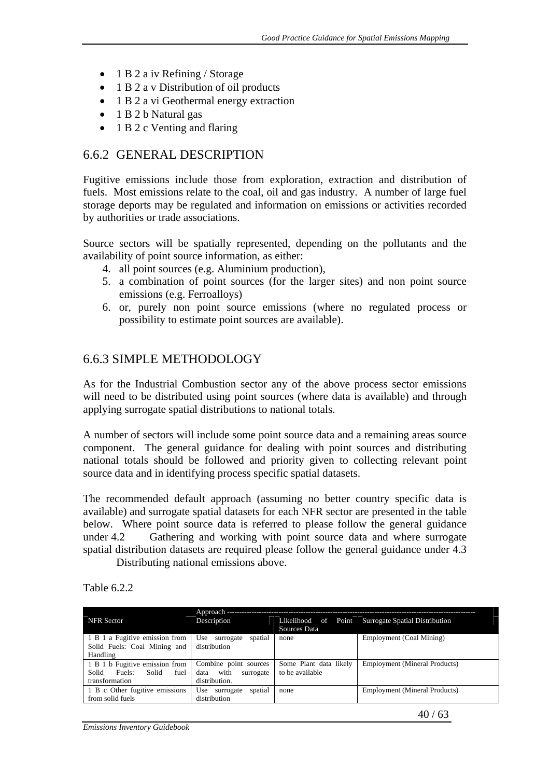- 1 B 2 a iv Refining / Storage
- 1 B 2 a v Distribution of oil products
- 1 B 2 a vi Geothermal energy extraction
- 1 B 2 b Natural gas
- 1 B 2 c Venting and flaring

### 6.6.2 GENERAL DESCRIPTION

Fugitive emissions include those from exploration, extraction and distribution of fuels. Most emissions relate to the coal, oil and gas industry. A number of large fuel storage deports may be regulated and information on emissions or activities recorded by authorities or trade associations.

Source sectors will be spatially represented, depending on the pollutants and the availability of point source information, as either:

- 4. all point sources (e.g. Aluminium production),
- 5. a combination of point sources (for the larger sites) and non point source emissions (e.g. Ferroalloys)
- 6. or, purely non point source emissions (where no regulated process or possibility to estimate point sources are available).

#### 6.6.3 SIMPLE METHODOLOGY

As for the Industrial Combustion sector any of the above process sector emissions will need to be distributed using point sources (where data is available) and through applying surrogate spatial distributions to national totals.

A number of sectors will include some point source data and a remaining areas source component. The general guidance for dealing with point sources and distributing national totals should be followed and priority given to collecting relevant point source data and in identifying process specific spatial datasets.

The recommended default approach (assuming no better country specific data is available) and surrogate spatial datasets for each NFR sector are presented in the table below. Where point source data is referred to please follow the general guidance under 4.2 Gathering and working with point source data and where surrogate spatial distribution datasets are required please follow the general guidance under 4.3

Distributing national emissions above.

Table 6.2.2

| <b>NFR</b> Sector                                                                    | Approach --<br>Description                                          | Sources Data                              | Likelihood of Point Surrogate Spatial Distribution |
|--------------------------------------------------------------------------------------|---------------------------------------------------------------------|-------------------------------------------|----------------------------------------------------|
| 1 B 1 a Fugitive emission from<br>Solid Fuels: Coal Mining and<br>Handling           | Use surrogate<br>spatial<br>distribution                            | none                                      | Employment (Coal Mining)                           |
| 1 B 1 b Fugitive emission from<br>Solid<br>Solid<br>fuel<br>Fuels:<br>transformation | Combine point sources<br>with<br>data<br>surrogate<br>distribution. | Some Plant data likely<br>to be available | <b>Employment (Mineral Products)</b>               |
| 1 B c Other fugitive emissions<br>from solid fuels                                   | spatial<br>Use surrogate<br>distribution                            | none                                      | <b>Employment</b> (Mineral Products)               |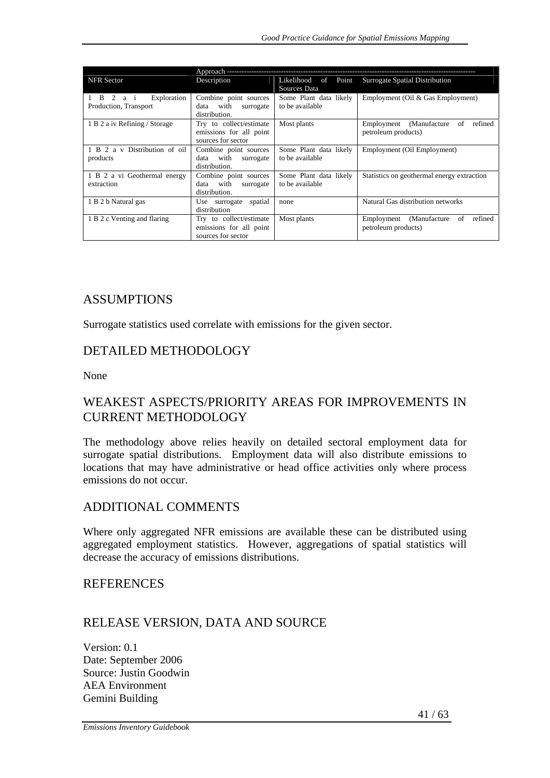| <b>NFR</b> Sector                                 | Description                                                              | Likelihood of Point<br>Sources Data       | Surrogate Spatial Distribution                                      |
|---------------------------------------------------|--------------------------------------------------------------------------|-------------------------------------------|---------------------------------------------------------------------|
| Exploration<br>1 B 2 a i<br>Production, Transport | Combine point sources<br>data with<br>surrogate<br>distribution.         | Some Plant data likely<br>to be available | Employment (Oil & Gas Employment)                                   |
| 1 B 2 a iv Refining / Storage                     | Try to collect/estimate<br>emissions for all point<br>sources for sector | Most plants                               | (Manufacture<br>Employment<br>of<br>refined<br>petroleum products)  |
| 1 B 2 a v Distribution of oil<br>products         | Combine point sources<br>data with<br>surrogate<br>distribution.         | Some Plant data likely<br>to be available | Employment (Oil Employment)                                         |
| 1 B 2 a vi Geothermal energy<br>extraction        | Combine point sources<br>data with<br>surrogate<br>distribution.         | Some Plant data likely<br>to be available | Statistics on geothermal energy extraction                          |
| 1 B 2 b Natural gas                               | spatial<br>Use surrogate<br>distribution                                 | none                                      | Natural Gas distribution networks                                   |
| 1 B 2 c Venting and flaring                       | Try to collect/estimate<br>emissions for all point<br>sources for sector | Most plants                               | (Manufacture)<br>refined<br>Employment<br>of<br>petroleum products) |

### ASSUMPTIONS

Surrogate statistics used correlate with emissions for the given sector.

### DETAILED METHODOLOGY

None

## WEAKEST ASPECTS/PRIORITY AREAS FOR IMPROVEMENTS IN CURRENT METHODOLOGY

The methodology above relies heavily on detailed sectoral employment data for surrogate spatial distributions. Employment data will also distribute emissions to locations that may have administrative or head office activities only where process emissions do not occur.

#### ADDITIONAL COMMENTS

Where only aggregated NFR emissions are available these can be distributed using aggregated employment statistics. However, aggregations of spatial statistics will decrease the accuracy of emissions distributions.

### **REFERENCES**

## RELEASE VERSION, DATA AND SOURCE

Version: 0.1 Date: September 2006 Source: Justin Goodwin AEA Environment Gemini Building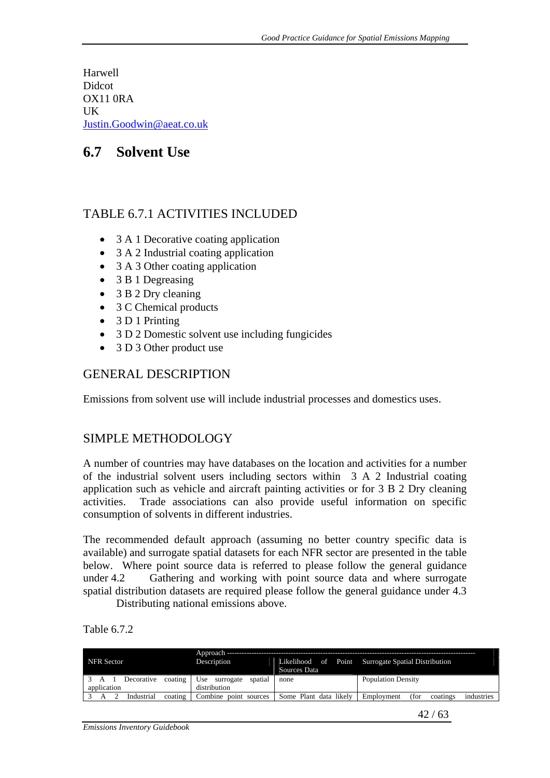Harwell **Didcot** OX11 0RA UK Justin.Goodwin@aeat.co.uk

# **6.7 Solvent Use**

# TABLE 6.7.1 ACTIVITIES INCLUDED

- 3 A 1 Decorative coating application
- 3 A 2 Industrial coating application
- 3 A 3 Other coating application
- 3 B 1 Degreasing
- 3 B 2 Dry cleaning
- 3 C Chemical products
- 3 D 1 Printing
- 3 D 2 Domestic solvent use including fungicides
- 3 D 3 Other product use

## GENERAL DESCRIPTION

Emissions from solvent use will include industrial processes and domestics uses.

# SIMPLE METHODOLOGY

A number of countries may have databases on the location and activities for a number of the industrial solvent users including sectors within 3 A 2 Industrial coating application such as vehicle and aircraft painting activities or for 3 B 2 Dry cleaning activities. Trade associations can also provide useful information on specific consumption of solvents in different industries.

The recommended default approach (assuming no better country specific data is available) and surrogate spatial datasets for each NFR sector are presented in the table below. Where point source data is referred to please follow the general guidance under 4.2 Gathering and working with point source data and where surrogate spatial distribution datasets are required please follow the general guidance under 4.3

Distributing national emissions above.

| Table 6.7.2 |  |
|-------------|--|
|-------------|--|

|                            | Approach                    |                        |                                                    |
|----------------------------|-----------------------------|------------------------|----------------------------------------------------|
| <b>NFR</b> Sector          | Description                 |                        | Likelihood of Point Surrogate Spatial Distribution |
|                            |                             | Sources Data           |                                                    |
| coating<br>Decorative      | Use<br>spatial<br>surrogate | none                   | <b>Population Density</b>                          |
| application                | distribution                |                        |                                                    |
| Industrial<br>coating<br>А | $Combin$ e<br>point sources | Some Plant data likely | Employment<br>(for<br>industries<br>coatings       |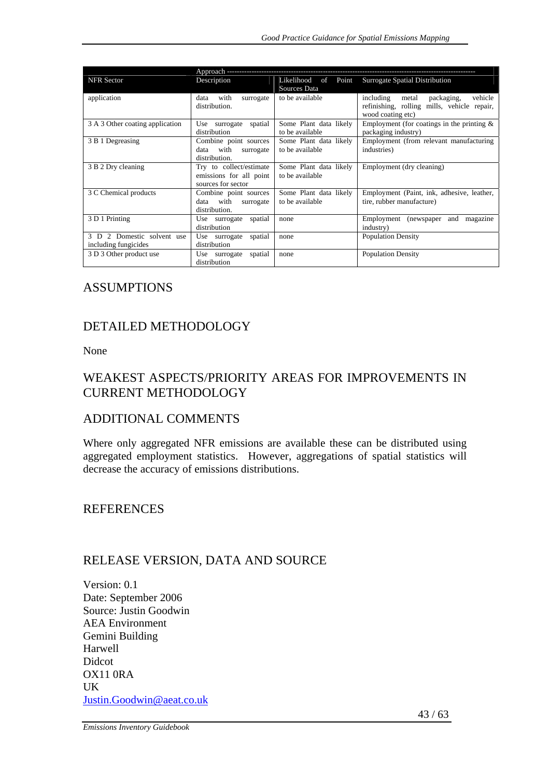| <b>NFR</b> Sector                                  | Description                                                              | Likelihood of Point<br>Sources Data       | Surrogate Spatial Distribution                                                                                  |
|----------------------------------------------------|--------------------------------------------------------------------------|-------------------------------------------|-----------------------------------------------------------------------------------------------------------------|
| application                                        | with<br>data<br>surrogate<br>distribution.                               | to be available                           | vehicle<br>including<br>packaging,<br>metal<br>refinishing, rolling mills, vehicle repair,<br>wood coating etc) |
| 3 A 3 Other coating application                    | spatial<br>Use surrogate<br>distribution                                 | Some Plant data likely<br>to be available | Employment (for coatings in the printing $\&$<br>packaging industry)                                            |
| 3 B 1 Degreasing                                   | Combine point sources<br>data with<br>surrogate<br>distribution.         | Some Plant data likely<br>to be available | Employment (from relevant manufacturing<br>industries)                                                          |
| 3 B 2 Dry cleaning                                 | Try to collect/estimate<br>emissions for all point<br>sources for sector | Some Plant data likely<br>to be available | Employment (dry cleaning)                                                                                       |
| 3 C Chemical products                              | Combine point sources<br>data with<br>surrogate<br>distribution.         | Some Plant data likely<br>to be available | Employment (Paint, ink, adhesive, leather,<br>tire, rubber manufacture)                                         |
| 3 D 1 Printing                                     | spatial<br>Use surrogate<br>distribution                                 | none                                      | Employment<br>(newspaper)<br>magazine<br>and<br>industry)                                                       |
| 3 D 2 Domestic solvent use<br>including fungicides | spatial<br>Use surrogate<br>distribution                                 | none                                      | <b>Population Density</b>                                                                                       |
| 3 D 3 Other product use                            | Use surrogate<br>spatial<br>distribution                                 | none                                      | <b>Population Density</b>                                                                                       |

#### ASSUMPTIONS

## DETAILED METHODOLOGY

None

# WEAKEST ASPECTS/PRIORITY AREAS FOR IMPROVEMENTS IN CURRENT METHODOLOGY

#### ADDITIONAL COMMENTS

Where only aggregated NFR emissions are available these can be distributed using aggregated employment statistics. However, aggregations of spatial statistics will decrease the accuracy of emissions distributions.

## **REFERENCES**

## RELEASE VERSION, DATA AND SOURCE

Version: 0.1 Date: September 2006 Source: Justin Goodwin AEA Environment Gemini Building Harwell Didcot OX11 0RA UK Justin.Goodwin@aeat.co.uk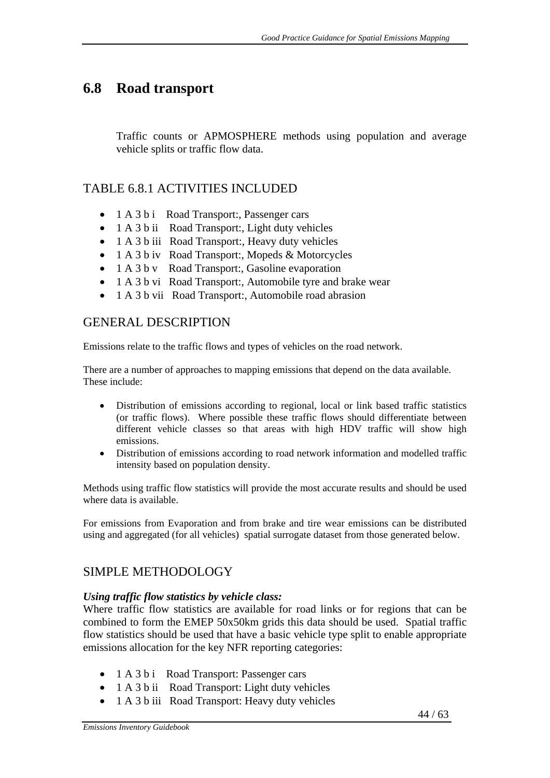# **6.8 Road transport**

Traffic counts or APMOSPHERE methods using population and average vehicle splits or traffic flow data.

## TABLE 6.8.1 ACTIVITIES INCLUDED

- 1 A 3 b i Road Transport:, Passenger cars
- 1 A 3 b ii Road Transport:, Light duty vehicles
- 1 A 3 b iii Road Transport:, Heavy duty vehicles
- 1 A 3 b iv Road Transport:, Mopeds & Motorcycles
- 1 A 3 b v Road Transport:, Gasoline evaporation
- 1 A 3 b vi Road Transport:, Automobile tyre and brake wear
- 1 A 3 b vii Road Transport:, Automobile road abrasion

## GENERAL DESCRIPTION

Emissions relate to the traffic flows and types of vehicles on the road network.

There are a number of approaches to mapping emissions that depend on the data available. These include:

- Distribution of emissions according to regional, local or link based traffic statistics (or traffic flows). Where possible these traffic flows should differentiate between different vehicle classes so that areas with high HDV traffic will show high emissions.
- Distribution of emissions according to road network information and modelled traffic intensity based on population density.

Methods using traffic flow statistics will provide the most accurate results and should be used where data is available.

For emissions from Evaporation and from brake and tire wear emissions can be distributed using and aggregated (for all vehicles) spatial surrogate dataset from those generated below.

# SIMPLE METHODOLOGY

#### *Using traffic flow statistics by vehicle class:*

Where traffic flow statistics are available for road links or for regions that can be combined to form the EMEP 50x50km grids this data should be used. Spatial traffic flow statistics should be used that have a basic vehicle type split to enable appropriate emissions allocation for the key NFR reporting categories:

- 1 A 3 b i Road Transport: Passenger cars
- 1 A 3 b ii Road Transport: Light duty vehicles
- 1 A 3 b iii Road Transport: Heavy duty vehicles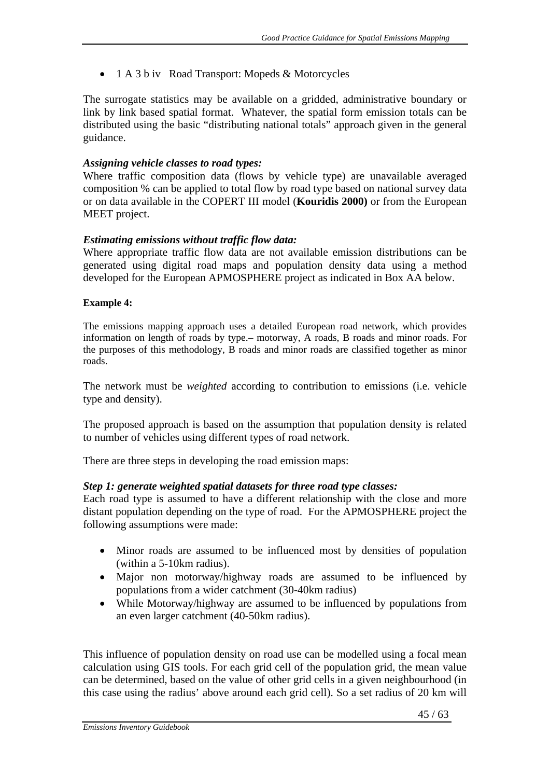• 1 A 3 b iv Road Transport: Mopeds & Motorcycles

The surrogate statistics may be available on a gridded, administrative boundary or link by link based spatial format. Whatever, the spatial form emission totals can be distributed using the basic "distributing national totals" approach given in the general guidance.

#### *Assigning vehicle classes to road types:*

Where traffic composition data (flows by vehicle type) are unavailable averaged composition % can be applied to total flow by road type based on national survey data or on data available in the COPERT III model (**Kouridis 2000)** or from the European MEET project.

#### *Estimating emissions without traffic flow data:*

Where appropriate traffic flow data are not available emission distributions can be generated using digital road maps and population density data using a method developed for the European APMOSPHERE project as indicated in Box AA below.

#### **Example 4:**

The emissions mapping approach uses a detailed European road network, which provides information on length of roads by type.– motorway, A roads, B roads and minor roads. For the purposes of this methodology, B roads and minor roads are classified together as minor roads.

The network must be *weighted* according to contribution to emissions (i.e. vehicle type and density).

The proposed approach is based on the assumption that population density is related to number of vehicles using different types of road network.

There are three steps in developing the road emission maps:

#### *Step 1: generate weighted spatial datasets for three road type classes:*

Each road type is assumed to have a different relationship with the close and more distant population depending on the type of road. For the APMOSPHERE project the following assumptions were made:

- Minor roads are assumed to be influenced most by densities of population (within a 5-10km radius).
- Major non motorway/highway roads are assumed to be influenced by populations from a wider catchment (30-40km radius)
- While Motorway/highway are assumed to be influenced by populations from an even larger catchment (40-50km radius).

This influence of population density on road use can be modelled using a focal mean calculation using GIS tools. For each grid cell of the population grid, the mean value can be determined, based on the value of other grid cells in a given neighbourhood (in this case using the radius' above around each grid cell). So a set radius of 20 km will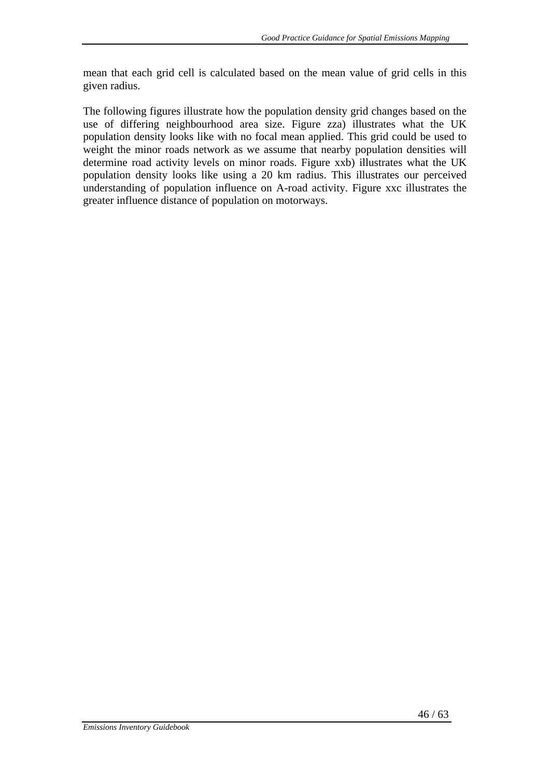mean that each grid cell is calculated based on the mean value of grid cells in this given radius.

The following figures illustrate how the population density grid changes based on the use of differing neighbourhood area size. Figure zza) illustrates what the UK population density looks like with no focal mean applied. This grid could be used to weight the minor roads network as we assume that nearby population densities will determine road activity levels on minor roads. Figure xxb) illustrates what the UK population density looks like using a 20 km radius. This illustrates our perceived understanding of population influence on A-road activity. Figure xxc illustrates the greater influence distance of population on motorways.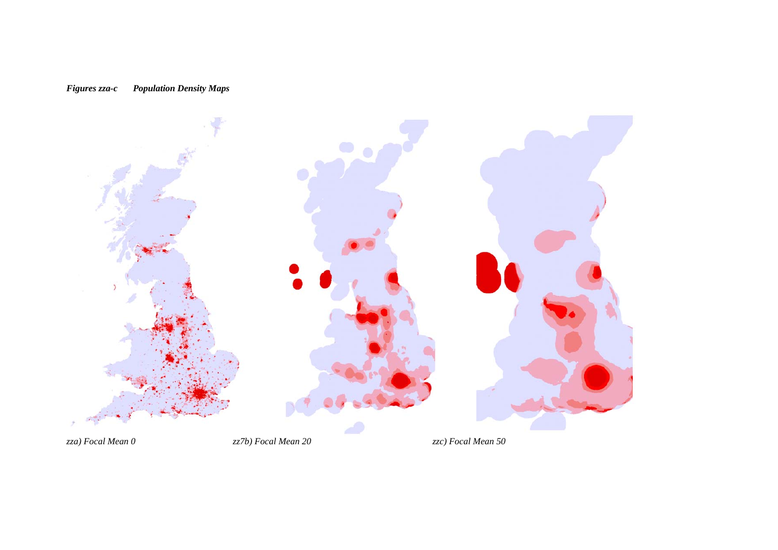

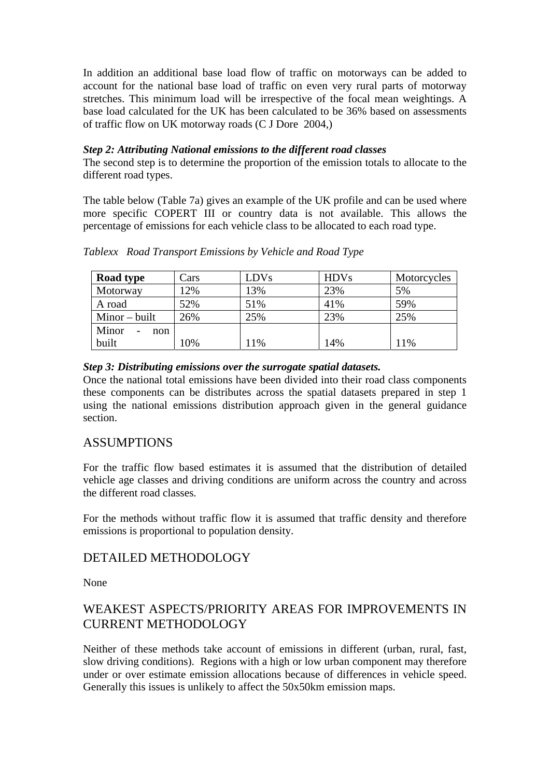In addition an additional base load flow of traffic on motorways can be added to account for the national base load of traffic on even very rural parts of motorway stretches. This minimum load will be irrespective of the focal mean weightings. A base load calculated for the UK has been calculated to be 36% based on assessments of traffic flow on UK motorway roads (C J Dore 2004,)

#### *Step 2: Attributing National emissions to the different road classes*

The second step is to determine the proportion of the emission totals to allocate to the different road types.

The table below (Table 7a) gives an example of the UK profile and can be used where more specific COPERT III or country data is not available. This allows the percentage of emissions for each vehicle class to be allocated to each road type.

| Road type       | Cars | <b>LDVs</b> | <b>HDVs</b> | Motorcycles |
|-----------------|------|-------------|-------------|-------------|
| Motorway        | 12%  | 13%         | 23%         | 5%          |
| A road          | 52%  | 51%         | 41%         | 59%         |
| $Minor - built$ | 26%  | 25%         | 23%         | 25%         |
| Minor<br>non    |      |             |             |             |
| built           | 10%  | 11%         | 14%         | 11%         |

*Tablexx Road Transport Emissions by Vehicle and Road Type* 

#### *Step 3: Distributing emissions over the surrogate spatial datasets.*

Once the national total emissions have been divided into their road class components these components can be distributes across the spatial datasets prepared in step 1 using the national emissions distribution approach given in the general guidance section.

## ASSUMPTIONS

For the traffic flow based estimates it is assumed that the distribution of detailed vehicle age classes and driving conditions are uniform across the country and across the different road classes.

For the methods without traffic flow it is assumed that traffic density and therefore emissions is proportional to population density.

## DETAILED METHODOLOGY

None

# WEAKEST ASPECTS/PRIORITY AREAS FOR IMPROVEMENTS IN CURRENT METHODOLOGY

Neither of these methods take account of emissions in different (urban, rural, fast, slow driving conditions). Regions with a high or low urban component may therefore under or over estimate emission allocations because of differences in vehicle speed. Generally this issues is unlikely to affect the 50x50km emission maps.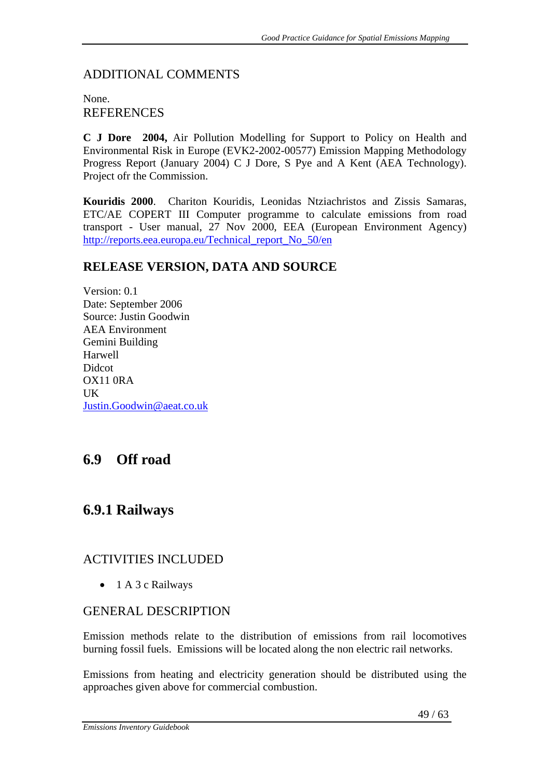### ADDITIONAL COMMENTS

### None. **REFERENCES**

**C J Dore 2004,** Air Pollution Modelling for Support to Policy on Health and Environmental Risk in Europe (EVK2-2002-00577) Emission Mapping Methodology Progress Report (January 2004) C J Dore, S Pye and A Kent (AEA Technology). Project ofr the Commission.

**Kouridis 2000**. Chariton Kouridis, Leonidas Ntziachristos and Zissis Samaras, ETC/AE COPERT III Computer programme to calculate emissions from road transport - User manual, 27 Nov 2000, EEA (European Environment Agency) http://reports.eea.europa.eu/Technical\_report\_No\_50/en

### **RELEASE VERSION, DATA AND SOURCE**

Version: 0.1 Date: September 2006 Source: Justin Goodwin AEA Environment Gemini Building Harwell Didcot OX11 0RA UK Justin.Goodwin@aeat.co.uk

# **6.9 Off road**

# **6.9.1 Railways**

## ACTIVITIES INCLUDED

• 1 A 3 c Railways

#### GENERAL DESCRIPTION

Emission methods relate to the distribution of emissions from rail locomotives burning fossil fuels. Emissions will be located along the non electric rail networks.

Emissions from heating and electricity generation should be distributed using the approaches given above for commercial combustion.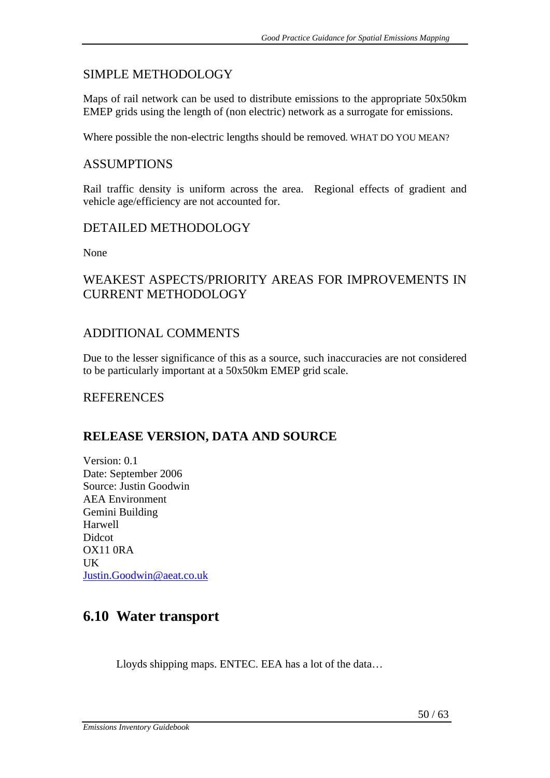## SIMPLE METHODOLOGY

Maps of rail network can be used to distribute emissions to the appropriate 50x50km EMEP grids using the length of (non electric) network as a surrogate for emissions.

Where possible the non-electric lengths should be removed. WHAT DO YOU MEAN?

## ASSUMPTIONS

Rail traffic density is uniform across the area. Regional effects of gradient and vehicle age/efficiency are not accounted for.

## DETAILED METHODOLOGY

None

# WEAKEST ASPECTS/PRIORITY AREAS FOR IMPROVEMENTS IN CURRENT METHODOLOGY

## ADDITIONAL COMMENTS

Due to the lesser significance of this as a source, such inaccuracies are not considered to be particularly important at a 50x50km EMEP grid scale.

# REFERENCES

# **RELEASE VERSION, DATA AND SOURCE**

Version: 0.1 Date: September 2006 Source: Justin Goodwin AEA Environment Gemini Building Harwell Didcot OX11 0RA UK Justin.Goodwin@aeat.co.uk

# **6.10 Water transport**

Lloyds shipping maps. ENTEC. EEA has a lot of the data…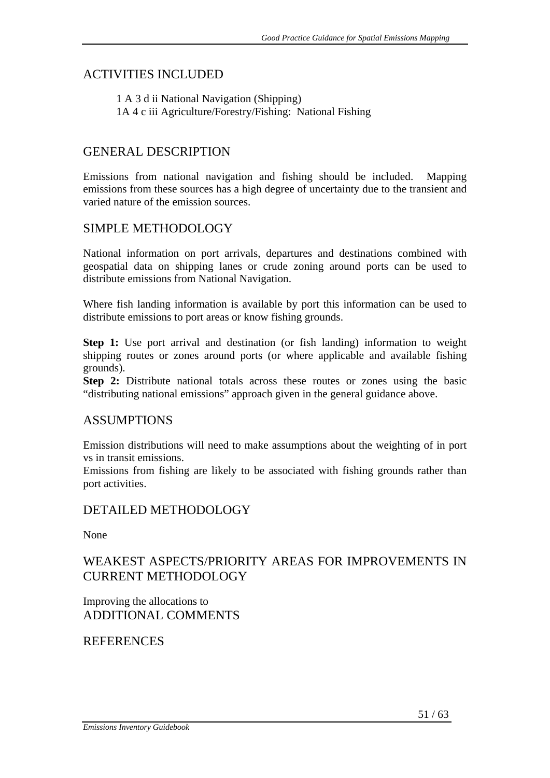## ACTIVITIES INCLUDED

1 A 3 d ii National Navigation (Shipping) 1A 4 c iii Agriculture/Forestry/Fishing: National Fishing

## GENERAL DESCRIPTION

Emissions from national navigation and fishing should be included. Mapping emissions from these sources has a high degree of uncertainty due to the transient and varied nature of the emission sources.

## SIMPLE METHODOLOGY

National information on port arrivals, departures and destinations combined with geospatial data on shipping lanes or crude zoning around ports can be used to distribute emissions from National Navigation.

Where fish landing information is available by port this information can be used to distribute emissions to port areas or know fishing grounds.

**Step 1:** Use port arrival and destination (or fish landing) information to weight shipping routes or zones around ports (or where applicable and available fishing grounds).

**Step 2:** Distribute national totals across these routes or zones using the basic "distributing national emissions" approach given in the general guidance above.

#### ASSUMPTIONS

Emission distributions will need to make assumptions about the weighting of in port vs in transit emissions.

Emissions from fishing are likely to be associated with fishing grounds rather than port activities.

#### DETAILED METHODOLOGY

None

## WEAKEST ASPECTS/PRIORITY AREAS FOR IMPROVEMENTS IN CURRENT METHODOLOGY

Improving the allocations to ADDITIONAL COMMENTS

## **REFERENCES**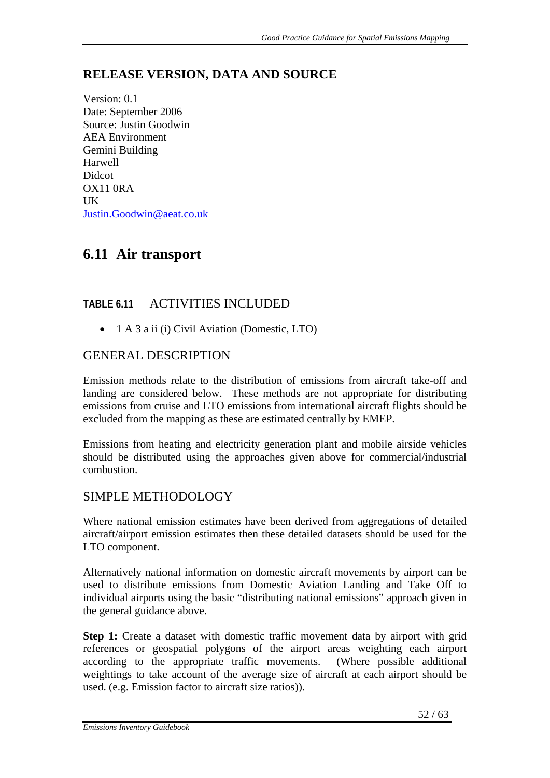# **RELEASE VERSION, DATA AND SOURCE**

Version: 0.1 Date: September 2006 Source: Justin Goodwin AEA Environment Gemini Building Harwell Didcot OX11 0RA  $I K$ Justin.Goodwin@aeat.co.uk

# **6.11 Air transport**

# **TABLE 6.11** ACTIVITIES INCLUDED

• 1 A 3 a ii (i) Civil Aviation (Domestic, LTO)

# GENERAL DESCRIPTION

Emission methods relate to the distribution of emissions from aircraft take-off and landing are considered below. These methods are not appropriate for distributing emissions from cruise and LTO emissions from international aircraft flights should be excluded from the mapping as these are estimated centrally by EMEP.

Emissions from heating and electricity generation plant and mobile airside vehicles should be distributed using the approaches given above for commercial/industrial combustion.

## SIMPLE METHODOLOGY

Where national emission estimates have been derived from aggregations of detailed aircraft/airport emission estimates then these detailed datasets should be used for the LTO component.

Alternatively national information on domestic aircraft movements by airport can be used to distribute emissions from Domestic Aviation Landing and Take Off to individual airports using the basic "distributing national emissions" approach given in the general guidance above.

**Step 1:** Create a dataset with domestic traffic movement data by airport with grid references or geospatial polygons of the airport areas weighting each airport according to the appropriate traffic movements. (Where possible additional weightings to take account of the average size of aircraft at each airport should be used. (e.g. Emission factor to aircraft size ratios)).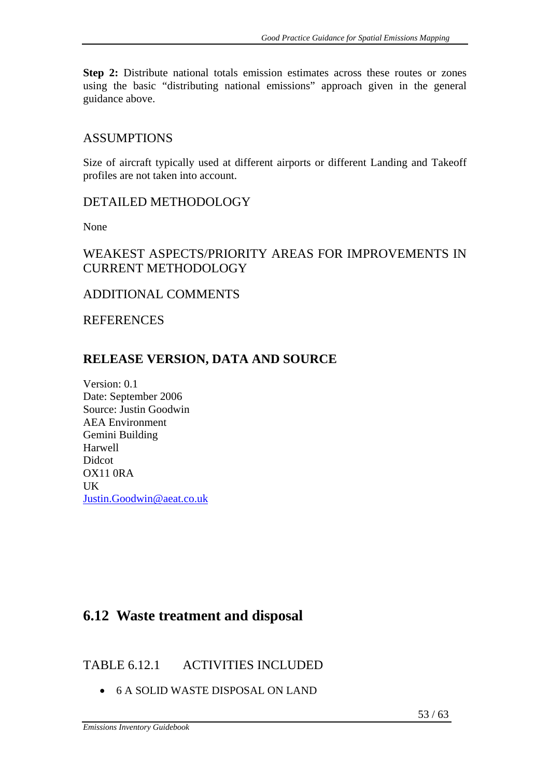**Step 2:** Distribute national totals emission estimates across these routes or zones using the basic "distributing national emissions" approach given in the general guidance above.

#### **ASSUMPTIONS**

Size of aircraft typically used at different airports or different Landing and Takeoff profiles are not taken into account.

### DETAILED METHODOLOGY

None

# WEAKEST ASPECTS/PRIORITY AREAS FOR IMPROVEMENTS IN CURRENT METHODOLOGY

## ADDITIONAL COMMENTS

**REFERENCES** 

## **RELEASE VERSION, DATA AND SOURCE**

Version: 0.1 Date: September 2006 Source: Justin Goodwin AEA Environment Gemini Building Harwell **Didcot** OX11 0RA UK Justin.Goodwin@aeat.co.uk

# **6.12 Waste treatment and disposal**

# TABLE 6.12.1 ACTIVITIES INCLUDED

• 6 A SOLID WASTE DISPOSAL ON LAND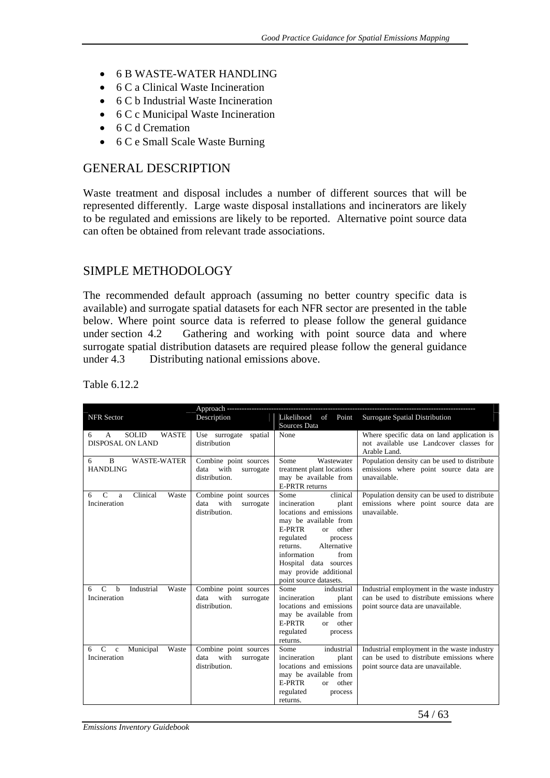- 6 B WASTE-WATER HANDLING
- 6 C a Clinical Waste Incineration
- 6 C b Industrial Waste Incineration
- 6 C c Municipal Waste Incineration
- 6 C d Cremation
- 6 C e Small Scale Waste Burning

### GENERAL DESCRIPTION

Waste treatment and disposal includes a number of different sources that will be represented differently. Large waste disposal installations and incinerators are likely to be regulated and emissions are likely to be reported. Alternative point source data can often be obtained from relevant trade associations.

## SIMPLE METHODOLOGY

The recommended default approach (assuming no better country specific data is available) and surrogate spatial datasets for each NFR sector are presented in the table below. Where point source data is referred to please follow the general guidance under section 4.2 Gathering and working with point source data and where surrogate spatial distribution datasets are required please follow the general guidance under 4.3 Distributing national emissions above.

|                                                        | Approach ---------------                           |                                                |                                                                                       |
|--------------------------------------------------------|----------------------------------------------------|------------------------------------------------|---------------------------------------------------------------------------------------|
| <b>NFR</b> Sector                                      | Description                                        | Likelihood of Point                            | <b>Surrogate Spatial Distribution</b>                                                 |
|                                                        |                                                    | Sources Data                                   |                                                                                       |
| <b>SOLID</b><br><b>WASTE</b><br>A<br>6                 | Use surrogate<br>spatial                           | None                                           | Where specific data on land application is                                            |
| DISPOSAL ON LAND                                       | distribution                                       |                                                | not available use Landcover classes for                                               |
|                                                        |                                                    |                                                | Arable Land.                                                                          |
| B<br><b>WASTE-WATER</b><br>6                           | Combine point sources                              | Wastewater<br>Some                             | Population density can be used to distribute                                          |
| <b>HANDLING</b>                                        | data<br>with<br>surrogate                          | treatment plant locations                      | emissions where point source data are                                                 |
|                                                        | distribution.                                      | may be available from<br><b>E-PRTR</b> returns | unavailable.                                                                          |
| Clinical<br>$\mathcal{C}$<br>Waste                     |                                                    | clinical<br>Some                               |                                                                                       |
| 6<br>a<br>Incineration                                 | Combine point sources<br>data<br>with<br>surrogate | incineration<br>plant                          | Population density can be used to distribute<br>emissions where point source data are |
|                                                        | distribution.                                      | locations and emissions                        | unavailable.                                                                          |
|                                                        |                                                    | may be available from                          |                                                                                       |
|                                                        |                                                    | E-PRTR<br>or other                             |                                                                                       |
|                                                        |                                                    | regulated<br>process                           |                                                                                       |
|                                                        |                                                    | Alternative<br>returns.                        |                                                                                       |
|                                                        |                                                    | information<br>from                            |                                                                                       |
|                                                        |                                                    | Hospital data sources                          |                                                                                       |
|                                                        |                                                    | may provide additional                         |                                                                                       |
|                                                        |                                                    | point source datasets.                         |                                                                                       |
| $\mathcal{C}$<br>Industrial<br>h<br>Waste<br>6         | Combine point sources                              | Some<br>industrial                             | Industrial employment in the waste industry                                           |
| Incineration                                           | data<br>with<br>surrogate                          | incineration<br>plant                          | can be used to distribute emissions where                                             |
|                                                        | distribution.                                      | locations and emissions                        | point source data are unavailable.                                                    |
|                                                        |                                                    | may be available from<br>E-PRTR<br>or other    |                                                                                       |
|                                                        |                                                    | regulated<br>process                           |                                                                                       |
|                                                        |                                                    | returns.                                       |                                                                                       |
| $\mathbf C$<br>Waste<br>Municipal<br>6<br>$\mathbf{c}$ | Combine point sources                              | Some<br>industrial                             | Industrial employment in the waste industry                                           |
| Incineration                                           | with<br>data<br>surrogate                          | incineration<br>plant                          | can be used to distribute emissions where                                             |
|                                                        | distribution.                                      | locations and emissions                        | point source data are unavailable.                                                    |
|                                                        |                                                    | may be available from                          |                                                                                       |
|                                                        |                                                    | <b>E-PRTR</b><br>or other                      |                                                                                       |
|                                                        |                                                    | regulated<br>process                           |                                                                                       |
|                                                        |                                                    | returns.                                       |                                                                                       |

Table 6.12.2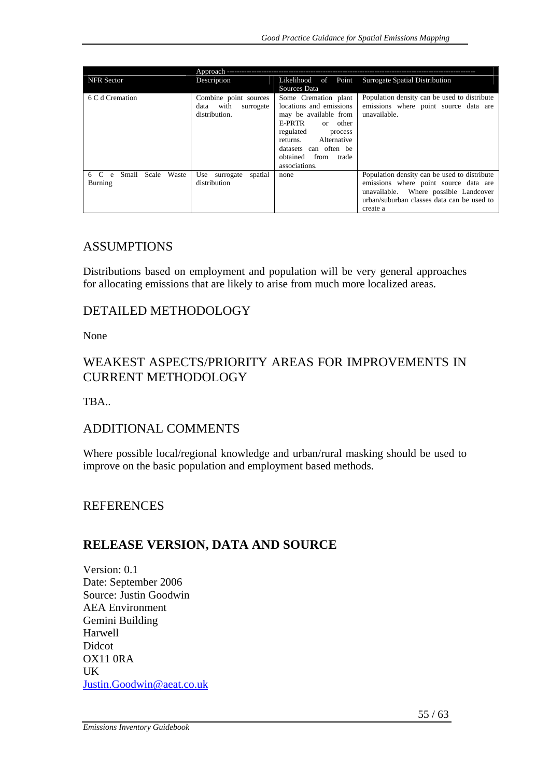|                                     | Approach ---------          |                           |                                              |
|-------------------------------------|-----------------------------|---------------------------|----------------------------------------------|
| <b>NFR</b> Sector                   | Description                 | Likelihood of Point       | Surrogate Spatial Distribution               |
|                                     |                             | Sources Data              |                                              |
| 6 C d Cremation                     | Combine point sources       | Some Cremation plant      | Population density can be used to distribute |
|                                     | with<br>surrogate<br>data   | locations and emissions   | emissions where point source data are        |
|                                     | distribution.               | may be available from     | unavailable.                                 |
|                                     |                             | E-PRTR<br>or other        |                                              |
|                                     |                             | regulated<br>process      |                                              |
|                                     |                             | Alternative<br>returns.   |                                              |
|                                     |                             | datasets can often be     |                                              |
|                                     |                             | obtained<br>from<br>trade |                                              |
|                                     |                             | associations.             |                                              |
| Small<br>Scale<br>6 C<br>Waste<br>e | spatial<br>Use<br>surrogate | none                      | Population density can be used to distribute |
| Burning                             | distribution                |                           | emissions where point source data are        |
|                                     |                             |                           | unavailable. Where possible Landcover        |
|                                     |                             |                           | urban/suburban classes data can be used to   |
|                                     |                             |                           | create a                                     |

### ASSUMPTIONS

Distributions based on employment and population will be very general approaches for allocating emissions that are likely to arise from much more localized areas.

#### DETAILED METHODOLOGY

None

## WEAKEST ASPECTS/PRIORITY AREAS FOR IMPROVEMENTS IN CURRENT METHODOLOGY

TRA<sub>.</sub>

#### ADDITIONAL COMMENTS

Where possible local/regional knowledge and urban/rural masking should be used to improve on the basic population and employment based methods.

#### **REFERENCES**

## **RELEASE VERSION, DATA AND SOURCE**

Version: 0.1 Date: September 2006 Source: Justin Goodwin AEA Environment Gemini Building Harwell Didcot OX11 0RA UK Justin.Goodwin@aeat.co.uk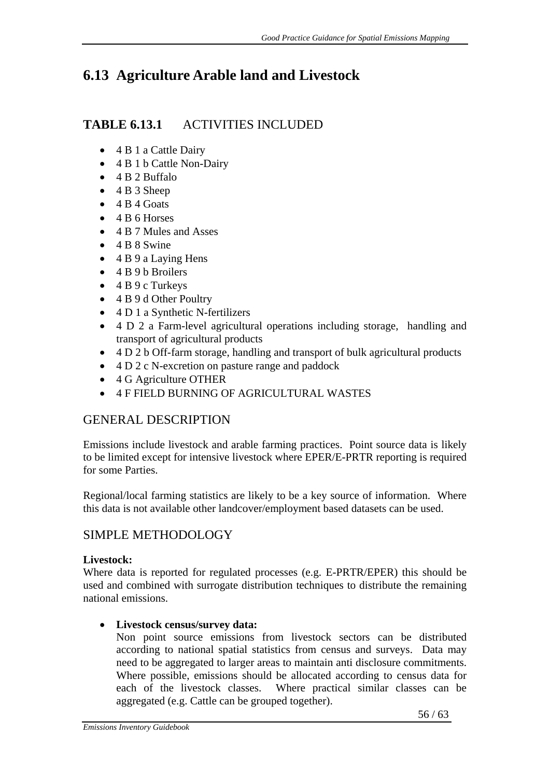# **6.13 Agriculture Arable land and Livestock**

# **TABLE 6.13.1** ACTIVITIES INCLUDED

- 4 B 1 a Cattle Dairy
- 4 B 1 b Cattle Non-Dairy
- 4 B 2 Buffalo
- 4 B 3 Sheep
- $\bullet$  4 B 4 Goats
- $\bullet$  4 B 6 Horses
- 4 B 7 Mules and Asses
- $\bullet$  4 B 8 Swine
- 4 B 9 a Laving Hens
- 4 B 9 b Broilers
- $\bullet$  4 B 9 c Turkeys
- 4 B 9 d Other Poultry
- 4 D 1 a Synthetic N-fertilizers
- 4 D 2 a Farm-level agricultural operations including storage, handling and transport of agricultural products
- 4 D 2 b Off-farm storage, handling and transport of bulk agricultural products
- 4 D 2 c N-excretion on pasture range and paddock
- 4 G Agriculture OTHER
- 4 F FIELD BURNING OF AGRICULTURAL WASTES

# GENERAL DESCRIPTION

Emissions include livestock and arable farming practices. Point source data is likely to be limited except for intensive livestock where EPER/E-PRTR reporting is required for some Parties.

Regional/local farming statistics are likely to be a key source of information. Where this data is not available other landcover/employment based datasets can be used.

# SIMPLE METHODOLOGY

## **Livestock:**

Where data is reported for regulated processes (e.g. E-PRTR/EPER) this should be used and combined with surrogate distribution techniques to distribute the remaining national emissions.

## • **Livestock census/survey data:**

Non point source emissions from livestock sectors can be distributed according to national spatial statistics from census and surveys. Data may need to be aggregated to larger areas to maintain anti disclosure commitments. Where possible, emissions should be allocated according to census data for each of the livestock classes. Where practical similar classes can be aggregated (e.g. Cattle can be grouped together).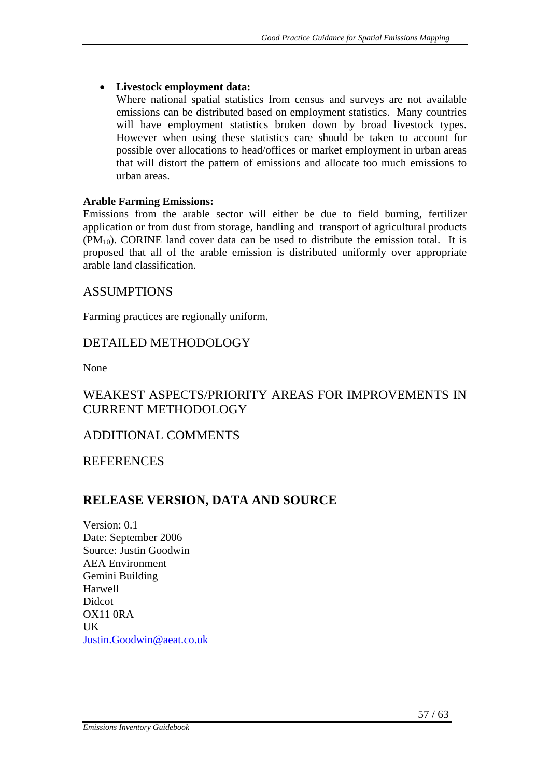#### • **Livestock employment data:**

Where national spatial statistics from census and surveys are not available emissions can be distributed based on employment statistics. Many countries will have employment statistics broken down by broad livestock types. However when using these statistics care should be taken to account for possible over allocations to head/offices or market employment in urban areas that will distort the pattern of emissions and allocate too much emissions to urban areas.

#### **Arable Farming Emissions:**

Emissions from the arable sector will either be due to field burning, fertilizer application or from dust from storage, handling and transport of agricultural products  $(PM_{10})$ . CORINE land cover data can be used to distribute the emission total. It is proposed that all of the arable emission is distributed uniformly over appropriate arable land classification.

#### ASSUMPTIONS

Farming practices are regionally uniform.

### DETAILED METHODOLOGY

None

## WEAKEST ASPECTS/PRIORITY AREAS FOR IMPROVEMENTS IN CURRENT METHODOLOGY

## ADDITIONAL COMMENTS

**REFERENCES** 

# **RELEASE VERSION, DATA AND SOURCE**

Version: 0.1 Date: September 2006 Source: Justin Goodwin AEA Environment Gemini Building Harwell Didcot OX11 0RA **IK** Justin.Goodwin@aeat.co.uk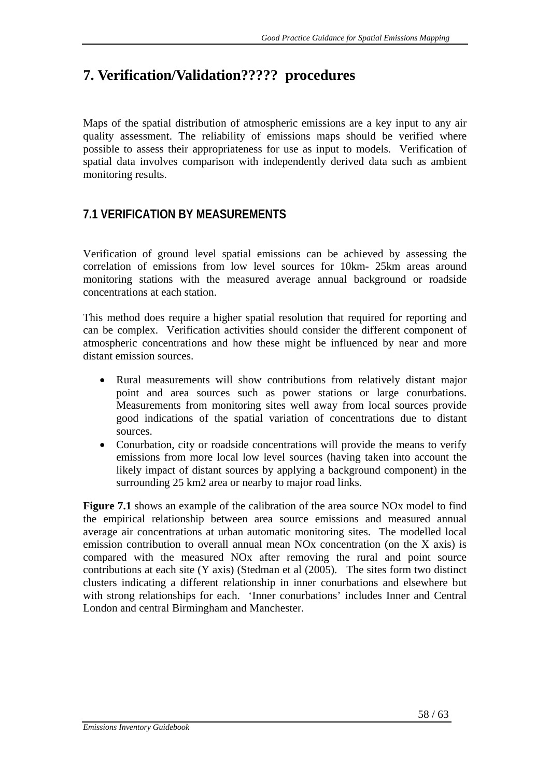# **7. Verification/Validation????? procedures**

Maps of the spatial distribution of atmospheric emissions are a key input to any air quality assessment. The reliability of emissions maps should be verified where possible to assess their appropriateness for use as input to models. Verification of spatial data involves comparison with independently derived data such as ambient monitoring results.

# **7.1 VERIFICATION BY MEASUREMENTS**

Verification of ground level spatial emissions can be achieved by assessing the correlation of emissions from low level sources for 10km- 25km areas around monitoring stations with the measured average annual background or roadside concentrations at each station.

This method does require a higher spatial resolution that required for reporting and can be complex. Verification activities should consider the different component of atmospheric concentrations and how these might be influenced by near and more distant emission sources.

- Rural measurements will show contributions from relatively distant major point and area sources such as power stations or large conurbations. Measurements from monitoring sites well away from local sources provide good indications of the spatial variation of concentrations due to distant sources.
- Conurbation, city or roadside concentrations will provide the means to verify emissions from more local low level sources (having taken into account the likely impact of distant sources by applying a background component) in the surrounding 25 km2 area or nearby to major road links.

**Figure 7.1** shows an example of the calibration of the area source NOx model to find the empirical relationship between area source emissions and measured annual average air concentrations at urban automatic monitoring sites. The modelled local emission contribution to overall annual mean NOx concentration (on the X axis) is compared with the measured NOx after removing the rural and point source contributions at each site (Y axis) (Stedman et al (2005). The sites form two distinct clusters indicating a different relationship in inner conurbations and elsewhere but with strong relationships for each. 'Inner conurbations' includes Inner and Central London and central Birmingham and Manchester.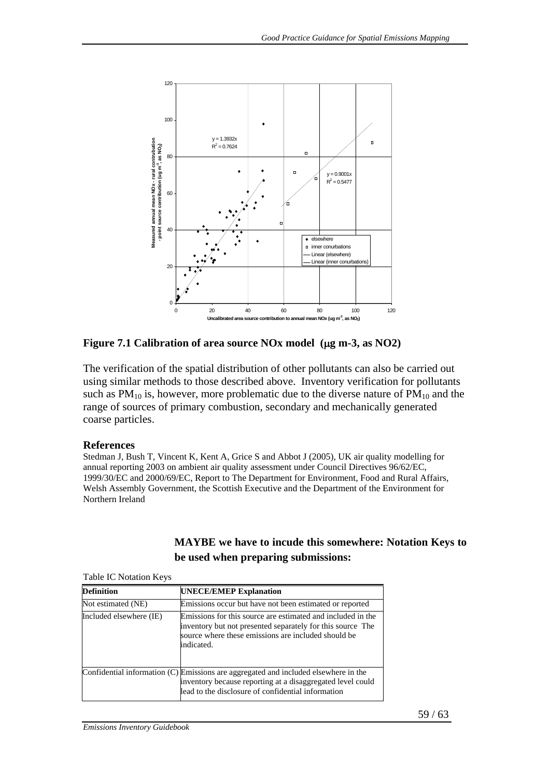

**Figure 7.1 Calibration of area source NOx model (**μ**g m-3, as NO2)** 

The verification of the spatial distribution of other pollutants can also be carried out using similar methods to those described above. Inventory verification for pollutants such as  $PM_{10}$  is, however, more problematic due to the diverse nature of  $PM_{10}$  and the range of sources of primary combustion, secondary and mechanically generated coarse particles.

#### **References**

Stedman J, Bush T, Vincent K, Kent A, Grice S and Abbot J (2005), UK air quality modelling for annual reporting 2003 on ambient air quality assessment under Council Directives 96/62/EC, 1999/30/EC and 2000/69/EC, Report to The Department for Environment, Food and Rural Affairs, Welsh Assembly Government, the Scottish Executive and the Department of the Environment for Northern Ireland

**be used when preparing submissions:** 

**MAYBE we have to incude this somewhere: Notation Keys to** 

| <b><i>Rapid TO PORTUAL INCESS</i></b> |                                                                                                                                                                                                         |  |  |
|---------------------------------------|---------------------------------------------------------------------------------------------------------------------------------------------------------------------------------------------------------|--|--|
| Definition                            | <b>UNECE/EMEP Explanation</b>                                                                                                                                                                           |  |  |
| Not estimated (NE)                    | Emissions occur but have not been estimated or reported                                                                                                                                                 |  |  |
| Included elsewhere (IE)               | Emissions for this source are estimated and included in the<br>inventory but not presented separately for this source The<br>source where these emissions are included should be<br>indicated.          |  |  |
|                                       | Confidential information (C) Emissions are aggregated and included elsewhere in the<br>inventory because reporting at a disaggregated level could<br>lead to the disclosure of confidential information |  |  |

Table IC Notation Keys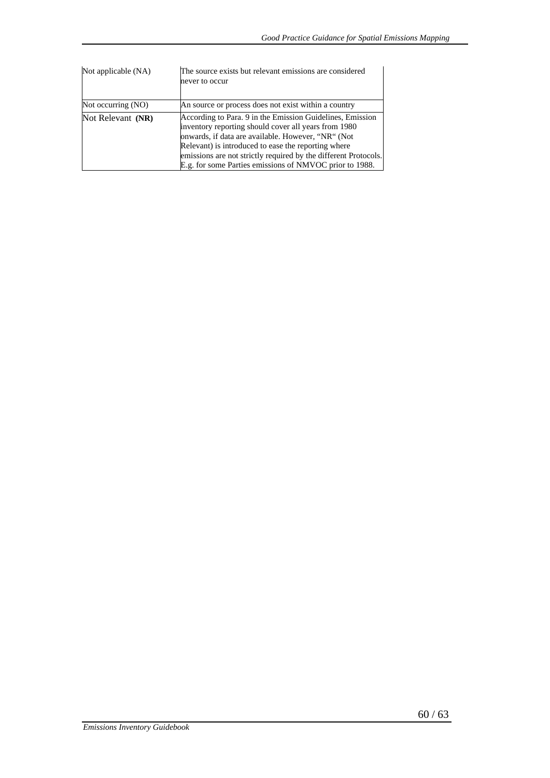| Not applicable (NA) | The source exists but relevant emissions are considered<br>never to occur                                                                                                                                                                                                                                                                                    |
|---------------------|--------------------------------------------------------------------------------------------------------------------------------------------------------------------------------------------------------------------------------------------------------------------------------------------------------------------------------------------------------------|
| Not occurring (NO)  | An source or process does not exist within a country                                                                                                                                                                                                                                                                                                         |
| Not Relevant (NR)   | According to Para. 9 in the Emission Guidelines, Emission<br>inventory reporting should cover all years from 1980<br>onwards, if data are available. However, "NR" (Not<br>Relevant) is introduced to ease the reporting where<br>emissions are not strictly required by the different Protocols.<br>E.g. for some Parties emissions of NMVOC prior to 1988. |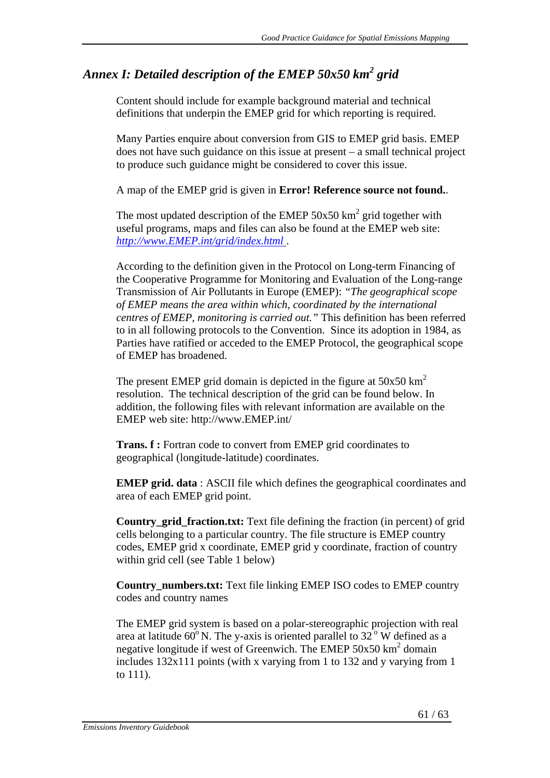# *Annex I: Detailed description of the EMEP 50x50 km<sup>2</sup> grid*

Content should include for example background material and technical definitions that underpin the EMEP grid for which reporting is required.

Many Parties enquire about conversion from GIS to EMEP grid basis. EMEP does not have such guidance on this issue at present – a small technical project to produce such guidance might be considered to cover this issue.

A map of the EMEP grid is given in **Error! Reference source not found.**.

The most updated description of the EMEP  $50x50 \text{ km}^2$  grid together with useful programs, maps and files can also be found at the EMEP web site: *http://www.EMEP.int/grid/index.html* .

According to the definition given in the Protocol on Long-term Financing of the Cooperative Programme for Monitoring and Evaluation of the Long-range Transmission of Air Pollutants in Europe (EMEP): *"The geographical scope of EMEP means the area within which, coordinated by the international centres of EMEP, monitoring is carried out."* This definition has been referred to in all following protocols to the Convention. Since its adoption in 1984, as Parties have ratified or acceded to the EMEP Protocol, the geographical scope of EMEP has broadened.

The present EMEP grid domain is depicted in the figure at  $50x50 \text{ km}^2$ resolution. The technical description of the grid can be found below. In addition, the following files with relevant information are available on the EMEP web site: http://www.EMEP.int/

**Trans. f :** Fortran code to convert from EMEP grid coordinates to geographical (longitude-latitude) coordinates.

**EMEP grid. data** : ASCII file which defines the geographical coordinates and area of each EMEP grid point.

**Country\_grid\_fraction.txt:** Text file defining the fraction (in percent) of grid cells belonging to a particular country. The file structure is EMEP country codes, EMEP grid x coordinate, EMEP grid y coordinate, fraction of country within grid cell (see Table 1 below)

**Country\_numbers.txt:** Text file linking EMEP ISO codes to EMEP country codes and country names

The EMEP grid system is based on a polar-stereographic projection with real area at latitude  $60^{\circ}$  N. The y-axis is oriented parallel to  $32^{\circ}$  W defined as a negative longitude if west of Greenwich. The EMEP  $50x50$  km<sup>2</sup> domain includes 132x111 points (with x varying from 1 to 132 and y varying from 1 to 111).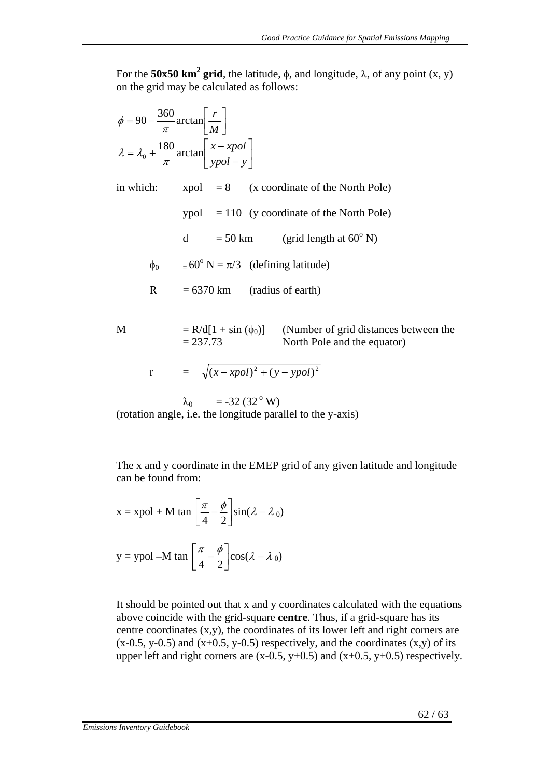For the **50x50 km<sup>2</sup> grid**, the latitude,  $\phi$ , and longitude,  $\lambda$ , of any point (x, y) on the grid may be calculated as follows:

$$
\phi = 90 - \frac{360}{\pi} \arctan\left[\frac{r}{M}\right]
$$

$$
\lambda = \lambda_0 + \frac{180}{\pi} \arctan\left[\frac{x - xpol}{ypol - y}\right]
$$

in which:  $xpol = 8$  (x coordinate of the North Pole)

 $ypol = 110$  (y coordinate of the North Pole)

d = 50 km (grid length at  $60^{\circ}$  N)

 $\phi_0$  = 60<sup>°</sup> N =  $\pi/3$  (defining latitude)

 $R = 6370 \text{ km}$  (radius of earth)

M  $= R/d[1 + \sin(\phi_0)]$  (Number of grid distances between the  $= 237.73$  North Pole and the equator)

$$
r = \sqrt{(x - xpol)^2 + (y - ypol)^2}
$$

 $λ_0 = -32 (32° W)$ (rotation angle, i.e. the longitude parallel to the y-axis)

The x and y coordinate in the EMEP grid of any given latitude and longitude can be found from:

x = xpol + M tan 
$$
\left[\frac{\pi}{4} - \frac{\phi}{2}\right]sin(\lambda - \lambda_0)
$$
  
y = ypol -M tan  $\left[\frac{\pi}{4} - \frac{\phi}{2}\right]cos(\lambda - \lambda_0)$ 

It should be pointed out that x and y coordinates calculated with the equations above coincide with the grid-square **centre**. Thus, if a grid-square has its centre coordinates (x,y), the coordinates of its lower left and right corners are  $(x-0.5, y-0.5)$  and  $(x+0.5, y-0.5)$  respectively, and the coordinates  $(x,y)$  of its upper left and right corners are  $(x-0.5, y+0.5)$  and  $(x+0.5, y+0.5)$  respectively.